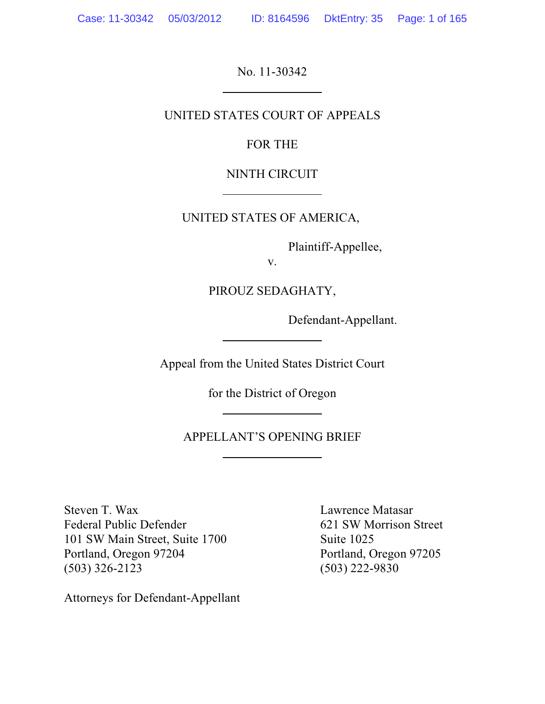No. 11-30342

## UNITED STATES COURT OF APPEALS

FOR THE

NINTH CIRCUIT

UNITED STATES OF AMERICA,

Plaintiff-Appellee,

v.

PIROUZ SEDAGHATY,

Defendant-Appellant.

Appeal from the United States District Court

for the District of Oregon

APPELLANT'S OPENING BRIEF

Steven T. Wax Lawrence Matasar Federal Public Defender 621 SW Morrison Street 101 SW Main Street, Suite 1700 Suite 1025 Portland, Oregon 97204 Portland, Oregon 97205 (503) 326-2123 (503) 222-9830

Attorneys for Defendant-Appellant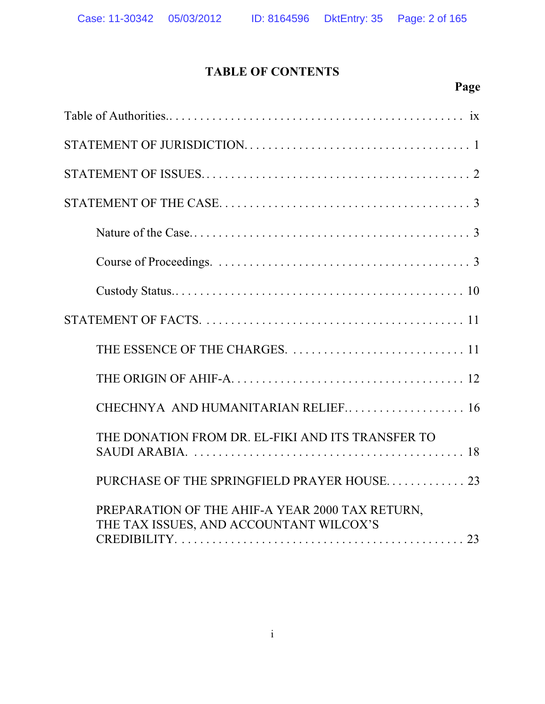# **TABLE OF CONTENTS**

# **Page**

| CHECHNYA AND HUMANITARIAN RELIEF 16                                                                                                                                |
|--------------------------------------------------------------------------------------------------------------------------------------------------------------------|
| THE DONATION FROM DR. EL-FIKI AND ITS TRANSFER TO<br>SAUDI ARABIA. $\ldots \ldots \ldots \ldots \ldots \ldots \ldots \ldots \ldots \ldots \ldots \ldots \ldots 18$ |
| PURCHASE OF THE SPRINGFIELD PRAYER HOUSE 23                                                                                                                        |
| PREPARATION OF THE AHIF-A YEAR 2000 TAX RETURN,<br>THE TAX ISSUES, AND ACCOUNTANT WILCOX'S                                                                         |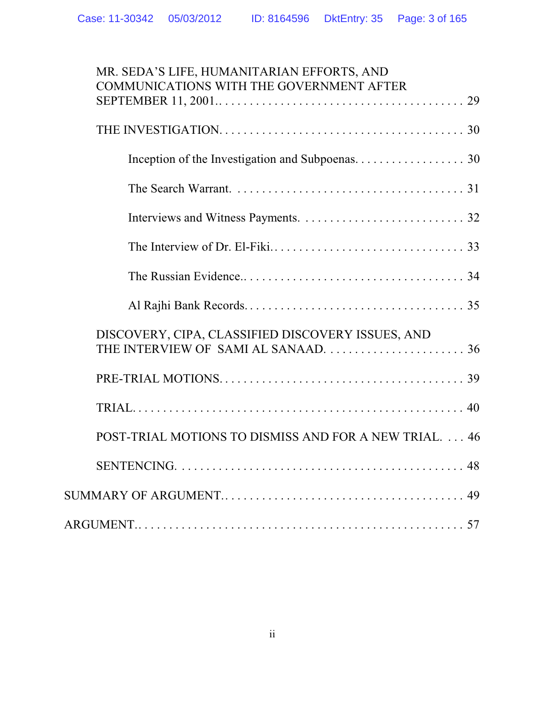| MR. SEDA'S LIFE, HUMANITARIAN EFFORTS, AND<br>COMMUNICATIONS WITH THE GOVERNMENT AFTER    |
|-------------------------------------------------------------------------------------------|
|                                                                                           |
|                                                                                           |
|                                                                                           |
|                                                                                           |
|                                                                                           |
|                                                                                           |
|                                                                                           |
|                                                                                           |
| DISCOVERY, CIPA, CLASSIFIED DISCOVERY ISSUES, AND<br>THE INTERVIEW OF SAMI AL SANAAD.  36 |
|                                                                                           |
|                                                                                           |
| POST-TRIAL MOTIONS TO DISMISS AND FOR A NEW TRIAL.  46                                    |
|                                                                                           |
|                                                                                           |
|                                                                                           |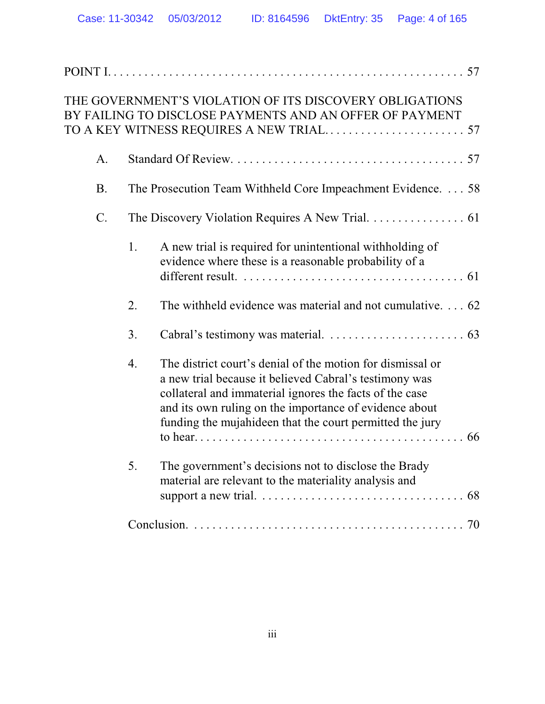|           |    | THE GOVERNMENT'S VIOLATION OF ITS DISCOVERY OBLIGATIONS<br>BY FAILING TO DISCLOSE PAYMENTS AND AN OFFER OF PAYMENT                                                                                                                                                                                    |  |
|-----------|----|-------------------------------------------------------------------------------------------------------------------------------------------------------------------------------------------------------------------------------------------------------------------------------------------------------|--|
| A.        |    |                                                                                                                                                                                                                                                                                                       |  |
| <b>B.</b> |    | The Prosecution Team Withheld Core Impeachment Evidence. 58                                                                                                                                                                                                                                           |  |
| $C$ .     |    | The Discovery Violation Requires A New Trial. 61                                                                                                                                                                                                                                                      |  |
|           | 1. | A new trial is required for unintentional withholding of<br>evidence where these is a reasonable probability of a<br>different result. $\ldots \ldots \ldots \ldots \ldots \ldots \ldots \ldots \ldots \ldots \ldots \ldots$                                                                          |  |
|           | 2. | The withheld evidence was material and not cumulative. 62                                                                                                                                                                                                                                             |  |
|           | 3. |                                                                                                                                                                                                                                                                                                       |  |
|           | 4. | The district court's denial of the motion for dismissal or<br>a new trial because it believed Cabral's testimony was<br>collateral and immaterial ignores the facts of the case<br>and its own ruling on the importance of evidence about<br>funding the mujahideen that the court permitted the jury |  |
|           |    |                                                                                                                                                                                                                                                                                                       |  |
|           | 5. | The government's decisions not to disclose the Brady<br>material are relevant to the materiality analysis and                                                                                                                                                                                         |  |
|           |    |                                                                                                                                                                                                                                                                                                       |  |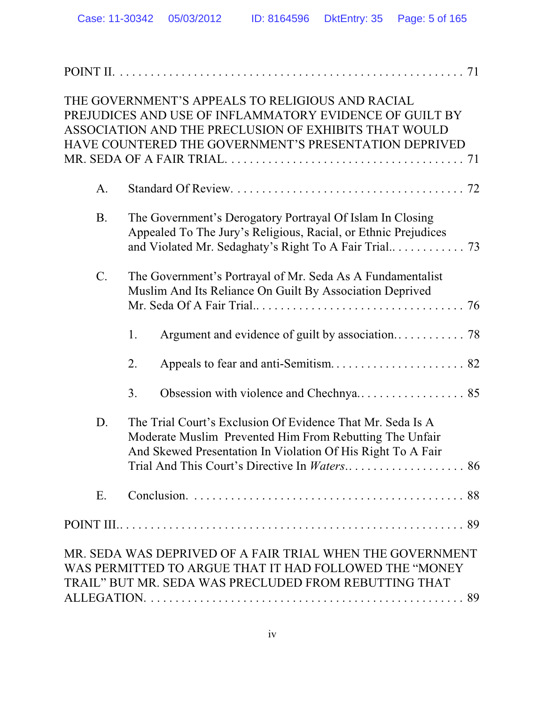|           | THE GOVERNMENT'S APPEALS TO RELIGIOUS AND RACIAL<br>PREJUDICES AND USE OF INFLAMMATORY EVIDENCE OF GUILT BY<br>ASSOCIATION AND THE PRECLUSION OF EXHIBITS THAT WOULD<br>HAVE COUNTERED THE GOVERNMENT'S PRESENTATION DEPRIVED |  |
|-----------|-------------------------------------------------------------------------------------------------------------------------------------------------------------------------------------------------------------------------------|--|
| A.        |                                                                                                                                                                                                                               |  |
| <b>B.</b> | The Government's Derogatory Portrayal Of Islam In Closing<br>Appealed To The Jury's Religious, Racial, or Ethnic Prejudices                                                                                                   |  |
| C.        | The Government's Portrayal of Mr. Seda As A Fundamentalist<br>Muslim And Its Reliance On Guilt By Association Deprived                                                                                                        |  |
|           | 1.                                                                                                                                                                                                                            |  |
|           | 2.                                                                                                                                                                                                                            |  |
|           | 3.                                                                                                                                                                                                                            |  |
| D.        | The Trial Court's Exclusion Of Evidence That Mr. Seda Is A<br>Moderate Muslim Prevented Him From Rebutting The Unfair<br>And Skewed Presentation In Violation Of His Right To A Fair                                          |  |
| Ε.        |                                                                                                                                                                                                                               |  |
|           |                                                                                                                                                                                                                               |  |
|           | MR. SEDA WAS DEPRIVED OF A FAIR TRIAL WHEN THE GOVERNMENT<br>WAS PERMITTED TO ARGUE THAT IT HAD FOLLOWED THE "MONEY<br>TRAIL" BUT MR. SEDA WAS PRECLUDED FROM REBUTTING THAT                                                  |  |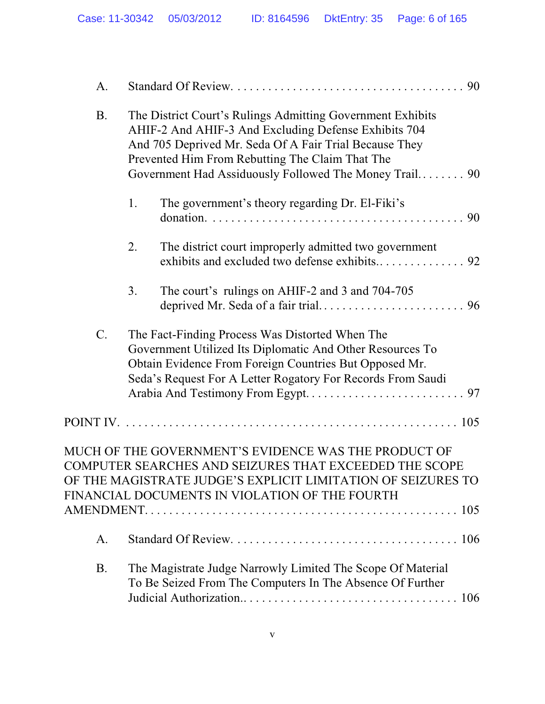| A.        |                                                                                                                                                                                                                                                                                           |
|-----------|-------------------------------------------------------------------------------------------------------------------------------------------------------------------------------------------------------------------------------------------------------------------------------------------|
| <b>B.</b> | The District Court's Rulings Admitting Government Exhibits<br>AHIF-2 And AHIF-3 And Excluding Defense Exhibits 704<br>And 705 Deprived Mr. Seda Of A Fair Trial Because They<br>Prevented Him From Rebutting The Claim That The<br>Government Had Assiduously Followed The Money Trail 90 |
|           | 1.<br>The government's theory regarding Dr. El-Fiki's                                                                                                                                                                                                                                     |
|           | The district court improperly admitted two government<br>2.                                                                                                                                                                                                                               |
|           | 3.<br>The court's rulings on AHIF-2 and 3 and 704-705                                                                                                                                                                                                                                     |
| $C$ .     | The Fact-Finding Process Was Distorted When The<br>Government Utilized Its Diplomatic And Other Resources To<br>Obtain Evidence From Foreign Countries But Opposed Mr.<br>Seda's Request For A Letter Rogatory For Records From Saudi                                                     |
|           |                                                                                                                                                                                                                                                                                           |
|           | MUCH OF THE GOVERNMENT'S EVIDENCE WAS THE PRODUCT OF<br>COMPUTER SEARCHES AND SEIZURES THAT EXCEEDED THE SCOPE<br>OF THE MAGISTRATE JUDGE'S EXPLICIT LIMITATION OF SEIZURES TO<br>FINANCIAL DOCUMENTS IN VIOLATION OF THE FOURTH                                                          |
| A.        |                                                                                                                                                                                                                                                                                           |
| <b>B.</b> | The Magistrate Judge Narrowly Limited The Scope Of Material<br>To Be Seized From The Computers In The Absence Of Further                                                                                                                                                                  |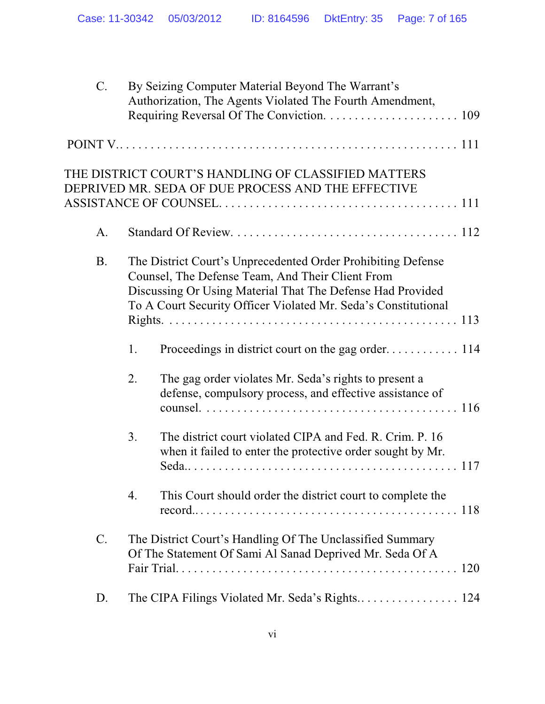| C.        |    | By Seizing Computer Material Beyond The Warrant's<br>Authorization, The Agents Violated The Fourth Amendment,                                                                                                                                    |
|-----------|----|--------------------------------------------------------------------------------------------------------------------------------------------------------------------------------------------------------------------------------------------------|
|           |    |                                                                                                                                                                                                                                                  |
|           |    | THE DISTRICT COURT'S HANDLING OF CLASSIFIED MATTERS<br>DEPRIVED MR. SEDA OF DUE PROCESS AND THE EFFECTIVE                                                                                                                                        |
| A.        |    |                                                                                                                                                                                                                                                  |
| <b>B.</b> |    | The District Court's Unprecedented Order Prohibiting Defense<br>Counsel, The Defense Team, And Their Client From<br>Discussing Or Using Material That The Defense Had Provided<br>To A Court Security Officer Violated Mr. Seda's Constitutional |
|           | 1. |                                                                                                                                                                                                                                                  |
|           | 2. | The gag order violates Mr. Seda's rights to present a<br>defense, compulsory process, and effective assistance of                                                                                                                                |
|           | 3. | The district court violated CIPA and Fed. R. Crim. P. 16<br>when it failed to enter the protective order sought by Mr.                                                                                                                           |
|           | 4. | This Court should order the district court to complete the                                                                                                                                                                                       |
| C.        |    | The District Court's Handling Of The Unclassified Summary<br>Of The Statement Of Sami Al Sanad Deprived Mr. Seda Of A                                                                                                                            |
| D.        |    |                                                                                                                                                                                                                                                  |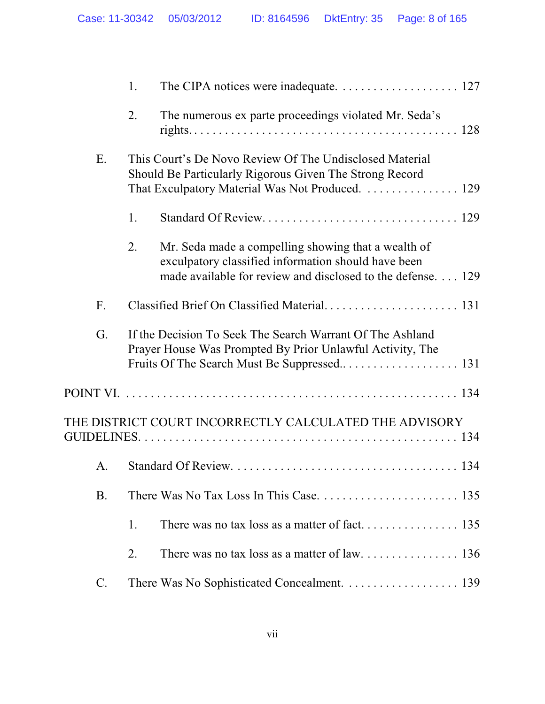|           | 1. |                                                                                                                                                                           |
|-----------|----|---------------------------------------------------------------------------------------------------------------------------------------------------------------------------|
|           | 2. | The numerous ex parte proceedings violated Mr. Seda's                                                                                                                     |
| E.        |    | This Court's De Novo Review Of The Undisclosed Material<br>Should Be Particularly Rigorous Given The Strong Record<br>That Exculpatory Material Was Not Produced.  129    |
|           | 1. |                                                                                                                                                                           |
|           | 2. | Mr. Seda made a compelling showing that a wealth of<br>exculpatory classified information should have been<br>made available for review and disclosed to the defense. 129 |
| F.        |    |                                                                                                                                                                           |
| G.        |    | If the Decision To Seek The Search Warrant Of The Ashland<br>Prayer House Was Prompted By Prior Unlawful Activity, The                                                    |
|           |    |                                                                                                                                                                           |
|           |    | THE DISTRICT COURT INCORRECTLY CALCULATED THE ADVISORY                                                                                                                    |
| A.        |    |                                                                                                                                                                           |
| <b>B.</b> |    |                                                                                                                                                                           |
|           | 1. |                                                                                                                                                                           |
|           | 2. |                                                                                                                                                                           |
| C.        |    | There Was No Sophisticated Concealment. 139                                                                                                                               |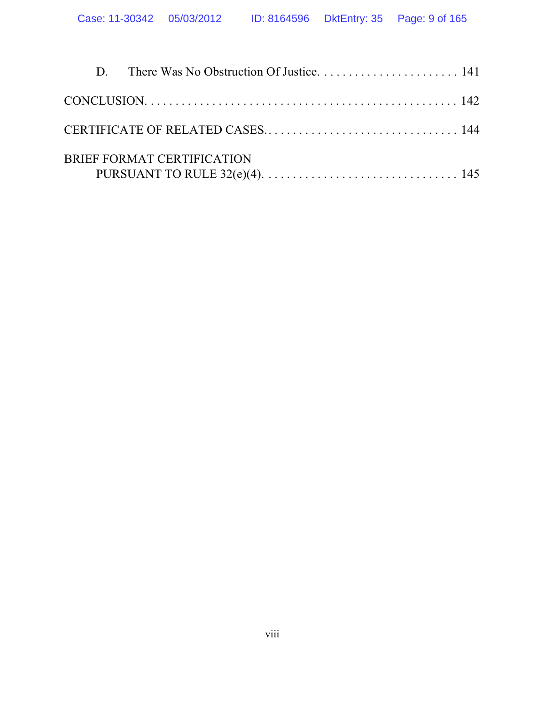|  | BRIEF FORMAT CERTIFICATION |  |
|--|----------------------------|--|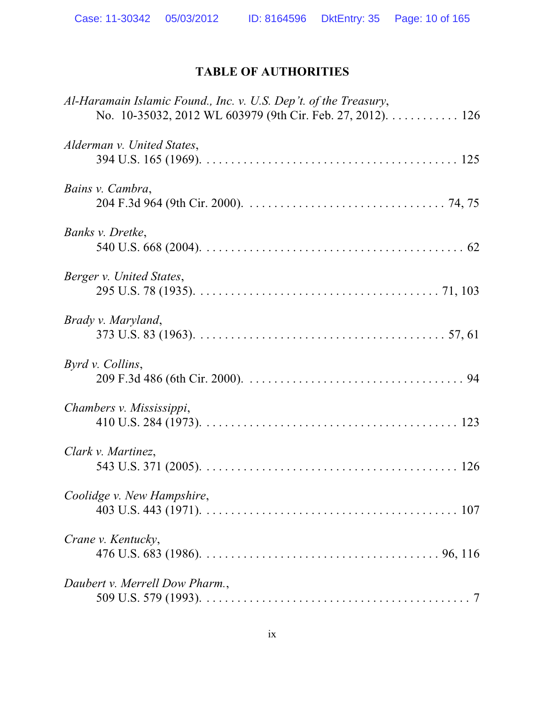# **TABLE OF AUTHORITIES**

| Al-Haramain Islamic Found., Inc. v. U.S. Dep't. of the Treasury,<br>No. 10-35032, 2012 WL 603979 (9th Cir. Feb. 27, 2012). 126 |  |
|--------------------------------------------------------------------------------------------------------------------------------|--|
| Alderman v. United States,                                                                                                     |  |
| Bains v. Cambra,                                                                                                               |  |
| Banks v. Dretke,                                                                                                               |  |
| Berger v. United States,                                                                                                       |  |
| Brady v. Maryland,                                                                                                             |  |
| Byrd v. Collins,                                                                                                               |  |
| Chambers v. Mississippi,                                                                                                       |  |
| Clark v. Martinez,                                                                                                             |  |
| Coolidge v. New Hampshire,                                                                                                     |  |
| Crane v. Kentucky,                                                                                                             |  |
| Daubert v. Merrell Dow Pharm.,                                                                                                 |  |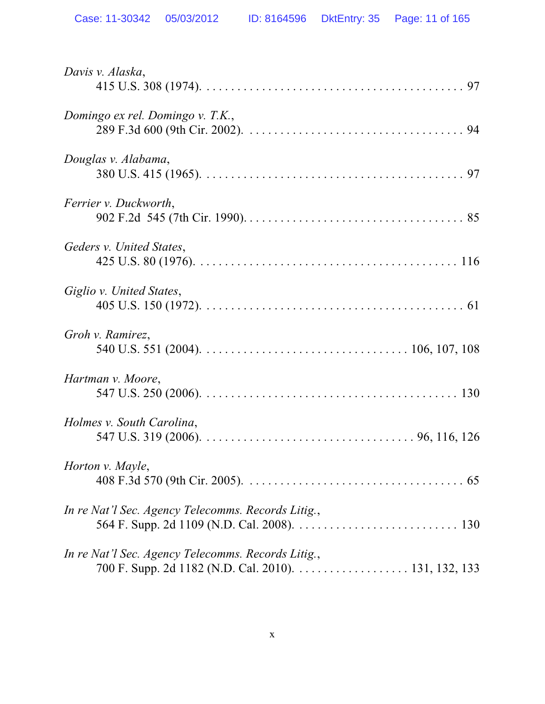| Davis v. Alaska,                                                                                           |
|------------------------------------------------------------------------------------------------------------|
| Domingo ex rel. Domingo v. T.K.,                                                                           |
| Douglas v. Alabama,                                                                                        |
| Ferrier v. Duckworth,                                                                                      |
| Geders v. United States,                                                                                   |
| Giglio v. United States,                                                                                   |
| Groh v. Ramirez,                                                                                           |
| Hartman v. Moore,                                                                                          |
| Holmes v. South Carolina,                                                                                  |
| Horton v. Mayle,                                                                                           |
| In re Nat'l Sec. Agency Telecomms. Records Litig.,                                                         |
| In re Nat'l Sec. Agency Telecomms. Records Litig.,<br>700 F. Supp. 2d 1182 (N.D. Cal. 2010). 131, 132, 133 |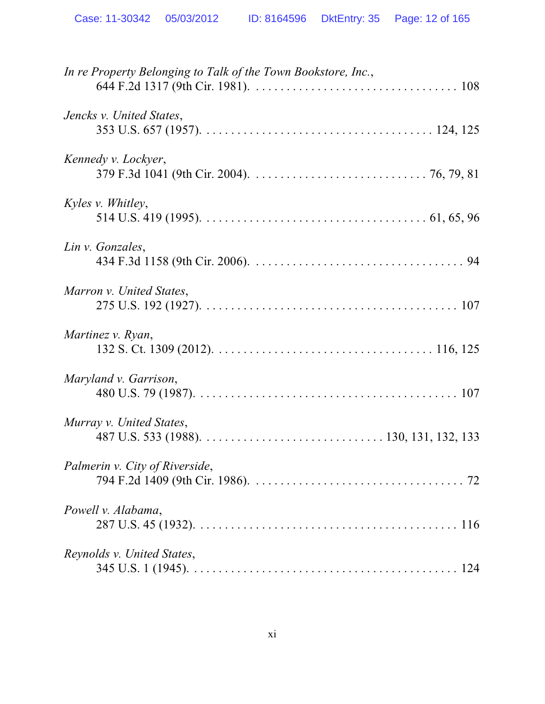| In re Property Belonging to Talk of the Town Bookstore, Inc., |
|---------------------------------------------------------------|
| Jencks v. United States,                                      |
| Kennedy v. Lockyer,                                           |
| <i>Kyles v. Whitley,</i>                                      |
| Lin v. Gonzales,                                              |
| Marron v. United States,                                      |
| Martinez v. Ryan,                                             |
| Maryland v. Garrison,                                         |
| Murray v. United States,                                      |
| Palmerin v. City of Riverside,                                |
| Powell v. Alabama,                                            |
| Reynolds v. United States,                                    |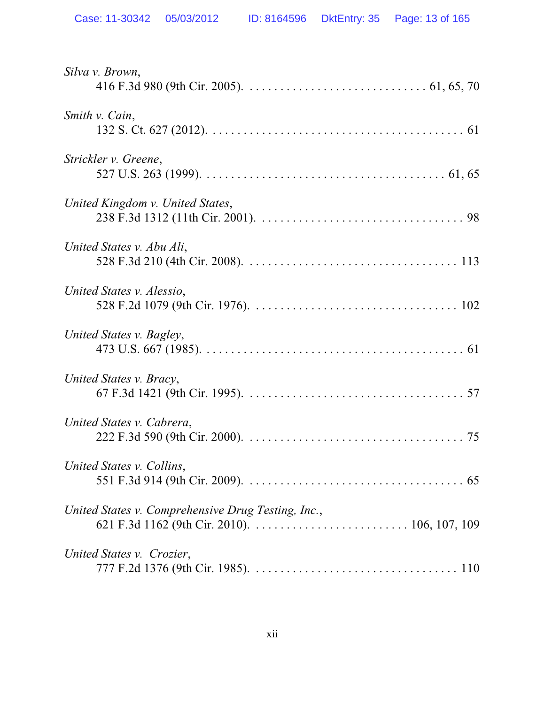| Silva v. Brown,                                    |
|----------------------------------------------------|
| Smith v. Cain,                                     |
| Strickler v. Greene,                               |
| United Kingdom v. United States,                   |
| United States v. Abu Ali,                          |
| United States v. Alessio,                          |
| United States v. Bagley,                           |
| United States v. Bracy,                            |
| United States v. Cabrera,                          |
| United States v. Collins,                          |
| United States v. Comprehensive Drug Testing, Inc., |
| United States v. Crozier,                          |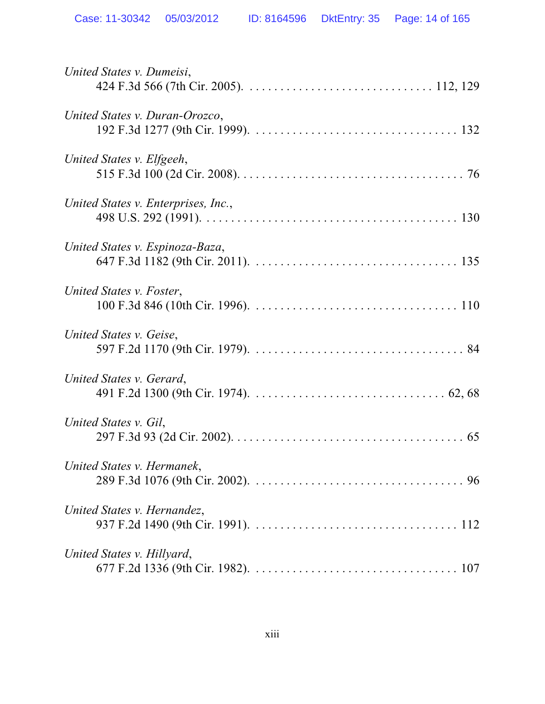| United States v. Dumeisi,           |
|-------------------------------------|
| United States v. Duran-Orozco,      |
| United States v. Elfgeeh,           |
| United States v. Enterprises, Inc., |
| United States v. Espinoza-Baza,     |
| United States v. Foster,            |
| United States v. Geise,             |
| United States v. Gerard,            |
| United States v. Gil,               |
| United States v. Hermanek,          |
| United States v. Hernandez,         |
| United States v. Hillyard,          |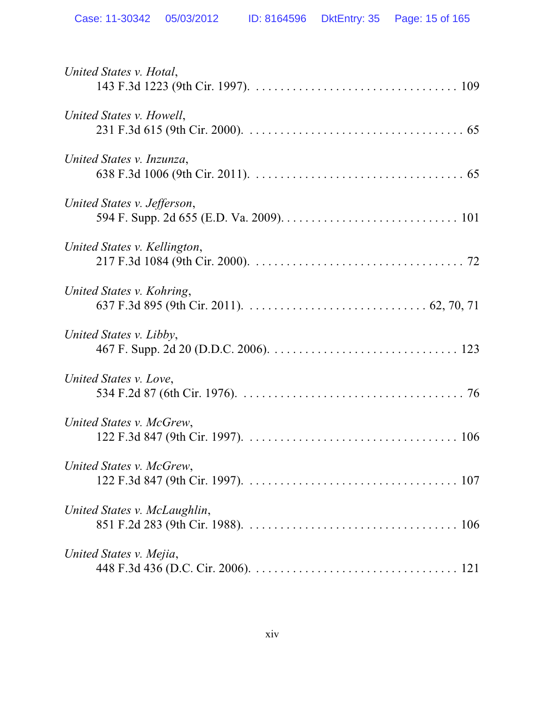| United States v. Hotal,      |
|------------------------------|
| United States v. Howell,     |
| United States v. Inzunza,    |
| United States v. Jefferson,  |
| United States v. Kellington, |
| United States v. Kohring,    |
| United States v. Libby,      |
| United States v. Love,       |
| United States v. McGrew,     |
| United States v. McGrew,     |
| United States v. McLaughlin, |
| United States v. Mejia,      |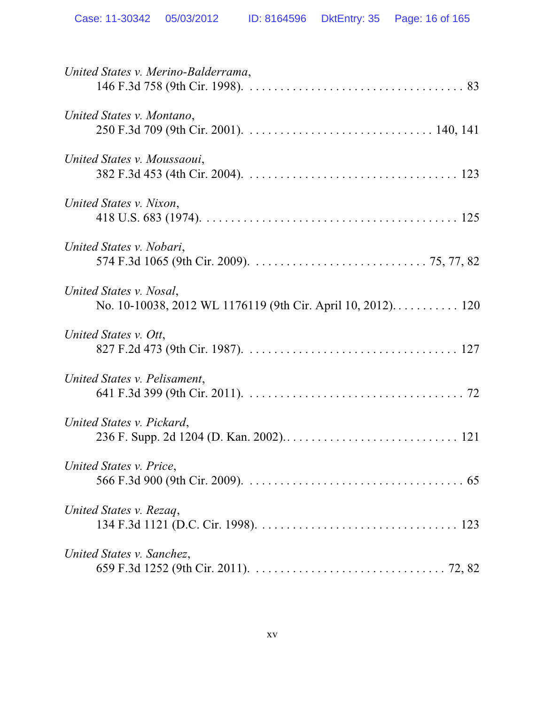| United States v. Merino-Balderrama,                                                    |
|----------------------------------------------------------------------------------------|
| United States v. Montano,                                                              |
| United States v. Moussaoui,                                                            |
| United States v. Nixon,                                                                |
| United States v. Nobari,                                                               |
| United States v. Nosal,<br>No. 10-10038, 2012 WL 1176119 (9th Cir. April 10, 2012) 120 |
| United States v. Ott,                                                                  |
| United States v. Pelisament,                                                           |
| United States v. Pickard,                                                              |
| United States v. Price,                                                                |
| United States v. Rezaq,                                                                |
| United States v. Sanchez,                                                              |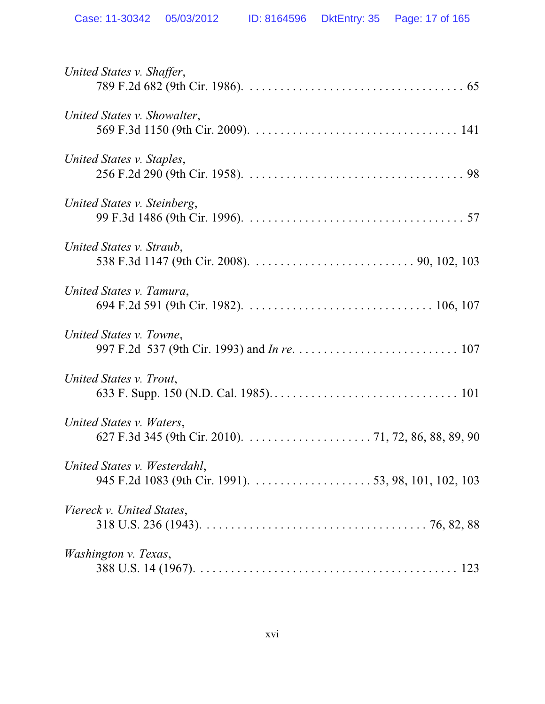| United States v. Shaffer,    |
|------------------------------|
| United States v. Showalter,  |
| United States v. Staples,    |
| United States v. Steinberg,  |
| United States v. Straub,     |
| United States v. Tamura,     |
| United States v. Towne,      |
| United States v. Trout,      |
| United States v. Waters,     |
| United States v. Westerdahl, |
| Viereck v. United States,    |
| <i>Washington v. Texas,</i>  |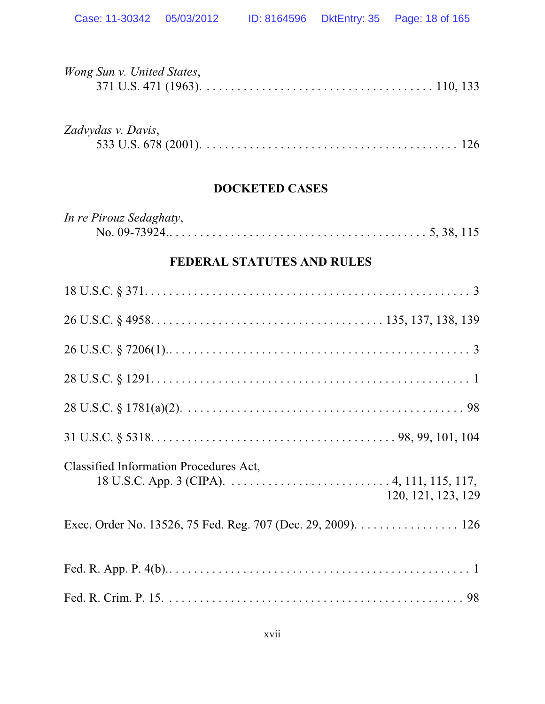| Wong Sun v. United States,                                   |
|--------------------------------------------------------------|
| Zadvydas v. Davis,                                           |
| <b>DOCKETED CASES</b>                                        |
| In re Pirouz Sedaghaty,                                      |
| <b>FEDERAL STATUTES AND RULES</b>                            |
|                                                              |
|                                                              |
|                                                              |
|                                                              |
|                                                              |
|                                                              |
| Classified Information Procedures Act,<br>120, 121, 123, 129 |
| Exec. Order No. 13526, 75 Fed. Reg. 707 (Dec. 29, 2009). 126 |
|                                                              |
|                                                              |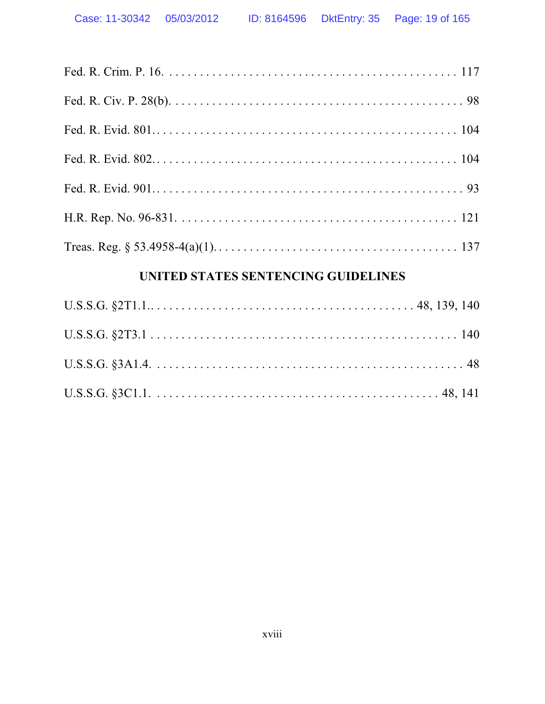## UNITED STATES SENTENCING GUIDELINES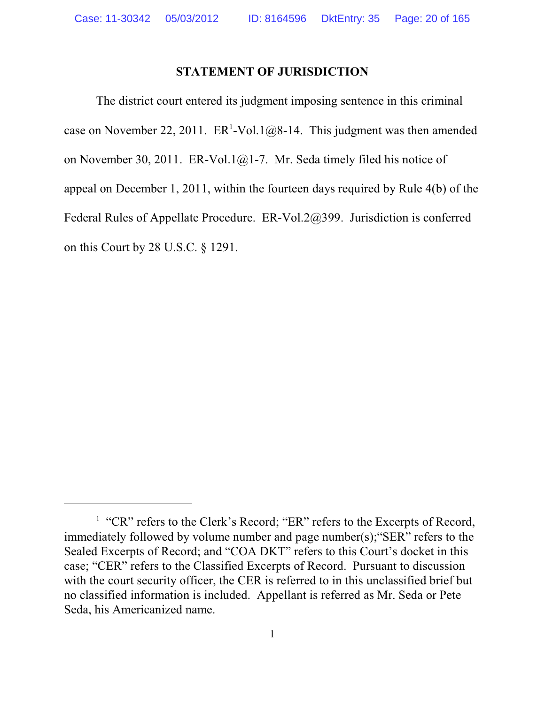### **STATEMENT OF JURISDICTION**

The district court entered its judgment imposing sentence in this criminal case on November 22, 2011.  $ER^1$ -Vol.1@8-14. This judgment was then amended on November 30, 2011. ER-Vol.1@1-7. Mr. Seda timely filed his notice of appeal on December 1, 2011, within the fourteen days required by Rule 4(b) of the Federal Rules of Appellate Procedure. ER-Vol.2@399. Jurisdiction is conferred on this Court by 28 U.S.C. § 1291.

<sup>&</sup>lt;sup>1</sup> "CR" refers to the Clerk's Record; "ER" refers to the Excerpts of Record, immediately followed by volume number and page number(s);"SER" refers to the Sealed Excerpts of Record; and "COA DKT" refers to this Court's docket in this case; "CER" refers to the Classified Excerpts of Record. Pursuant to discussion with the court security officer, the CER is referred to in this unclassified brief but no classified information is included. Appellant is referred as Mr. Seda or Pete Seda, his Americanized name.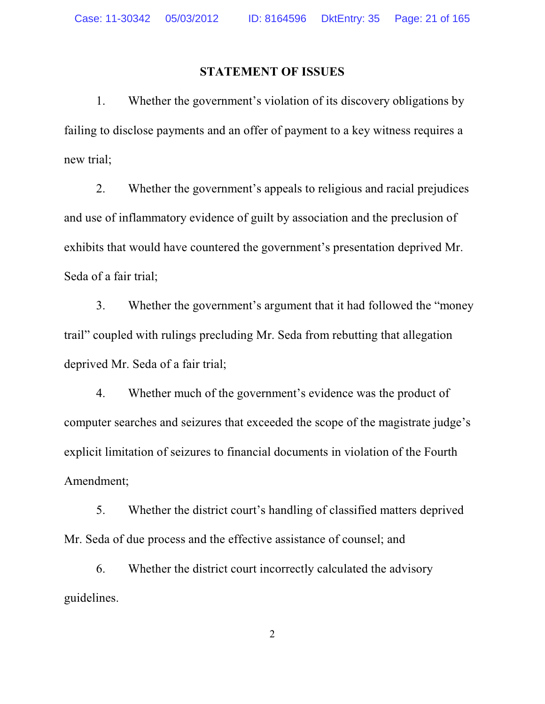#### **STATEMENT OF ISSUES**

1. Whether the government's violation of its discovery obligations by failing to disclose payments and an offer of payment to a key witness requires a new trial;

2. Whether the government's appeals to religious and racial prejudices and use of inflammatory evidence of guilt by association and the preclusion of exhibits that would have countered the government's presentation deprived Mr. Seda of a fair trial;

3. Whether the government's argument that it had followed the "money trail" coupled with rulings precluding Mr. Seda from rebutting that allegation deprived Mr. Seda of a fair trial;

4. Whether much of the government's evidence was the product of computer searches and seizures that exceeded the scope of the magistrate judge's explicit limitation of seizures to financial documents in violation of the Fourth Amendment;

5. Whether the district court's handling of classified matters deprived Mr. Seda of due process and the effective assistance of counsel; and

6. Whether the district court incorrectly calculated the advisory guidelines.

2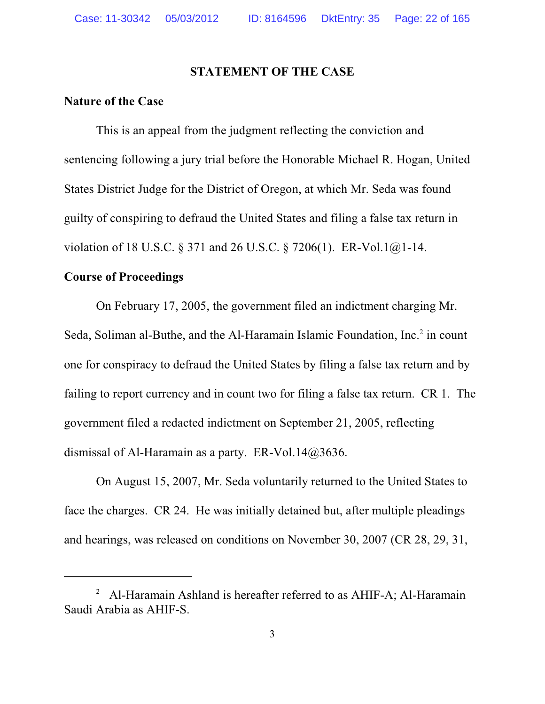### **STATEMENT OF THE CASE**

## **Nature of the Case**

This is an appeal from the judgment reflecting the conviction and sentencing following a jury trial before the Honorable Michael R. Hogan, United States District Judge for the District of Oregon, at which Mr. Seda was found guilty of conspiring to defraud the United States and filing a false tax return in violation of 18 U.S.C. § 371 and 26 U.S.C. § 7206(1). ER-Vol.1@1-14.

#### **Course of Proceedings**

On February 17, 2005, the government filed an indictment charging Mr. Seda, Soliman al-Buthe, and the Al-Haramain Islamic Foundation, Inc.<sup>2</sup> in count one for conspiracy to defraud the United States by filing a false tax return and by failing to report currency and in count two for filing a false tax return. CR 1. The government filed a redacted indictment on September 21, 2005, reflecting dismissal of Al-Haramain as a party. ER-Vol.14@3636.

On August 15, 2007, Mr. Seda voluntarily returned to the United States to face the charges. CR 24. He was initially detained but, after multiple pleadings and hearings, was released on conditions on November 30, 2007 (CR 28, 29, 31,

<sup>&</sup>lt;sup>2</sup> Al-Haramain Ashland is hereafter referred to as AHIF-A; Al-Haramain Saudi Arabia as AHIF-S.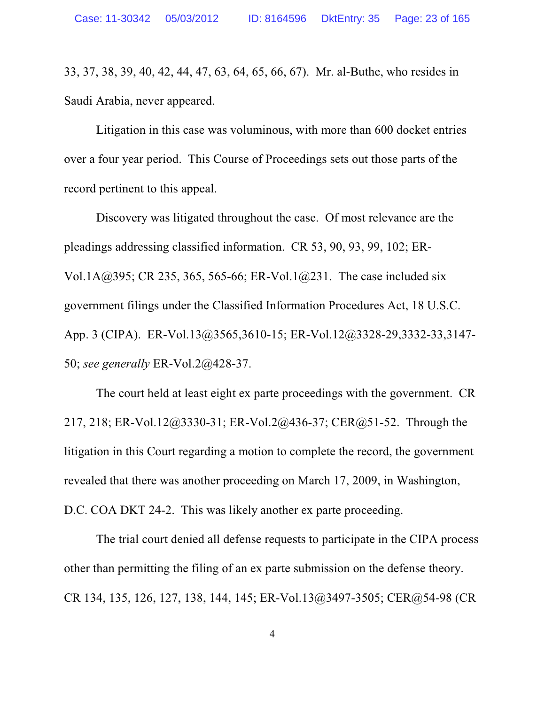33, 37, 38, 39, 40, 42, 44, 47, 63, 64, 65, 66, 67). Mr. al-Buthe, who resides in Saudi Arabia, never appeared.

Litigation in this case was voluminous, with more than 600 docket entries over a four year period. This Course of Proceedings sets out those parts of the record pertinent to this appeal.

Discovery was litigated throughout the case. Of most relevance are the pleadings addressing classified information. CR 53, 90, 93, 99, 102; ER-Vol.1A@395; CR 235, 365, 565-66; ER-Vol.1@231. The case included six government filings under the Classified Information Procedures Act, 18 U.S.C. App. 3 (CIPA). ER-Vol.13@3565,3610-15; ER-Vol.12@3328-29,3332-33,3147- 50; *see generally* ER-Vol.2@428-37.

The court held at least eight ex parte proceedings with the government. CR 217, 218; ER-Vol.12@3330-31; ER-Vol.2@436-37; CER@51-52. Through the litigation in this Court regarding a motion to complete the record, the government revealed that there was another proceeding on March 17, 2009, in Washington, D.C. COA DKT 24-2. This was likely another ex parte proceeding.

The trial court denied all defense requests to participate in the CIPA process other than permitting the filing of an ex parte submission on the defense theory. CR 134, 135, 126, 127, 138, 144, 145; ER-Vol.13@3497-3505; CER@54-98 (CR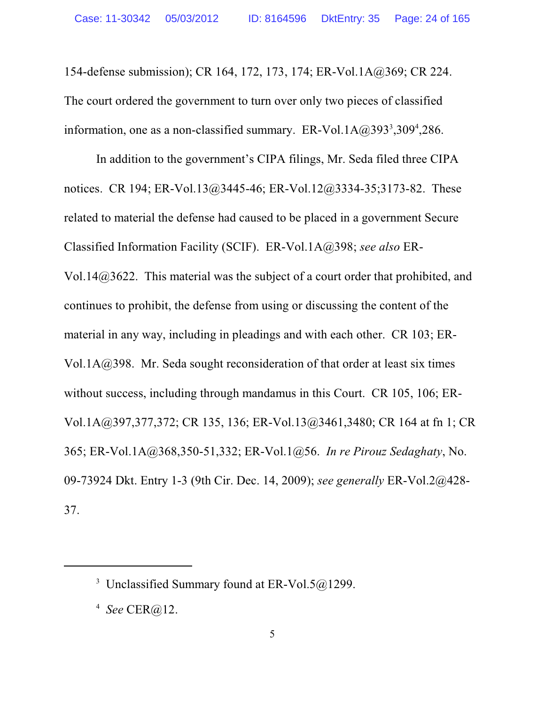154-defense submission); CR 164, 172, 173, 174; ER-Vol.1A@369; CR 224. The court ordered the government to turn over only two pieces of classified information, one as a non-classified summary. ER-Vol.1A $@393^3,309^4,286$ .

In addition to the government's CIPA filings, Mr. Seda filed three CIPA notices. CR 194; ER-Vol.13@3445-46; ER-Vol.12@3334-35;3173-82. These related to material the defense had caused to be placed in a government Secure Classified Information Facility (SCIF). ER-Vol.1A@398; *see also* ER-Vol.14@3622. This material was the subject of a court order that prohibited, and continues to prohibit, the defense from using or discussing the content of the material in any way, including in pleadings and with each other. CR 103; ER-Vol.1A@398. Mr. Seda sought reconsideration of that order at least six times without success, including through mandamus in this Court. CR 105, 106; ER-Vol.1A@397,377,372; CR 135, 136; ER-Vol.13@3461,3480; CR 164 at fn 1; CR 365; ER-Vol.1A@368,350-51,332; ER-Vol.1@56. *In re Pirouz Sedaghaty*, No. 09-73924 Dkt. Entry 1-3 (9th Cir. Dec. 14, 2009); *see generally* ER-Vol.2@428- 37.

<sup>&</sup>lt;sup>3</sup> Unclassified Summary found at ER-Vol.5 $@1299$ .

<sup>4</sup> *See* CER@12.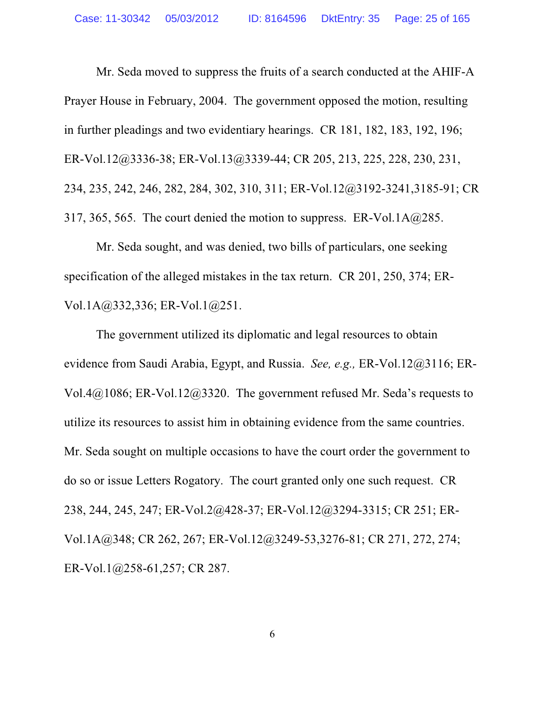Mr. Seda moved to suppress the fruits of a search conducted at the AHIF-A Prayer House in February, 2004. The government opposed the motion, resulting in further pleadings and two evidentiary hearings. CR 181, 182, 183, 192, 196; ER-Vol.12@3336-38; ER-Vol.13@3339-44; CR 205, 213, 225, 228, 230, 231, 234, 235, 242, 246, 282, 284, 302, 310, 311; ER-Vol.12@3192-3241,3185-91; CR 317, 365, 565. The court denied the motion to suppress. ER-Vol.1A $@285$ .

Mr. Seda sought, and was denied, two bills of particulars, one seeking specification of the alleged mistakes in the tax return. CR 201, 250, 374; ER-Vol.1A@332,336; ER-Vol.1@251.

The government utilized its diplomatic and legal resources to obtain evidence from Saudi Arabia, Egypt, and Russia. *See, e.g.,* ER-Vol.12@3116; ER-Vol.4@1086; ER-Vol.12@3320. The government refused Mr. Seda's requests to utilize its resources to assist him in obtaining evidence from the same countries. Mr. Seda sought on multiple occasions to have the court order the government to do so or issue Letters Rogatory. The court granted only one such request. CR 238, 244, 245, 247; ER-Vol.2@428-37; ER-Vol.12@3294-3315; CR 251; ER-Vol.1A@348; CR 262, 267; ER-Vol.12@3249-53,3276-81; CR 271, 272, 274; ER-Vol.1@258-61,257; CR 287.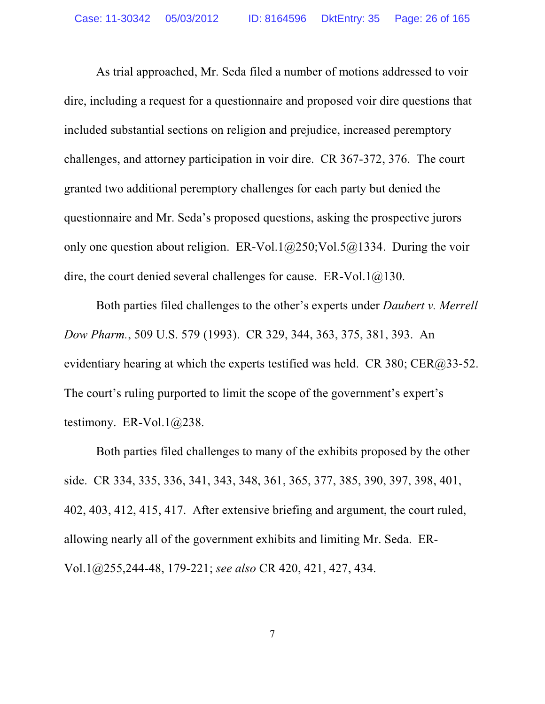As trial approached, Mr. Seda filed a number of motions addressed to voir dire, including a request for a questionnaire and proposed voir dire questions that included substantial sections on religion and prejudice, increased peremptory challenges, and attorney participation in voir dire. CR 367-372, 376. The court granted two additional peremptory challenges for each party but denied the questionnaire and Mr. Seda's proposed questions, asking the prospective jurors only one question about religion. ER-Vol.1 $@250$ ; Vol.5 $@1334$ . During the voir dire, the court denied several challenges for cause.  $ER-Vol.1@130$ .

Both parties filed challenges to the other's experts under *Daubert v. Merrell Dow Pharm.*, 509 U.S. 579 (1993). CR 329, 344, 363, 375, 381, 393. An evidentiary hearing at which the experts testified was held. CR 380; CER $(2, 33-52)$ . The court's ruling purported to limit the scope of the government's expert's testimony. ER-Vol.1@238.

Both parties filed challenges to many of the exhibits proposed by the other side. CR 334, 335, 336, 341, 343, 348, 361, 365, 377, 385, 390, 397, 398, 401, 402, 403, 412, 415, 417. After extensive briefing and argument, the court ruled, allowing nearly all of the government exhibits and limiting Mr. Seda. ER-Vol.1@255,244-48, 179-221; *see also* CR 420, 421, 427, 434.

7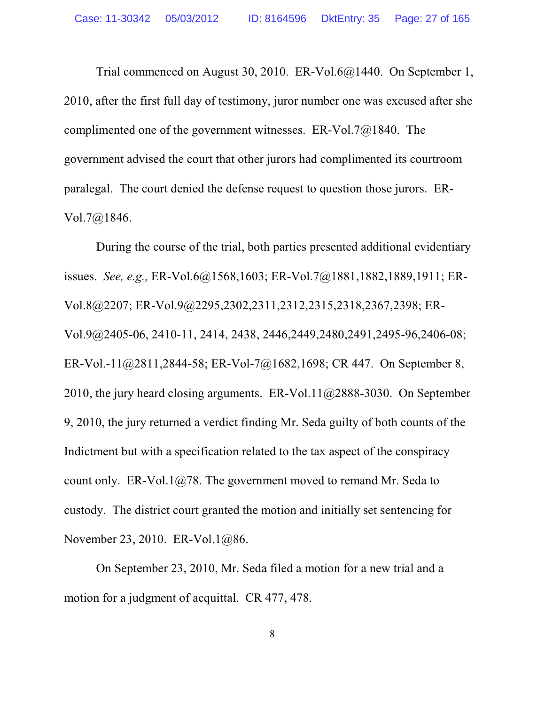Trial commenced on August 30, 2010. ER-Vol.6@1440. On September 1, 2010, after the first full day of testimony, juror number one was excused after she complimented one of the government witnesses. ER-Vol.7@1840. The government advised the court that other jurors had complimented its courtroom paralegal. The court denied the defense request to question those jurors. ER-Vol.7@1846.

During the course of the trial, both parties presented additional evidentiary issues. *See, e.g.,* ER-Vol.6@1568,1603; ER-Vol.7@1881,1882,1889,1911; ER-Vol.8@2207; ER-Vol.9@2295,2302,2311,2312,2315,2318,2367,2398; ER-Vol.9@2405-06, 2410-11, 2414, 2438, 2446,2449,2480,2491,2495-96,2406-08; ER-Vol.-11@2811,2844-58; ER-Vol-7@1682,1698; CR 447. On September 8, 2010, the jury heard closing arguments. ER-Vol.11@2888-3030. On September 9, 2010, the jury returned a verdict finding Mr. Seda guilty of both counts of the Indictment but with a specification related to the tax aspect of the conspiracy count only. ER-Vol.1 $@78$ . The government moved to remand Mr. Seda to custody. The district court granted the motion and initially set sentencing for November 23, 2010. ER-Vol.1@86.

On September 23, 2010, Mr. Seda filed a motion for a new trial and a motion for a judgment of acquittal. CR 477, 478.

8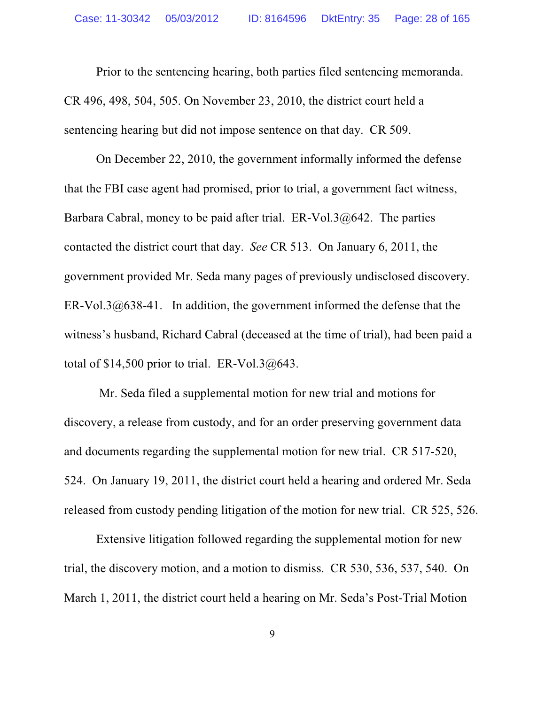Prior to the sentencing hearing, both parties filed sentencing memoranda. CR 496, 498, 504, 505. On November 23, 2010, the district court held a sentencing hearing but did not impose sentence on that day. CR 509.

On December 22, 2010, the government informally informed the defense that the FBI case agent had promised, prior to trial, a government fact witness, Barbara Cabral, money to be paid after trial. ER-Vol.3@642. The parties contacted the district court that day. *See* CR 513. On January 6, 2011, the government provided Mr. Seda many pages of previously undisclosed discovery. ER-Vol.3 $@638-41$ . In addition, the government informed the defense that the witness's husband, Richard Cabral (deceased at the time of trial), had been paid a total of  $$14,500$  prior to trial. ER-Vol.3 $@643$ .

 Mr. Seda filed a supplemental motion for new trial and motions for discovery, a release from custody, and for an order preserving government data and documents regarding the supplemental motion for new trial. CR 517-520, 524. On January 19, 2011, the district court held a hearing and ordered Mr. Seda released from custody pending litigation of the motion for new trial. CR 525, 526.

Extensive litigation followed regarding the supplemental motion for new trial, the discovery motion, and a motion to dismiss. CR 530, 536, 537, 540. On March 1, 2011, the district court held a hearing on Mr. Seda's Post-Trial Motion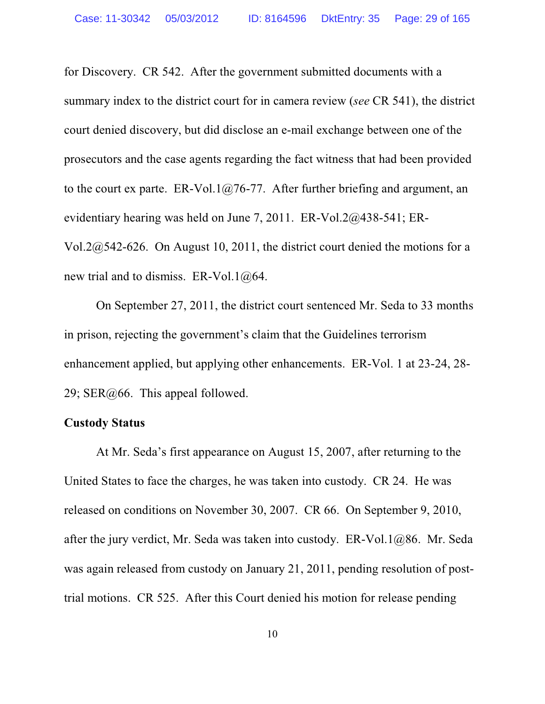for Discovery. CR 542. After the government submitted documents with a summary index to the district court for in camera review (*see* CR 541), the district court denied discovery, but did disclose an e-mail exchange between one of the prosecutors and the case agents regarding the fact witness that had been provided to the court ex parte. ER-Vol.1 $@76-77$ . After further briefing and argument, an evidentiary hearing was held on June 7, 2011. ER-Vol.2@438-541; ER-Vol.2@542-626. On August 10, 2011, the district court denied the motions for a new trial and to dismiss. ER-Vol.1@64.

On September 27, 2011, the district court sentenced Mr. Seda to 33 months in prison, rejecting the government's claim that the Guidelines terrorism enhancement applied, but applying other enhancements. ER-Vol. 1 at 23-24, 28- 29; SER@66. This appeal followed.

## **Custody Status**

At Mr. Seda's first appearance on August 15, 2007, after returning to the United States to face the charges, he was taken into custody. CR 24. He was released on conditions on November 30, 2007. CR 66. On September 9, 2010, after the jury verdict, Mr. Seda was taken into custody. ER-Vol.1@86. Mr. Seda was again released from custody on January 21, 2011, pending resolution of posttrial motions. CR 525. After this Court denied his motion for release pending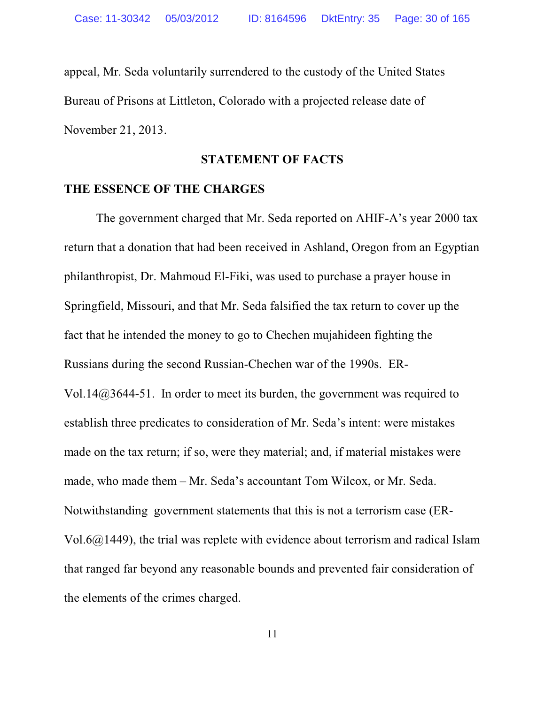appeal, Mr. Seda voluntarily surrendered to the custody of the United States Bureau of Prisons at Littleton, Colorado with a projected release date of November 21, 2013.

## **STATEMENT OF FACTS**

#### **THE ESSENCE OF THE CHARGES**

The government charged that Mr. Seda reported on AHIF-A's year 2000 tax return that a donation that had been received in Ashland, Oregon from an Egyptian philanthropist, Dr. Mahmoud El-Fiki, was used to purchase a prayer house in Springfield, Missouri, and that Mr. Seda falsified the tax return to cover up the fact that he intended the money to go to Chechen mujahideen fighting the Russians during the second Russian-Chechen war of the 1990s. ER-Vol.14@3644-51. In order to meet its burden, the government was required to establish three predicates to consideration of Mr. Seda's intent: were mistakes made on the tax return; if so, were they material; and, if material mistakes were made, who made them – Mr. Seda's accountant Tom Wilcox, or Mr. Seda. Notwithstanding government statements that this is not a terrorism case (ER-Vol.6@1449), the trial was replete with evidence about terrorism and radical Islam that ranged far beyond any reasonable bounds and prevented fair consideration of the elements of the crimes charged.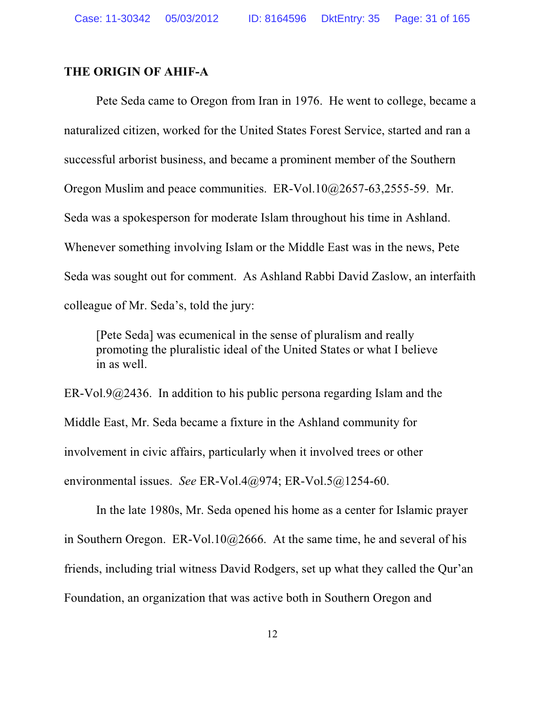## **THE ORIGIN OF AHIF-A**

Pete Seda came to Oregon from Iran in 1976. He went to college, became a naturalized citizen, worked for the United States Forest Service, started and ran a successful arborist business, and became a prominent member of the Southern Oregon Muslim and peace communities. ER-Vol.10@2657-63,2555-59. Mr. Seda was a spokesperson for moderate Islam throughout his time in Ashland. Whenever something involving Islam or the Middle East was in the news, Pete Seda was sought out for comment. As Ashland Rabbi David Zaslow, an interfaith colleague of Mr. Seda's, told the jury:

[Pete Seda] was ecumenical in the sense of pluralism and really promoting the pluralistic ideal of the United States or what I believe in as well.

ER-Vol.9 $@2436$ . In addition to his public persona regarding Islam and the Middle East, Mr. Seda became a fixture in the Ashland community for involvement in civic affairs, particularly when it involved trees or other environmental issues. *See* ER-Vol.4@974; ER-Vol.5@1254-60.

In the late 1980s, Mr. Seda opened his home as a center for Islamic prayer in Southern Oregon. ER-Vol.10@2666. At the same time, he and several of his friends, including trial witness David Rodgers, set up what they called the Qur'an Foundation, an organization that was active both in Southern Oregon and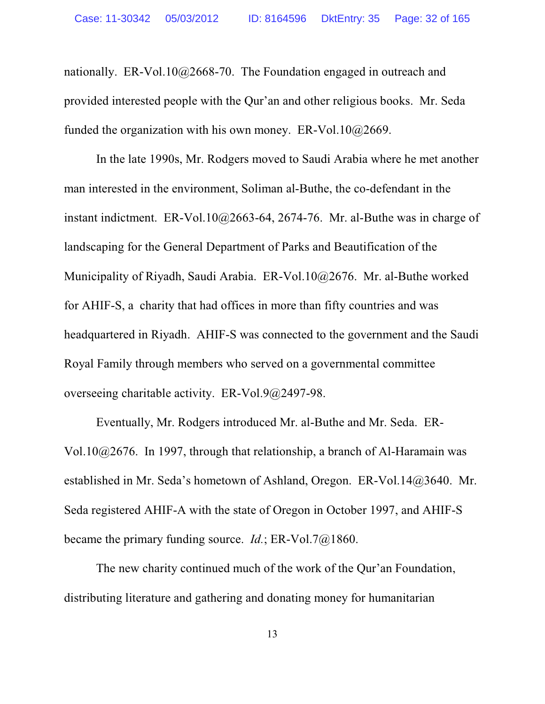nationally. ER-Vol.10@2668-70. The Foundation engaged in outreach and provided interested people with the Qur'an and other religious books. Mr. Seda funded the organization with his own money. ER-Vol.10@2669.

In the late 1990s, Mr. Rodgers moved to Saudi Arabia where he met another man interested in the environment, Soliman al-Buthe, the co-defendant in the instant indictment. ER-Vol.10@2663-64, 2674-76. Mr. al-Buthe was in charge of landscaping for the General Department of Parks and Beautification of the Municipality of Riyadh, Saudi Arabia. ER-Vol.10@2676. Mr. al-Buthe worked for AHIF-S, a charity that had offices in more than fifty countries and was headquartered in Riyadh. AHIF-S was connected to the government and the Saudi Royal Family through members who served on a governmental committee overseeing charitable activity. ER-Vol.9@2497-98.

Eventually, Mr. Rodgers introduced Mr. al-Buthe and Mr. Seda. ER-Vol.10@2676. In 1997, through that relationship, a branch of Al-Haramain was established in Mr. Seda's hometown of Ashland, Oregon. ER-Vol.14@3640. Mr. Seda registered AHIF-A with the state of Oregon in October 1997, and AHIF-S became the primary funding source. *Id.*; ER-Vol.7@1860.

The new charity continued much of the work of the Qur'an Foundation, distributing literature and gathering and donating money for humanitarian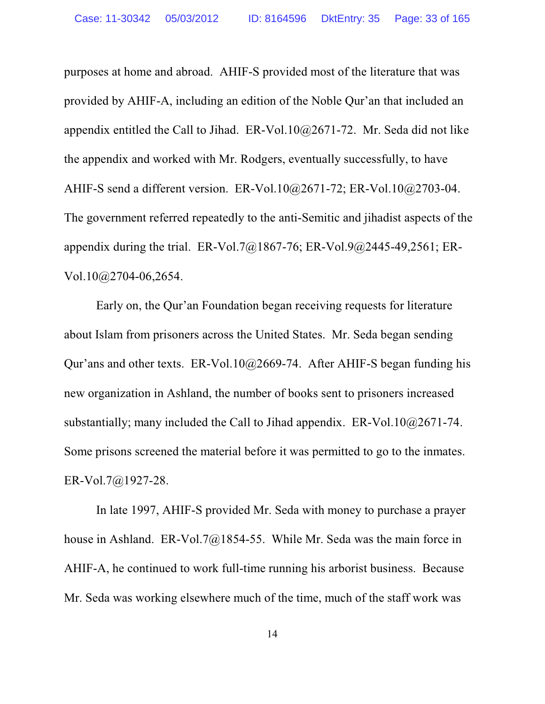purposes at home and abroad. AHIF-S provided most of the literature that was provided by AHIF-A, including an edition of the Noble Qur'an that included an appendix entitled the Call to Jihad. ER-Vol.10@2671-72. Mr. Seda did not like the appendix and worked with Mr. Rodgers, eventually successfully, to have AHIF-S send a different version. ER-Vol.10@2671-72; ER-Vol.10@2703-04. The government referred repeatedly to the anti-Semitic and jihadist aspects of the appendix during the trial. ER-Vol.7@1867-76; ER-Vol.9@2445-49,2561; ER-Vol.10@2704-06,2654.

Early on, the Qur'an Foundation began receiving requests for literature about Islam from prisoners across the United States. Mr. Seda began sending Qur'ans and other texts. ER-Vol.10@2669-74. After AHIF-S began funding his new organization in Ashland, the number of books sent to prisoners increased substantially; many included the Call to Jihad appendix. ER-Vol.10 $@2671-74$ . Some prisons screened the material before it was permitted to go to the inmates. ER-Vol.7@1927-28.

In late 1997, AHIF-S provided Mr. Seda with money to purchase a prayer house in Ashland. ER-Vol.7@1854-55. While Mr. Seda was the main force in AHIF-A, he continued to work full-time running his arborist business. Because Mr. Seda was working elsewhere much of the time, much of the staff work was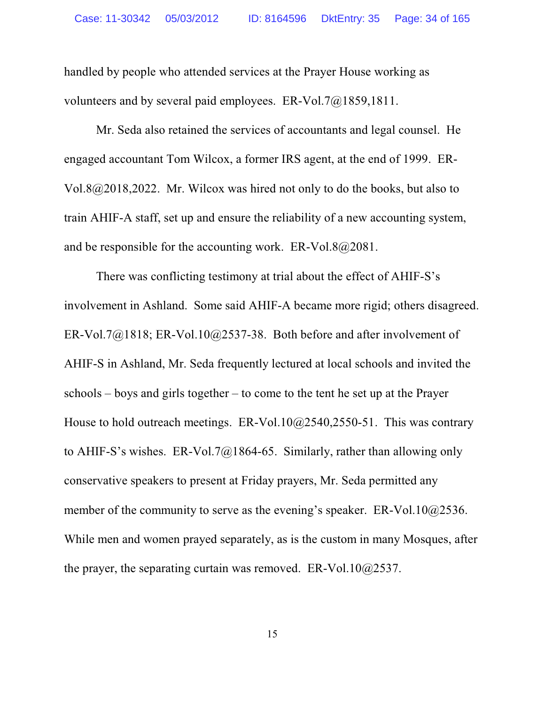handled by people who attended services at the Prayer House working as volunteers and by several paid employees. ER-Vol.7@1859,1811.

Mr. Seda also retained the services of accountants and legal counsel. He engaged accountant Tom Wilcox, a former IRS agent, at the end of 1999. ER-Vol.8@2018,2022. Mr. Wilcox was hired not only to do the books, but also to train AHIF-A staff, set up and ensure the reliability of a new accounting system, and be responsible for the accounting work. ER-Vol.8@2081.

There was conflicting testimony at trial about the effect of AHIF-S's involvement in Ashland. Some said AHIF-A became more rigid; others disagreed. ER-Vol.7 $@1818$ ; ER-Vol.10 $@2537-38$ . Both before and after involvement of AHIF-S in Ashland, Mr. Seda frequently lectured at local schools and invited the schools – boys and girls together – to come to the tent he set up at the Prayer House to hold outreach meetings. ER-Vol.10@2540,2550-51. This was contrary to AHIF-S's wishes. ER-Vol.7 $@1864-65$ . Similarly, rather than allowing only conservative speakers to present at Friday prayers, Mr. Seda permitted any member of the community to serve as the evening's speaker. ER-Vol.10@2536. While men and women prayed separately, as is the custom in many Mosques, after the prayer, the separating curtain was removed. ER-Vol.10@2537.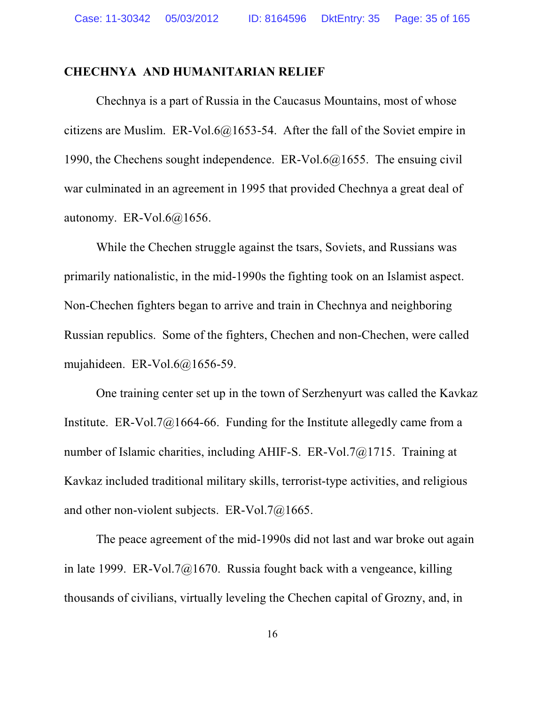## **CHECHNYA AND HUMANITARIAN RELIEF**

Chechnya is a part of Russia in the Caucasus Mountains, most of whose citizens are Muslim. ER-Vol.6@1653-54. After the fall of the Soviet empire in 1990, the Chechens sought independence. ER-Vol.6@1655. The ensuing civil war culminated in an agreement in 1995 that provided Chechnya a great deal of autonomy. ER-Vol.6@1656.

While the Chechen struggle against the tsars, Soviets, and Russians was primarily nationalistic, in the mid-1990s the fighting took on an Islamist aspect. Non-Chechen fighters began to arrive and train in Chechnya and neighboring Russian republics. Some of the fighters, Chechen and non-Chechen, were called mujahideen. ER-Vol.6@1656-59.

One training center set up in the town of Serzhenyurt was called the Kavkaz Institute. ER-Vol.7 $\omega$ 1664-66. Funding for the Institute allegedly came from a number of Islamic charities, including AHIF-S. ER-Vol.7@1715. Training at Kavkaz included traditional military skills, terrorist-type activities, and religious and other non-violent subjects. ER-Vol.7@1665.

The peace agreement of the mid-1990s did not last and war broke out again in late 1999. ER-Vol.7 $\omega$ 1670. Russia fought back with a vengeance, killing thousands of civilians, virtually leveling the Chechen capital of Grozny, and, in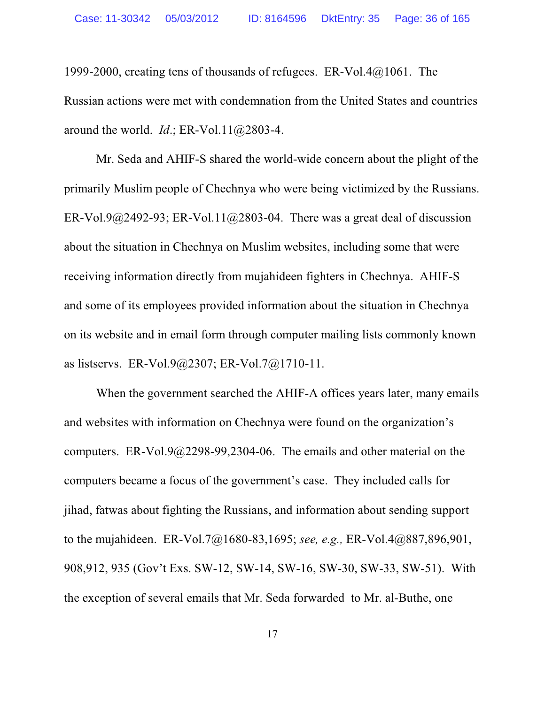1999-2000, creating tens of thousands of refugees. ER-Vol.4@1061. The Russian actions were met with condemnation from the United States and countries around the world. *Id*.; ER-Vol.11@2803-4.

Mr. Seda and AHIF-S shared the world-wide concern about the plight of the primarily Muslim people of Chechnya who were being victimized by the Russians. ER-Vol.9@2492-93; ER-Vol.11@2803-04. There was a great deal of discussion about the situation in Chechnya on Muslim websites, including some that were receiving information directly from mujahideen fighters in Chechnya. AHIF-S and some of its employees provided information about the situation in Chechnya on its website and in email form through computer mailing lists commonly known as listservs. ER-Vol.9@2307; ER-Vol.7@1710-11.

When the government searched the AHIF-A offices years later, many emails and websites with information on Chechnya were found on the organization's computers. ER-Vol.9@2298-99,2304-06. The emails and other material on the computers became a focus of the government's case. They included calls for jihad, fatwas about fighting the Russians, and information about sending support to the mujahideen. ER-Vol.7@1680-83,1695; *see, e.g.,* ER-Vol.4@887,896,901, 908,912, 935 (Gov't Exs. SW-12, SW-14, SW-16, SW-30, SW-33, SW-51). With the exception of several emails that Mr. Seda forwarded to Mr. al-Buthe, one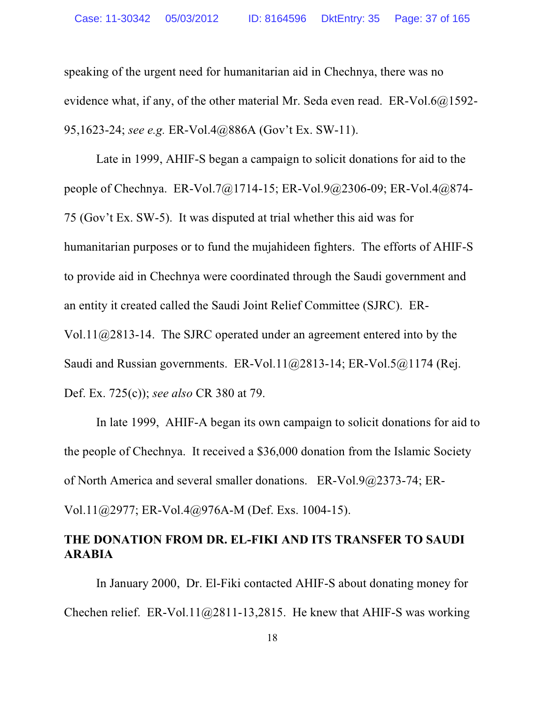speaking of the urgent need for humanitarian aid in Chechnya, there was no evidence what, if any, of the other material Mr. Seda even read. ER-Vol.6@1592- 95,1623-24; *see e.g.* ER-Vol.4@886A (Gov't Ex. SW-11).

Late in 1999, AHIF-S began a campaign to solicit donations for aid to the people of Chechnya. ER-Vol.7@1714-15; ER-Vol.9@2306-09; ER-Vol.4@874- 75 (Gov't Ex. SW-5). It was disputed at trial whether this aid was for humanitarian purposes or to fund the mujahideen fighters. The efforts of AHIF-S to provide aid in Chechnya were coordinated through the Saudi government and an entity it created called the Saudi Joint Relief Committee (SJRC). ER-Vol.11@2813-14. The SJRC operated under an agreement entered into by the Saudi and Russian governments. ER-Vol.11@2813-14; ER-Vol.5@1174 (Rej. Def. Ex. 725(c)); *see also* CR 380 at 79.

In late 1999, AHIF-A began its own campaign to solicit donations for aid to the people of Chechnya. It received a \$36,000 donation from the Islamic Society of North America and several smaller donations. ER-Vol.9@2373-74; ER-

Vol.11@2977; ER-Vol.4@976A-M (Def. Exs. 1004-15).

# **THE DONATION FROM DR. EL-FIKI AND ITS TRANSFER TO SAUDI ARABIA**

In January 2000, Dr. El-Fiki contacted AHIF-S about donating money for Chechen relief. ER-Vol.11 $@2811-13,2815$ . He knew that AHIF-S was working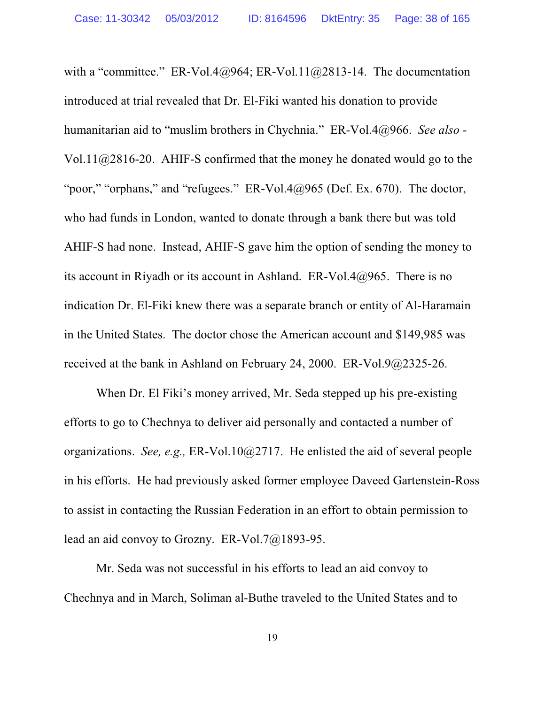with a "committee." ER-Vol.4@964; ER-Vol.11@2813-14. The documentation introduced at trial revealed that Dr. El-Fiki wanted his donation to provide humanitarian aid to "muslim brothers in Chychnia." ER-Vol.4@966. *See also* - Vol.11@2816-20. AHIF-S confirmed that the money he donated would go to the "poor," "orphans," and "refugees."  $ER-Vol.4@965$  (Def. Ex. 670). The doctor, who had funds in London, wanted to donate through a bank there but was told AHIF-S had none. Instead, AHIF-S gave him the option of sending the money to its account in Riyadh or its account in Ashland. ER-Vol.4@965. There is no indication Dr. El-Fiki knew there was a separate branch or entity of Al-Haramain in the United States. The doctor chose the American account and \$149,985 was received at the bank in Ashland on February 24, 2000. ER-Vol.9@2325-26.

When Dr. El Fiki's money arrived, Mr. Seda stepped up his pre-existing efforts to go to Chechnya to deliver aid personally and contacted a number of organizations. *See, e.g.,* ER-Vol.10@2717. He enlisted the aid of several people in his efforts. He had previously asked former employee Daveed Gartenstein-Ross to assist in contacting the Russian Federation in an effort to obtain permission to lead an aid convoy to Grozny. ER-Vol.7@1893-95.

Mr. Seda was not successful in his efforts to lead an aid convoy to Chechnya and in March, Soliman al-Buthe traveled to the United States and to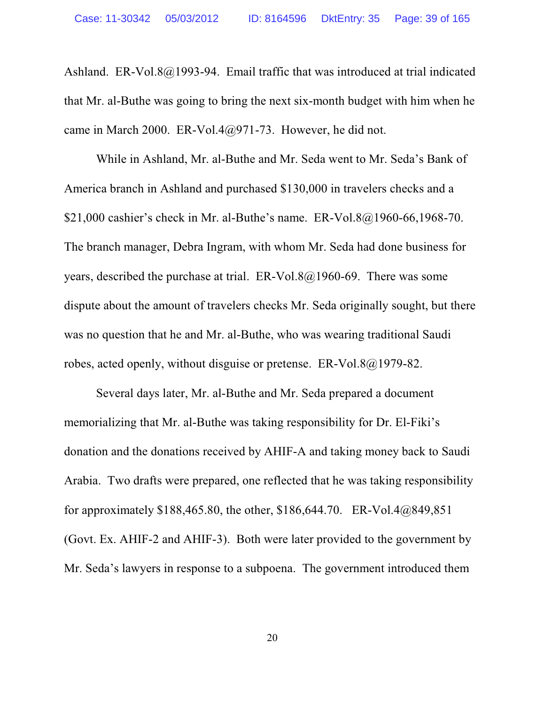Ashland. ER-Vol.8@1993-94. Email traffic that was introduced at trial indicated that Mr. al-Buthe was going to bring the next six-month budget with him when he came in March 2000. ER-Vol.4@971-73. However, he did not.

While in Ashland, Mr. al-Buthe and Mr. Seda went to Mr. Seda's Bank of America branch in Ashland and purchased \$130,000 in travelers checks and a \$21,000 cashier's check in Mr. al-Buthe's name. ER-Vol.8@1960-66,1968-70. The branch manager, Debra Ingram, with whom Mr. Seda had done business for years, described the purchase at trial. ER-Vol.8@1960-69. There was some dispute about the amount of travelers checks Mr. Seda originally sought, but there was no question that he and Mr. al-Buthe, who was wearing traditional Saudi robes, acted openly, without disguise or pretense. ER-Vol.8@1979-82.

Several days later, Mr. al-Buthe and Mr. Seda prepared a document memorializing that Mr. al-Buthe was taking responsibility for Dr. El-Fiki's donation and the donations received by AHIF-A and taking money back to Saudi Arabia. Two drafts were prepared, one reflected that he was taking responsibility for approximately \$188,465.80, the other, \$186,644.70. ER-Vol.4@849,851 (Govt. Ex. AHIF-2 and AHIF-3). Both were later provided to the government by Mr. Seda's lawyers in response to a subpoena. The government introduced them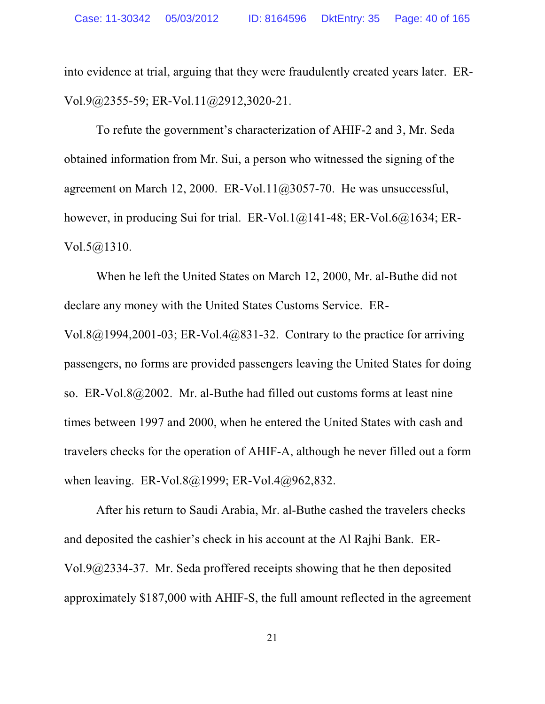into evidence at trial, arguing that they were fraudulently created years later. ER-Vol.9@2355-59; ER-Vol.11@2912,3020-21.

To refute the government's characterization of AHIF-2 and 3, Mr. Seda obtained information from Mr. Sui, a person who witnessed the signing of the agreement on March 12, 2000. ER-Vol.11@3057-70. He was unsuccessful, however, in producing Sui for trial. ER-Vol.1@141-48; ER-Vol.6@1634; ER-Vol.5@1310.

When he left the United States on March 12, 2000, Mr. al-Buthe did not declare any money with the United States Customs Service. ER-Vol.8 $@1994,2001-03$ ; ER-Vol.4 $@831-32$ . Contrary to the practice for arriving passengers, no forms are provided passengers leaving the United States for doing so. ER-Vol.8@2002. Mr. al-Buthe had filled out customs forms at least nine times between 1997 and 2000, when he entered the United States with cash and travelers checks for the operation of AHIF-A, although he never filled out a form when leaving. ER-Vol.8@1999; ER-Vol.4@962,832.

After his return to Saudi Arabia, Mr. al-Buthe cashed the travelers checks and deposited the cashier's check in his account at the Al Rajhi Bank. ER-Vol.9@2334-37. Mr. Seda proffered receipts showing that he then deposited approximately \$187,000 with AHIF-S, the full amount reflected in the agreement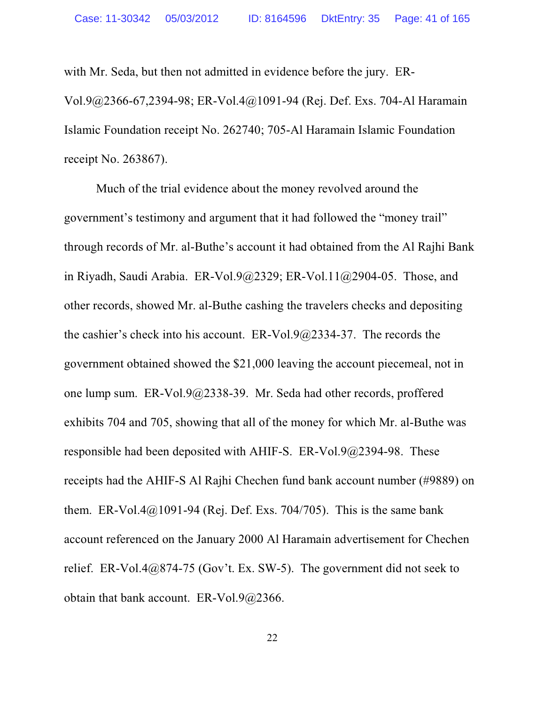with Mr. Seda, but then not admitted in evidence before the jury. ER-Vol.9@2366-67,2394-98; ER-Vol.4@1091-94 (Rej. Def. Exs. 704-Al Haramain Islamic Foundation receipt No. 262740; 705-Al Haramain Islamic Foundation receipt No. 263867).

Much of the trial evidence about the money revolved around the government's testimony and argument that it had followed the "money trail" through records of Mr. al-Buthe's account it had obtained from the Al Rajhi Bank in Riyadh, Saudi Arabia. ER-Vol.9@2329; ER-Vol.11@2904-05. Those, and other records, showed Mr. al-Buthe cashing the travelers checks and depositing the cashier's check into his account. ER-Vol.9@2334-37. The records the government obtained showed the \$21,000 leaving the account piecemeal, not in one lump sum. ER-Vol.9@2338-39. Mr. Seda had other records, proffered exhibits 704 and 705, showing that all of the money for which Mr. al-Buthe was responsible had been deposited with AHIF-S. ER-Vol.9@2394-98. These receipts had the AHIF-S Al Rajhi Chechen fund bank account number (#9889) on them. ER-Vol.4 $@1091-94$  (Rej. Def. Exs. 704/705). This is the same bank account referenced on the January 2000 Al Haramain advertisement for Chechen relief. ER-Vol.4@874-75 (Gov't. Ex. SW-5). The government did not seek to obtain that bank account. ER-Vol.9@2366.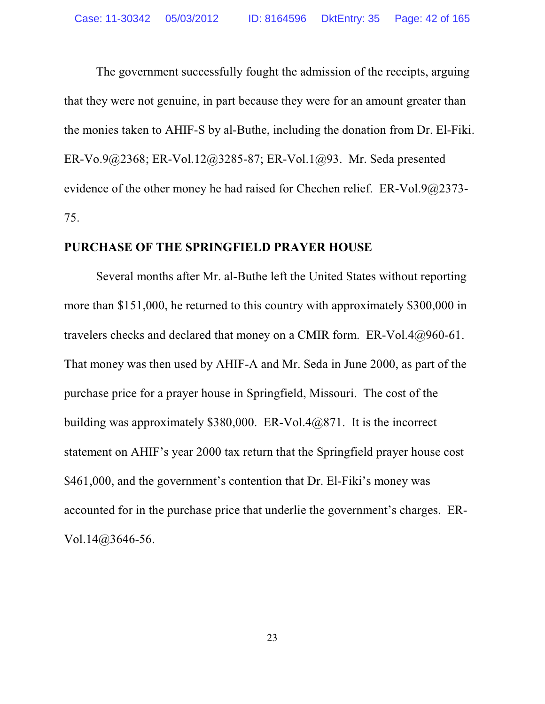The government successfully fought the admission of the receipts, arguing that they were not genuine, in part because they were for an amount greater than the monies taken to AHIF-S by al-Buthe, including the donation from Dr. El-Fiki. ER-Vo.9@2368; ER-Vol.12@3285-87; ER-Vol.1@93. Mr. Seda presented evidence of the other money he had raised for Chechen relief. ER-Vol.9@2373- 75.

## **PURCHASE OF THE SPRINGFIELD PRAYER HOUSE**

Several months after Mr. al-Buthe left the United States without reporting more than \$151,000, he returned to this country with approximately \$300,000 in travelers checks and declared that money on a CMIR form. ER-Vol.4@960-61. That money was then used by AHIF-A and Mr. Seda in June 2000, as part of the purchase price for a prayer house in Springfield, Missouri. The cost of the building was approximately \$380,000. ER-Vol.4@871. It is the incorrect statement on AHIF's year 2000 tax return that the Springfield prayer house cost \$461,000, and the government's contention that Dr. El-Fiki's money was accounted for in the purchase price that underlie the government's charges. ER-Vol.14@3646-56.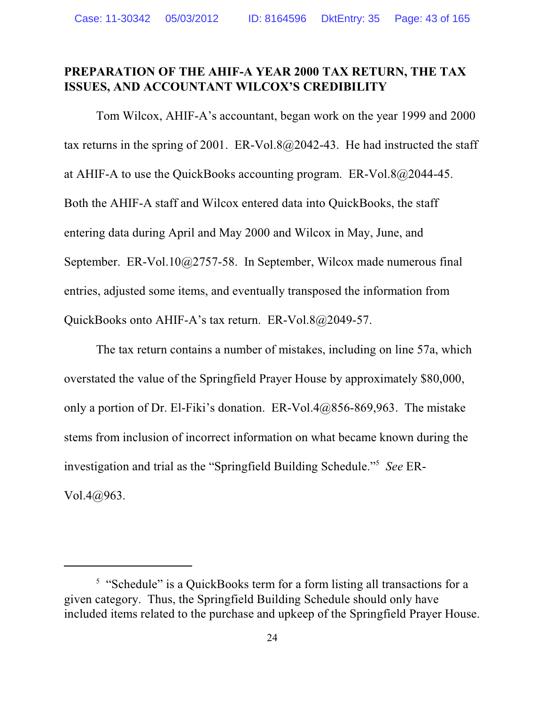## **PREPARATION OF THE AHIF-A YEAR 2000 TAX RETURN, THE TAX ISSUES, AND ACCOUNTANT WILCOX'S CREDIBILITY**

Tom Wilcox, AHIF-A's accountant, began work on the year 1999 and 2000 tax returns in the spring of 2001. ER-Vol.8 $@2042-43$ . He had instructed the staff at AHIF-A to use the QuickBooks accounting program. ER-Vol.8@2044-45. Both the AHIF-A staff and Wilcox entered data into QuickBooks, the staff entering data during April and May 2000 and Wilcox in May, June, and September. ER-Vol.10@2757-58. In September, Wilcox made numerous final entries, adjusted some items, and eventually transposed the information from QuickBooks onto AHIF-A's tax return. ER-Vol.8@2049-57.

The tax return contains a number of mistakes, including on line 57a, which overstated the value of the Springfield Prayer House by approximately \$80,000, only a portion of Dr. El-Fiki's donation. ER-Vol.4@856-869,963. The mistake stems from inclusion of incorrect information on what became known during the investigation and trial as the "Springfield Building Schedule."<sup>5</sup> *See* ER-Vol.4@963.

<sup>&</sup>lt;sup>5</sup> "Schedule" is a QuickBooks term for a form listing all transactions for a given category. Thus, the Springfield Building Schedule should only have included items related to the purchase and upkeep of the Springfield Prayer House.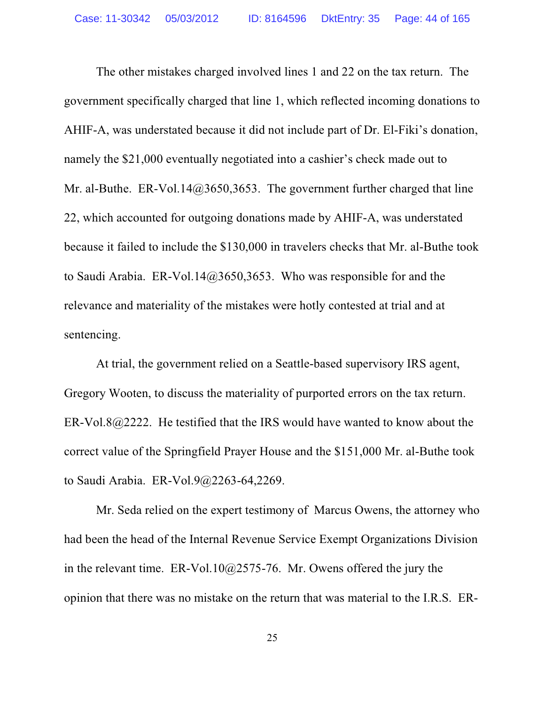The other mistakes charged involved lines 1 and 22 on the tax return. The government specifically charged that line 1, which reflected incoming donations to AHIF-A, was understated because it did not include part of Dr. El-Fiki's donation, namely the \$21,000 eventually negotiated into a cashier's check made out to Mr. al-Buthe. ER-Vol.14@3650,3653. The government further charged that line 22, which accounted for outgoing donations made by AHIF-A, was understated because it failed to include the \$130,000 in travelers checks that Mr. al-Buthe took to Saudi Arabia. ER-Vol.14@3650,3653. Who was responsible for and the relevance and materiality of the mistakes were hotly contested at trial and at sentencing.

At trial, the government relied on a Seattle-based supervisory IRS agent, Gregory Wooten, to discuss the materiality of purported errors on the tax return. ER-Vol.8@2222. He testified that the IRS would have wanted to know about the correct value of the Springfield Prayer House and the \$151,000 Mr. al-Buthe took to Saudi Arabia. ER-Vol.9@2263-64,2269.

Mr. Seda relied on the expert testimony of Marcus Owens, the attorney who had been the head of the Internal Revenue Service Exempt Organizations Division in the relevant time. ER-Vol.10 $@2575-76$ . Mr. Owens offered the jury the opinion that there was no mistake on the return that was material to the I.R.S. ER-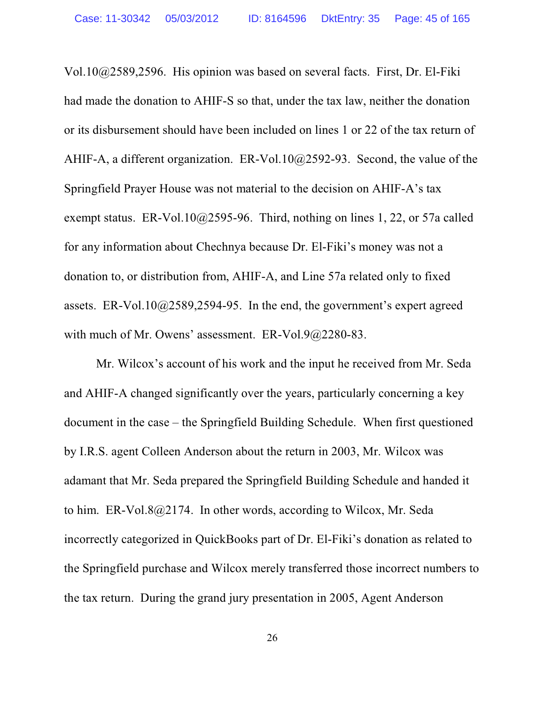Vol.10@2589,2596. His opinion was based on several facts. First, Dr. El-Fiki had made the donation to AHIF-S so that, under the tax law, neither the donation or its disbursement should have been included on lines 1 or 22 of the tax return of AHIF-A, a different organization. ER-Vol.10@2592-93. Second, the value of the Springfield Prayer House was not material to the decision on AHIF-A's tax exempt status. ER-Vol.10@2595-96. Third, nothing on lines 1, 22, or 57a called for any information about Chechnya because Dr. El-Fiki's money was not a donation to, or distribution from, AHIF-A, and Line 57a related only to fixed assets. ER-Vol.10@2589,2594-95. In the end, the government's expert agreed with much of Mr. Owens' assessment. ER-Vol.9@2280-83.

Mr. Wilcox's account of his work and the input he received from Mr. Seda and AHIF-A changed significantly over the years, particularly concerning a key document in the case – the Springfield Building Schedule. When first questioned by I.R.S. agent Colleen Anderson about the return in 2003, Mr. Wilcox was adamant that Mr. Seda prepared the Springfield Building Schedule and handed it to him. ER-Vol.8@2174. In other words, according to Wilcox, Mr. Seda incorrectly categorized in QuickBooks part of Dr. El-Fiki's donation as related to the Springfield purchase and Wilcox merely transferred those incorrect numbers to the tax return. During the grand jury presentation in 2005, Agent Anderson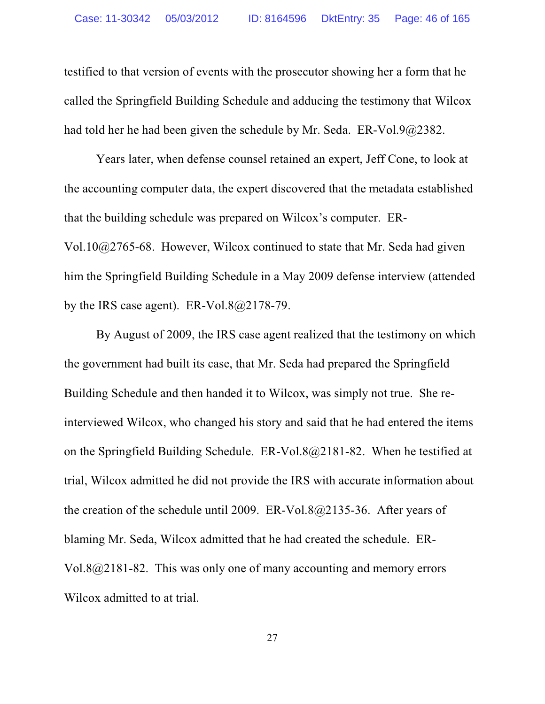testified to that version of events with the prosecutor showing her a form that he called the Springfield Building Schedule and adducing the testimony that Wilcox had told her he had been given the schedule by Mr. Seda. ER-Vol.9@2382.

Years later, when defense counsel retained an expert, Jeff Cone, to look at the accounting computer data, the expert discovered that the metadata established that the building schedule was prepared on Wilcox's computer. ER-Vol.10@2765-68. However, Wilcox continued to state that Mr. Seda had given him the Springfield Building Schedule in a May 2009 defense interview (attended by the IRS case agent). ER-Vol.8 $@2178-79$ .

By August of 2009, the IRS case agent realized that the testimony on which the government had built its case, that Mr. Seda had prepared the Springfield Building Schedule and then handed it to Wilcox, was simply not true. She reinterviewed Wilcox, who changed his story and said that he had entered the items on the Springfield Building Schedule. ER-Vol.8@2181-82. When he testified at trial, Wilcox admitted he did not provide the IRS with accurate information about the creation of the schedule until 2009. ER-Vol.8@2135-36. After years of blaming Mr. Seda, Wilcox admitted that he had created the schedule. ER-Vol.8@2181-82. This was only one of many accounting and memory errors Wilcox admitted to at trial.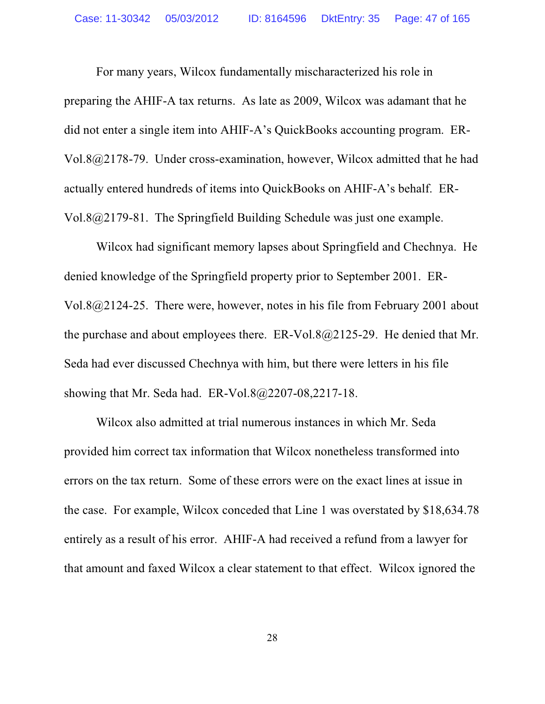For many years, Wilcox fundamentally mischaracterized his role in preparing the AHIF-A tax returns. As late as 2009, Wilcox was adamant that he did not enter a single item into AHIF-A's QuickBooks accounting program. ER-Vol.8@2178-79. Under cross-examination, however, Wilcox admitted that he had actually entered hundreds of items into QuickBooks on AHIF-A's behalf. ER-Vol.8@2179-81. The Springfield Building Schedule was just one example.

Wilcox had significant memory lapses about Springfield and Chechnya. He denied knowledge of the Springfield property prior to September 2001. ER-Vol.8@2124-25. There were, however, notes in his file from February 2001 about the purchase and about employees there. ER-Vol.8@2125-29. He denied that Mr. Seda had ever discussed Chechnya with him, but there were letters in his file showing that Mr. Seda had. ER-Vol.8@2207-08,2217-18.

Wilcox also admitted at trial numerous instances in which Mr. Seda provided him correct tax information that Wilcox nonetheless transformed into errors on the tax return. Some of these errors were on the exact lines at issue in the case. For example, Wilcox conceded that Line 1 was overstated by \$18,634.78 entirely as a result of his error. AHIF-A had received a refund from a lawyer for that amount and faxed Wilcox a clear statement to that effect. Wilcox ignored the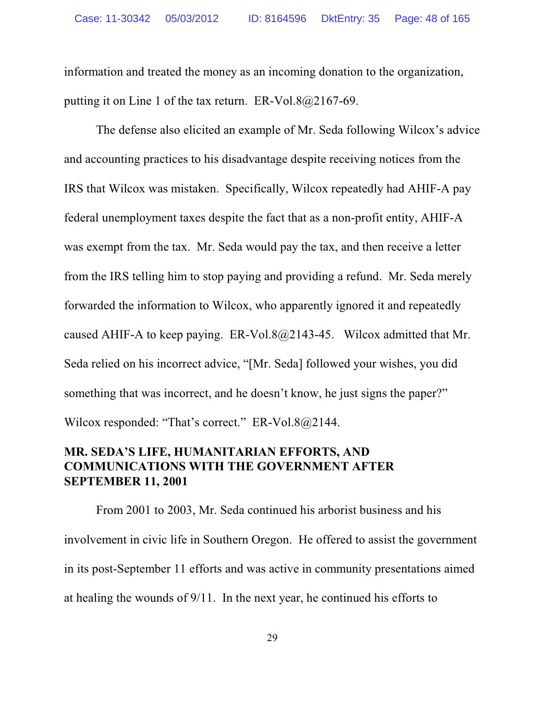information and treated the money as an incoming donation to the organization, putting it on Line 1 of the tax return. ER-Vol.8@2167-69.

The defense also elicited an example of Mr. Seda following Wilcox's advice and accounting practices to his disadvantage despite receiving notices from the IRS that Wilcox was mistaken. Specifically, Wilcox repeatedly had AHIF-A pay federal unemployment taxes despite the fact that as a non-profit entity, AHIF-A was exempt from the tax. Mr. Seda would pay the tax, and then receive a letter from the IRS telling him to stop paying and providing a refund. Mr. Seda merely forwarded the information to Wilcox, who apparently ignored it and repeatedly caused AHIF-A to keep paying.  $ER-Vol.8(a)2143-45$ . Wilcox admitted that Mr. Seda relied on his incorrect advice, "[Mr. Seda] followed your wishes, you did something that was incorrect, and he doesn't know, he just signs the paper?" Wilcox responded: "That's correct." ER-Vol.8@2144.

## **MR. SEDA'S LIFE, HUMANITARIAN EFFORTS, AND COMMUNICATIONS WITH THE GOVERNMENT AFTER SEPTEMBER 11, 2001**

From 2001 to 2003, Mr. Seda continued his arborist business and his involvement in civic life in Southern Oregon. He offered to assist the government in its post-September 11 efforts and was active in community presentations aimed at healing the wounds of 9/11. In the next year, he continued his efforts to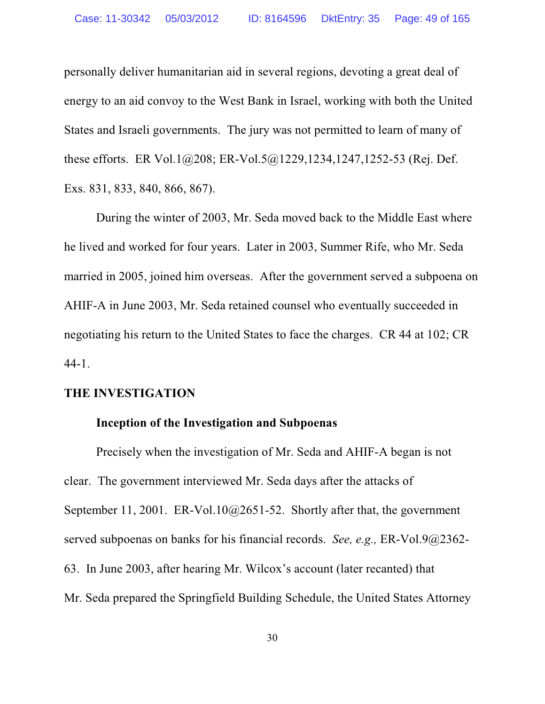personally deliver humanitarian aid in several regions, devoting a great deal of energy to an aid convoy to the West Bank in Israel, working with both the United States and Israeli governments. The jury was not permitted to learn of many of these efforts. ER Vol.1@208; ER-Vol.5@1229,1234,1247,1252-53 (Rej. Def. Exs. 831, 833, 840, 866, 867).

During the winter of 2003, Mr. Seda moved back to the Middle East where he lived and worked for four years. Later in 2003, Summer Rife, who Mr. Seda married in 2005, joined him overseas. After the government served a subpoena on AHIF-A in June 2003, Mr. Seda retained counsel who eventually succeeded in negotiating his return to the United States to face the charges. CR 44 at 102; CR 44-1.

## **THE INVESTIGATION**

## **Inception of the Investigation and Subpoenas**

Precisely when the investigation of Mr. Seda and AHIF-A began is not clear. The government interviewed Mr. Seda days after the attacks of September 11, 2001. ER-Vol.10@2651-52. Shortly after that, the government served subpoenas on banks for his financial records. *See, e.g.,* ER-Vol.9@2362- 63. In June 2003, after hearing Mr. Wilcox's account (later recanted) that Mr. Seda prepared the Springfield Building Schedule, the United States Attorney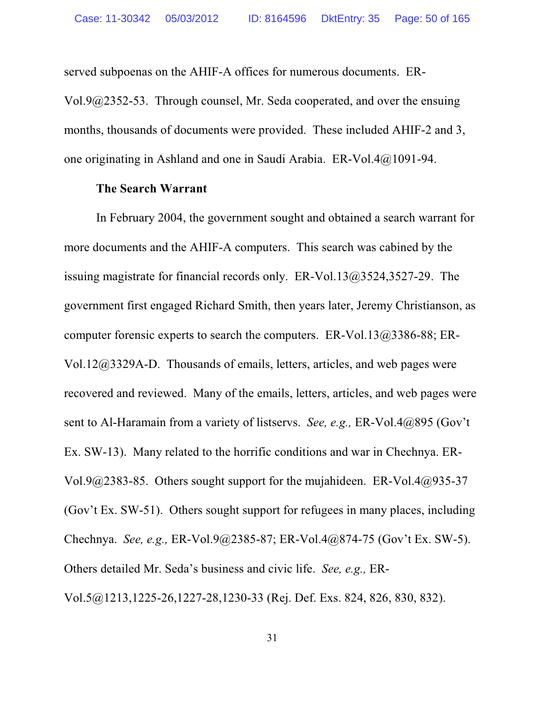served subpoenas on the AHIF-A offices for numerous documents. ER-Vol.9@2352-53. Through counsel, Mr. Seda cooperated, and over the ensuing months, thousands of documents were provided. These included AHIF-2 and 3, one originating in Ashland and one in Saudi Arabia. ER-Vol.4@1091-94.

### **The Search Warrant**

In February 2004, the government sought and obtained a search warrant for more documents and the AHIF-A computers. This search was cabined by the issuing magistrate for financial records only. ER-Vol.13@3524,3527-29. The government first engaged Richard Smith, then years later, Jeremy Christianson, as computer forensic experts to search the computers. ER-Vol.13@3386-88; ER-Vol.12@3329A-D. Thousands of emails, letters, articles, and web pages were recovered and reviewed. Many of the emails, letters, articles, and web pages were sent to Al-Haramain from a variety of listservs. *See, e.g.,* ER-Vol.4@895 (Gov't Ex. SW-13). Many related to the horrific conditions and war in Chechnya. ER-Vol.9@2383-85. Others sought support for the mujahideen. ER-Vol.4@935-37 (Gov't Ex. SW-51). Others sought support for refugees in many places, including Chechnya. *See, e.g.,* ER-Vol.9@2385-87; ER-Vol.4@874-75 (Gov't Ex. SW-5). Others detailed Mr. Seda's business and civic life. *See, e.g.,* ER-Vol.5@1213,1225-26,1227-28,1230-33 (Rej. Def. Exs. 824, 826, 830, 832).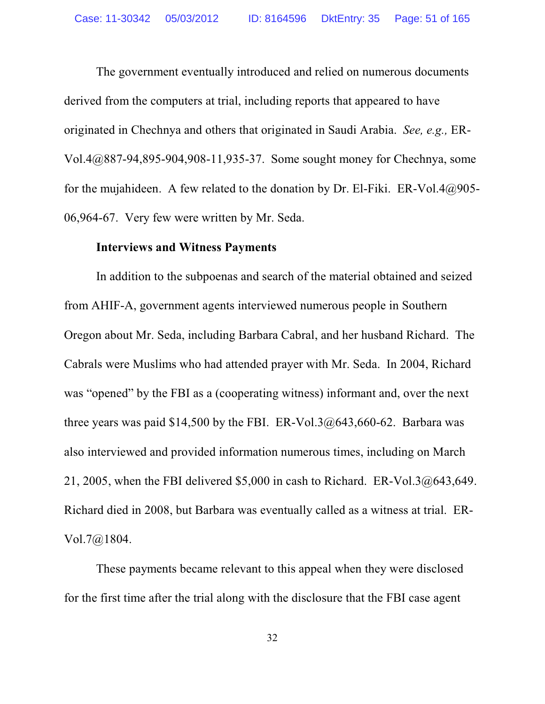The government eventually introduced and relied on numerous documents derived from the computers at trial, including reports that appeared to have originated in Chechnya and others that originated in Saudi Arabia. *See, e.g.,* ER-Vol.4@887-94,895-904,908-11,935-37. Some sought money for Chechnya, some for the mujahideen. A few related to the donation by Dr. El-Fiki. ER-Vol.4 $@905-$ 06,964-67. Very few were written by Mr. Seda.

#### **Interviews and Witness Payments**

In addition to the subpoenas and search of the material obtained and seized from AHIF-A, government agents interviewed numerous people in Southern Oregon about Mr. Seda, including Barbara Cabral, and her husband Richard. The Cabrals were Muslims who had attended prayer with Mr. Seda. In 2004, Richard was "opened" by the FBI as a (cooperating witness) informant and, over the next three years was paid \$14,500 by the FBI. ER-Vol.3 $@643,660-62$ . Barbara was also interviewed and provided information numerous times, including on March 21, 2005, when the FBI delivered  $$5,000$  in cash to Richard. ER-Vol.3 $@643,649$ . Richard died in 2008, but Barbara was eventually called as a witness at trial. ER-Vol.7@1804.

These payments became relevant to this appeal when they were disclosed for the first time after the trial along with the disclosure that the FBI case agent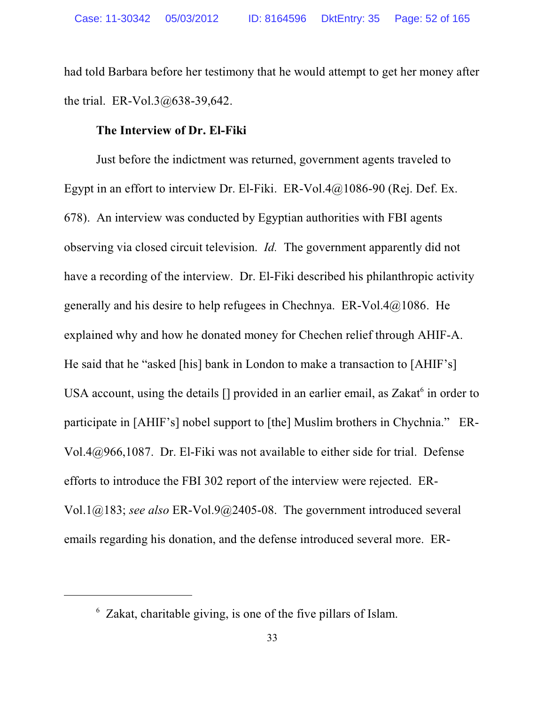had told Barbara before her testimony that he would attempt to get her money after the trial. ER-Vol.3@638-39,642.

## **The Interview of Dr. El-Fiki**

Just before the indictment was returned, government agents traveled to Egypt in an effort to interview Dr. El-Fiki. ER-Vol.4 $@1086-90$  (Rej. Def. Ex. 678). An interview was conducted by Egyptian authorities with FBI agents observing via closed circuit television. *Id.* The government apparently did not have a recording of the interview. Dr. El-Fiki described his philanthropic activity generally and his desire to help refugees in Chechnya. ER-Vol.4@1086. He explained why and how he donated money for Chechen relief through AHIF-A. He said that he "asked [his] bank in London to make a transaction to [AHIF's] USA account, using the details [] provided in an earlier email, as Zakat<sup>6</sup> in order to participate in [AHIF's] nobel support to [the] Muslim brothers in Chychnia." ER-Vol.4@966,1087. Dr. El-Fiki was not available to either side for trial. Defense efforts to introduce the FBI 302 report of the interview were rejected. ER-Vol.1@183; *see also* ER-Vol.9@2405-08. The government introduced several emails regarding his donation, and the defense introduced several more. ER-

<sup>6</sup> Zakat, charitable giving, is one of the five pillars of Islam.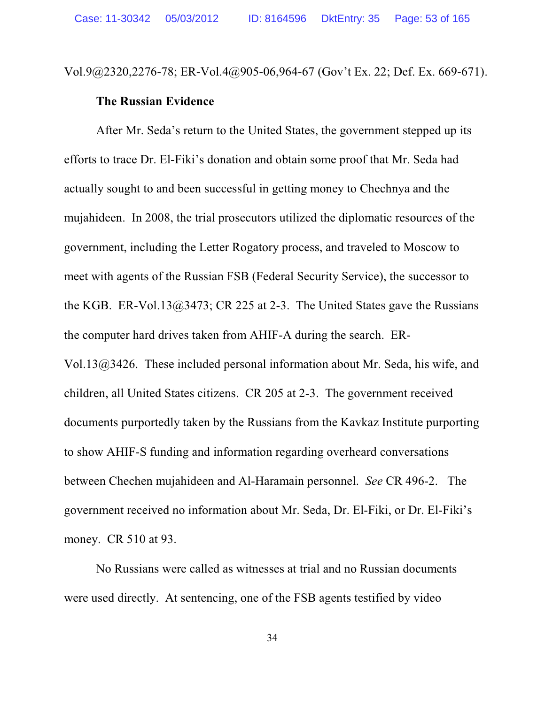Vol.9@2320,2276-78; ER-Vol.4@905-06,964-67 (Gov't Ex. 22; Def. Ex. 669-671).

#### **The Russian Evidence**

After Mr. Seda's return to the United States, the government stepped up its efforts to trace Dr. El-Fiki's donation and obtain some proof that Mr. Seda had actually sought to and been successful in getting money to Chechnya and the mujahideen. In 2008, the trial prosecutors utilized the diplomatic resources of the government, including the Letter Rogatory process, and traveled to Moscow to meet with agents of the Russian FSB (Federal Security Service), the successor to the KGB. ER-Vol.13@3473; CR 225 at 2-3. The United States gave the Russians the computer hard drives taken from AHIF-A during the search. ER-Vol.13@3426. These included personal information about Mr. Seda, his wife, and children, all United States citizens. CR 205 at 2-3. The government received documents purportedly taken by the Russians from the Kavkaz Institute purporting to show AHIF-S funding and information regarding overheard conversations between Chechen mujahideen and Al-Haramain personnel. *See* CR 496-2. The government received no information about Mr. Seda, Dr. El-Fiki, or Dr. El-Fiki's money. CR 510 at 93.

No Russians were called as witnesses at trial and no Russian documents were used directly. At sentencing, one of the FSB agents testified by video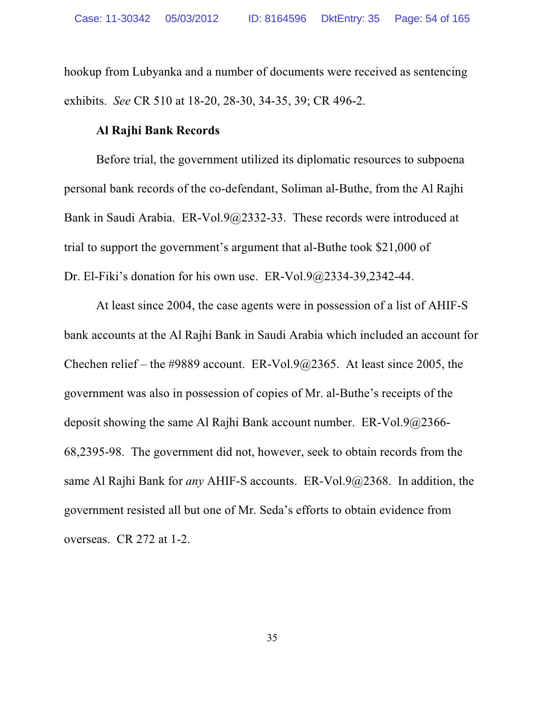hookup from Lubyanka and a number of documents were received as sentencing exhibits. *See* CR 510 at 18-20, 28-30, 34-35, 39; CR 496-2.

### **Al Rajhi Bank Records**

Before trial, the government utilized its diplomatic resources to subpoena personal bank records of the co-defendant, Soliman al-Buthe, from the Al Rajhi Bank in Saudi Arabia. ER-Vol.9@2332-33. These records were introduced at trial to support the government's argument that al-Buthe took \$21,000 of Dr. El-Fiki's donation for his own use. ER-Vol.9@2334-39,2342-44.

At least since 2004, the case agents were in possession of a list of AHIF-S bank accounts at the Al Rajhi Bank in Saudi Arabia which included an account for Chechen relief – the #9889 account. ER-Vol.9 $@2365$ . At least since 2005, the government was also in possession of copies of Mr. al-Buthe's receipts of the deposit showing the same Al Rajhi Bank account number. ER-Vol.9@2366- 68,2395-98. The government did not, however, seek to obtain records from the same Al Rajhi Bank for *any* AHIF-S accounts. ER-Vol.9@2368. In addition, the government resisted all but one of Mr. Seda's efforts to obtain evidence from overseas. CR 272 at 1-2.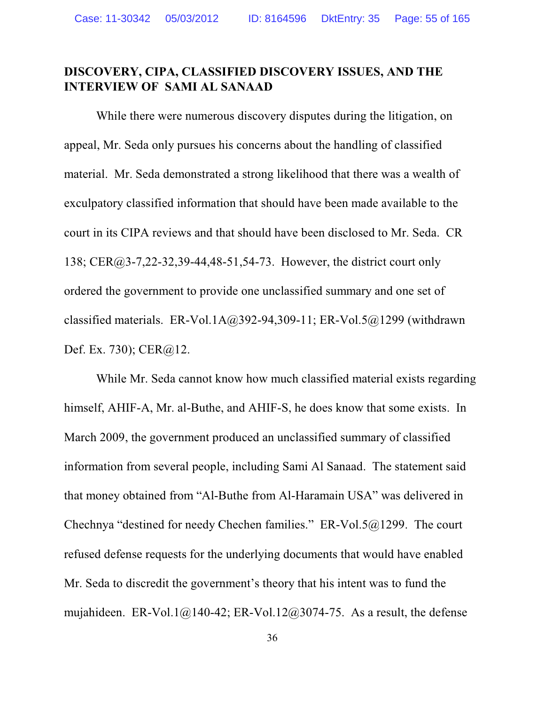## **DISCOVERY, CIPA, CLASSIFIED DISCOVERY ISSUES, AND THE INTERVIEW OF SAMI AL SANAAD**

While there were numerous discovery disputes during the litigation, on appeal, Mr. Seda only pursues his concerns about the handling of classified material. Mr. Seda demonstrated a strong likelihood that there was a wealth of exculpatory classified information that should have been made available to the court in its CIPA reviews and that should have been disclosed to Mr. Seda. CR 138; CER@3-7,22-32,39-44,48-51,54-73. However, the district court only ordered the government to provide one unclassified summary and one set of classified materials. ER-Vol.1A $@392-94,309-11$ ; ER-Vol.5 $@1299$  (withdrawn Def. Ex. 730); CER@12.

While Mr. Seda cannot know how much classified material exists regarding himself, AHIF-A, Mr. al-Buthe, and AHIF-S, he does know that some exists. In March 2009, the government produced an unclassified summary of classified information from several people, including Sami Al Sanaad. The statement said that money obtained from "Al-Buthe from Al-Haramain USA" was delivered in Chechnya "destined for needy Chechen families." ER-Vol.5@1299. The court refused defense requests for the underlying documents that would have enabled Mr. Seda to discredit the government's theory that his intent was to fund the mujahideen. ER-Vol.1@140-42; ER-Vol.12@3074-75. As a result, the defense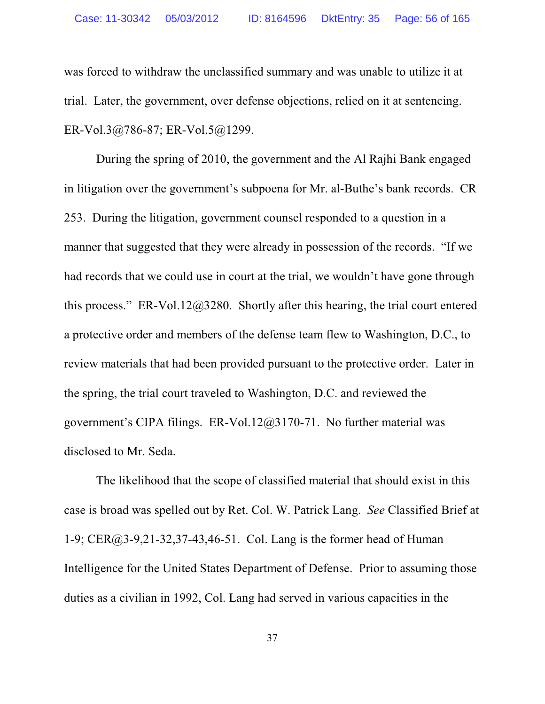was forced to withdraw the unclassified summary and was unable to utilize it at trial. Later, the government, over defense objections, relied on it at sentencing. ER-Vol.3@786-87; ER-Vol.5@1299.

During the spring of 2010, the government and the Al Rajhi Bank engaged in litigation over the government's subpoena for Mr. al-Buthe's bank records. CR 253. During the litigation, government counsel responded to a question in a manner that suggested that they were already in possession of the records. "If we had records that we could use in court at the trial, we wouldn't have gone through this process." ER-Vol.12@3280. Shortly after this hearing, the trial court entered a protective order and members of the defense team flew to Washington, D.C., to review materials that had been provided pursuant to the protective order. Later in the spring, the trial court traveled to Washington, D.C. and reviewed the government's CIPA filings. ER-Vol.12@3170-71. No further material was disclosed to Mr. Seda.

The likelihood that the scope of classified material that should exist in this case is broad was spelled out by Ret. Col. W. Patrick Lang. *See* Classified Brief at 1-9; CER@3-9,21-32,37-43,46-51. Col. Lang is the former head of Human Intelligence for the United States Department of Defense. Prior to assuming those duties as a civilian in 1992, Col. Lang had served in various capacities in the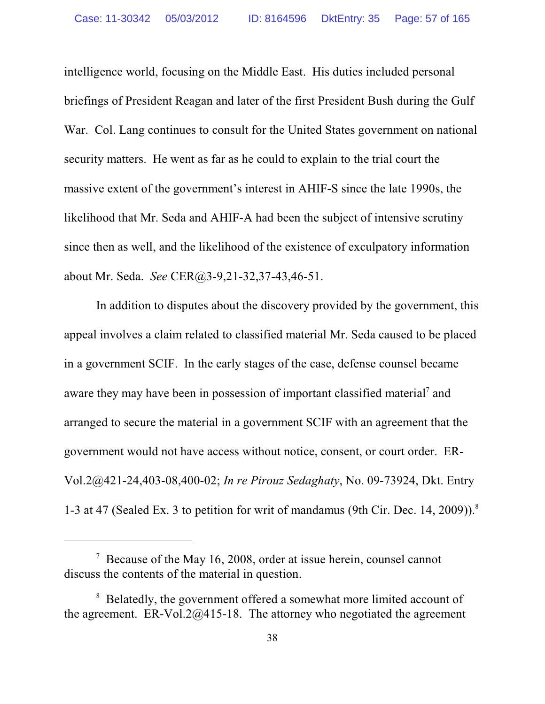intelligence world, focusing on the Middle East. His duties included personal briefings of President Reagan and later of the first President Bush during the Gulf War. Col. Lang continues to consult for the United States government on national security matters. He went as far as he could to explain to the trial court the massive extent of the government's interest in AHIF-S since the late 1990s, the likelihood that Mr. Seda and AHIF-A had been the subject of intensive scrutiny since then as well, and the likelihood of the existence of exculpatory information about Mr. Seda. *See* CER@3-9,21-32,37-43,46-51.

In addition to disputes about the discovery provided by the government, this appeal involves a claim related to classified material Mr. Seda caused to be placed in a government SCIF. In the early stages of the case, defense counsel became aware they may have been in possession of important classified material<sup>7</sup> and arranged to secure the material in a government SCIF with an agreement that the government would not have access without notice, consent, or court order. ER-Vol.2@421-24,403-08,400-02; *In re Pirouz Sedaghaty*, No. 09-73924, Dkt. Entry 1-3 at 47 (Sealed Ex. 3 to petition for writ of mandamus (9th Cir. Dec. 14, 2009)).<sup>8</sup>

 $7$  Because of the May 16, 2008, order at issue herein, counsel cannot discuss the contents of the material in question.

<sup>&</sup>lt;sup>8</sup> Belatedly, the government offered a somewhat more limited account of the agreement. ER-Vol.2 $@415-18$ . The attorney who negotiated the agreement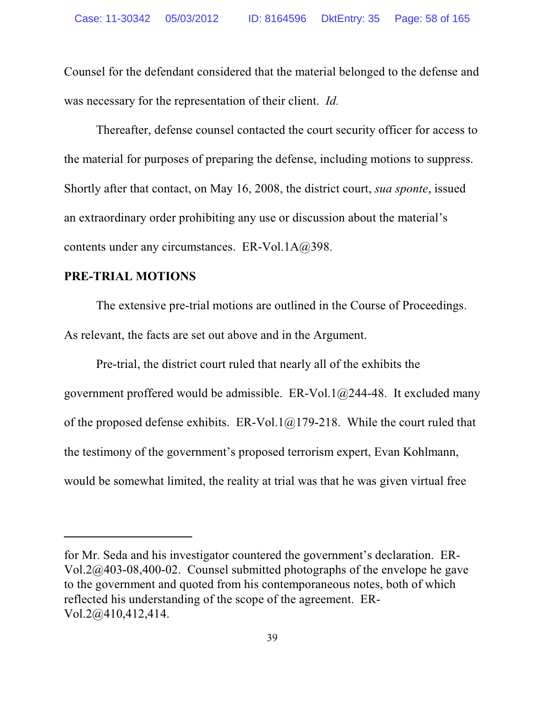Counsel for the defendant considered that the material belonged to the defense and was necessary for the representation of their client. *Id.*

Thereafter, defense counsel contacted the court security officer for access to the material for purposes of preparing the defense, including motions to suppress. Shortly after that contact, on May 16, 2008, the district court, *sua sponte*, issued an extraordinary order prohibiting any use or discussion about the material's contents under any circumstances. ER-Vol.1A@398.

### **PRE-TRIAL MOTIONS**

The extensive pre-trial motions are outlined in the Course of Proceedings. As relevant, the facts are set out above and in the Argument.

Pre-trial, the district court ruled that nearly all of the exhibits the government proffered would be admissible. ER-Vol.1 $@244-48$ . It excluded many of the proposed defense exhibits. ER-Vol.1 $@179-218$ . While the court ruled that the testimony of the government's proposed terrorism expert, Evan Kohlmann, would be somewhat limited, the reality at trial was that he was given virtual free

for Mr. Seda and his investigator countered the government's declaration. ER-Vol.2@403-08,400-02. Counsel submitted photographs of the envelope he gave to the government and quoted from his contemporaneous notes, both of which reflected his understanding of the scope of the agreement. ER-Vol.2@410,412,414.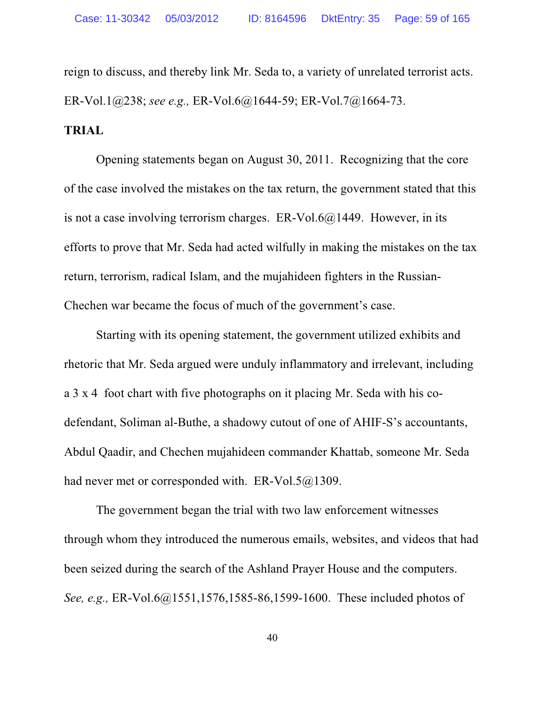reign to discuss, and thereby link Mr. Seda to, a variety of unrelated terrorist acts. ER-Vol.1@238; *see e.g.,* ER-Vol.6@1644-59; ER-Vol.7@1664-73.

## **TRIAL**

Opening statements began on August 30, 2011. Recognizing that the core of the case involved the mistakes on the tax return, the government stated that this is not a case involving terrorism charges. ER-Vol.6 $@1449$ . However, in its efforts to prove that Mr. Seda had acted wilfully in making the mistakes on the tax return, terrorism, radical Islam, and the mujahideen fighters in the Russian-Chechen war became the focus of much of the government's case.

Starting with its opening statement, the government utilized exhibits and rhetoric that Mr. Seda argued were unduly inflammatory and irrelevant, including a 3 x 4 foot chart with five photographs on it placing Mr. Seda with his codefendant, Soliman al-Buthe, a shadowy cutout of one of AHIF-S's accountants, Abdul Qaadir, and Chechen mujahideen commander Khattab, someone Mr. Seda had never met or corresponded with. ER-Vol.5@1309.

The government began the trial with two law enforcement witnesses through whom they introduced the numerous emails, websites, and videos that had been seized during the search of the Ashland Prayer House and the computers. *See, e.g.,* ER-Vol.6@1551,1576,1585-86,1599-1600. These included photos of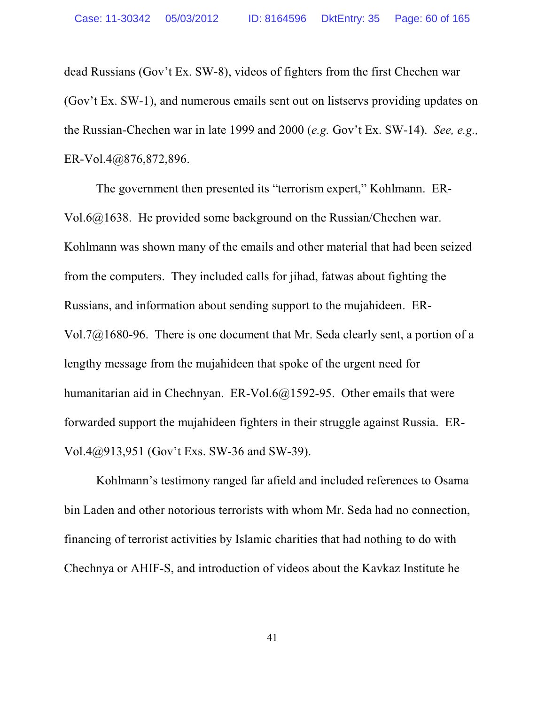dead Russians (Gov't Ex. SW-8), videos of fighters from the first Chechen war (Gov't Ex. SW-1), and numerous emails sent out on listservs providing updates on the Russian-Chechen war in late 1999 and 2000 (*e.g.* Gov't Ex. SW-14). *See, e.g.,* ER-Vol.4@876,872,896.

The government then presented its "terrorism expert," Kohlmann. ER-Vol.6@1638. He provided some background on the Russian/Chechen war. Kohlmann was shown many of the emails and other material that had been seized from the computers. They included calls for jihad, fatwas about fighting the Russians, and information about sending support to the mujahideen. ER-Vol.7@1680-96. There is one document that Mr. Seda clearly sent, a portion of a lengthy message from the mujahideen that spoke of the urgent need for humanitarian aid in Chechnyan. ER-Vol.6@1592-95. Other emails that were forwarded support the mujahideen fighters in their struggle against Russia. ER-Vol.4@913,951 (Gov't Exs. SW-36 and SW-39).

Kohlmann's testimony ranged far afield and included references to Osama bin Laden and other notorious terrorists with whom Mr. Seda had no connection, financing of terrorist activities by Islamic charities that had nothing to do with Chechnya or AHIF-S, and introduction of videos about the Kavkaz Institute he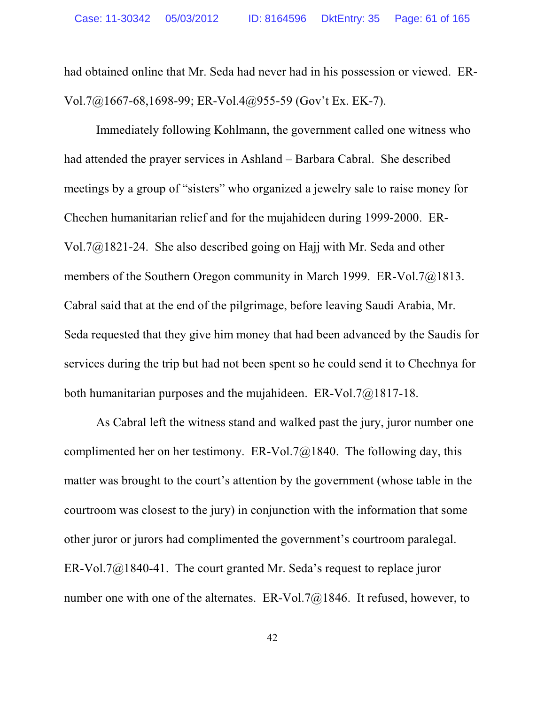had obtained online that Mr. Seda had never had in his possession or viewed. ER-Vol.7@1667-68,1698-99; ER-Vol.4@955-59 (Gov't Ex. EK-7).

Immediately following Kohlmann, the government called one witness who had attended the prayer services in Ashland – Barbara Cabral. She described meetings by a group of "sisters" who organized a jewelry sale to raise money for Chechen humanitarian relief and for the mujahideen during 1999-2000. ER-Vol.7@1821-24. She also described going on Hajj with Mr. Seda and other members of the Southern Oregon community in March 1999. ER-Vol.7@1813. Cabral said that at the end of the pilgrimage, before leaving Saudi Arabia, Mr. Seda requested that they give him money that had been advanced by the Saudis for services during the trip but had not been spent so he could send it to Chechnya for both humanitarian purposes and the mujahideen. ER-Vol.7@1817-18.

As Cabral left the witness stand and walked past the jury, juror number one complimented her on her testimony. ER-Vol.7 $@1840$ . The following day, this matter was brought to the court's attention by the government (whose table in the courtroom was closest to the jury) in conjunction with the information that some other juror or jurors had complimented the government's courtroom paralegal. ER-Vol.7 $@1840-41$ . The court granted Mr. Seda's request to replace juror number one with one of the alternates. ER-Vol.7@1846. It refused, however, to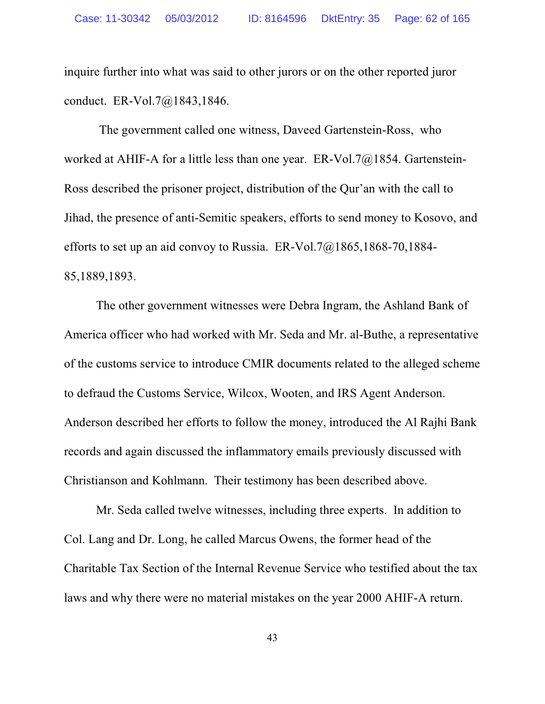inquire further into what was said to other jurors or on the other reported juror conduct. ER-Vol.7@1843,1846.

 The government called one witness, Daveed Gartenstein-Ross, who worked at AHIF-A for a little less than one year. ER-Vol.7@1854. Gartenstein-Ross described the prisoner project, distribution of the Qur'an with the call to Jihad, the presence of anti-Semitic speakers, efforts to send money to Kosovo, and efforts to set up an aid convoy to Russia. ER-Vol.7@1865,1868-70,1884- 85,1889,1893.

The other government witnesses were Debra Ingram, the Ashland Bank of America officer who had worked with Mr. Seda and Mr. al-Buthe, a representative of the customs service to introduce CMIR documents related to the alleged scheme to defraud the Customs Service, Wilcox, Wooten, and IRS Agent Anderson. Anderson described her efforts to follow the money, introduced the Al Rajhi Bank records and again discussed the inflammatory emails previously discussed with Christianson and Kohlmann. Their testimony has been described above.

Mr. Seda called twelve witnesses, including three experts. In addition to Col. Lang and Dr. Long, he called Marcus Owens, the former head of the Charitable Tax Section of the Internal Revenue Service who testified about the tax laws and why there were no material mistakes on the year 2000 AHIF-A return.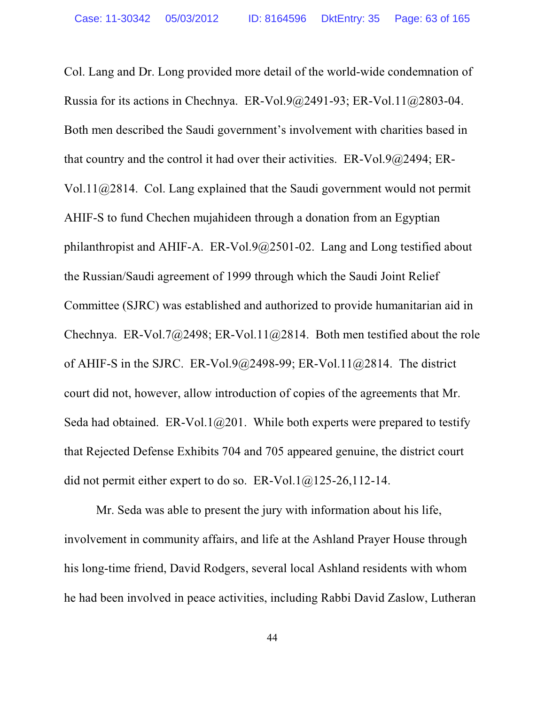Col. Lang and Dr. Long provided more detail of the world-wide condemnation of Russia for its actions in Chechnya. ER-Vol.9@2491-93; ER-Vol.11@2803-04. Both men described the Saudi government's involvement with charities based in that country and the control it had over their activities. ER-Vol.9@2494; ER-Vol.11@2814. Col. Lang explained that the Saudi government would not permit AHIF-S to fund Chechen mujahideen through a donation from an Egyptian philanthropist and AHIF-A. ER-Vol.9@2501-02. Lang and Long testified about the Russian/Saudi agreement of 1999 through which the Saudi Joint Relief Committee (SJRC) was established and authorized to provide humanitarian aid in Chechnya. ER-Vol.7@2498; ER-Vol.11@2814. Both men testified about the role of AHIF-S in the SJRC. ER-Vol.9 $@2498-99$ ; ER-Vol.11 $@2814$ . The district court did not, however, allow introduction of copies of the agreements that Mr. Seda had obtained. ER-Vol.1 $@201$ . While both experts were prepared to testify that Rejected Defense Exhibits 704 and 705 appeared genuine, the district court did not permit either expert to do so. ER-Vol.1@125-26,112-14.

Mr. Seda was able to present the jury with information about his life, involvement in community affairs, and life at the Ashland Prayer House through his long-time friend, David Rodgers, several local Ashland residents with whom he had been involved in peace activities, including Rabbi David Zaslow, Lutheran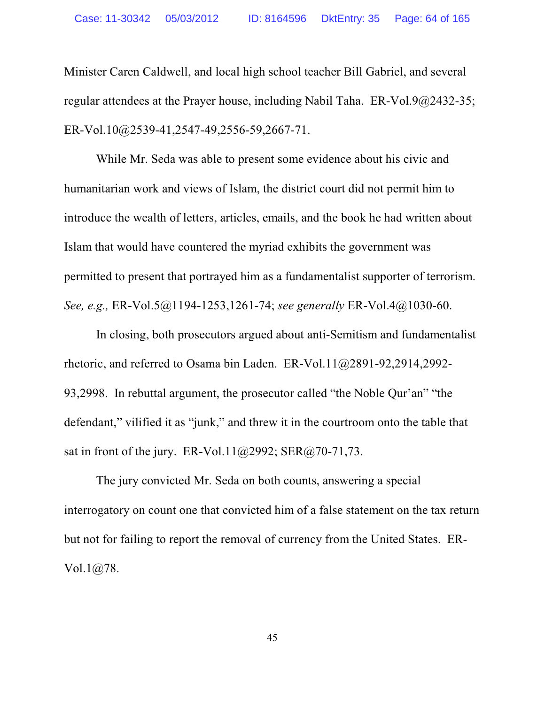Minister Caren Caldwell, and local high school teacher Bill Gabriel, and several regular attendees at the Prayer house, including Nabil Taha. ER-Vol.9@2432-35; ER-Vol.10@2539-41,2547-49,2556-59,2667-71.

While Mr. Seda was able to present some evidence about his civic and humanitarian work and views of Islam, the district court did not permit him to introduce the wealth of letters, articles, emails, and the book he had written about Islam that would have countered the myriad exhibits the government was permitted to present that portrayed him as a fundamentalist supporter of terrorism. *See, e.g.,* ER-Vol.5@1194-1253,1261-74; *see generally* ER-Vol.4@1030-60.

In closing, both prosecutors argued about anti-Semitism and fundamentalist rhetoric, and referred to Osama bin Laden. ER-Vol.11@2891-92,2914,2992- 93,2998. In rebuttal argument, the prosecutor called "the Noble Qur'an" "the defendant," vilified it as "junk," and threw it in the courtroom onto the table that sat in front of the jury. ER-Vol.11@2992; SER@70-71,73.

The jury convicted Mr. Seda on both counts, answering a special interrogatory on count one that convicted him of a false statement on the tax return but not for failing to report the removal of currency from the United States. ER-Vol.1@78.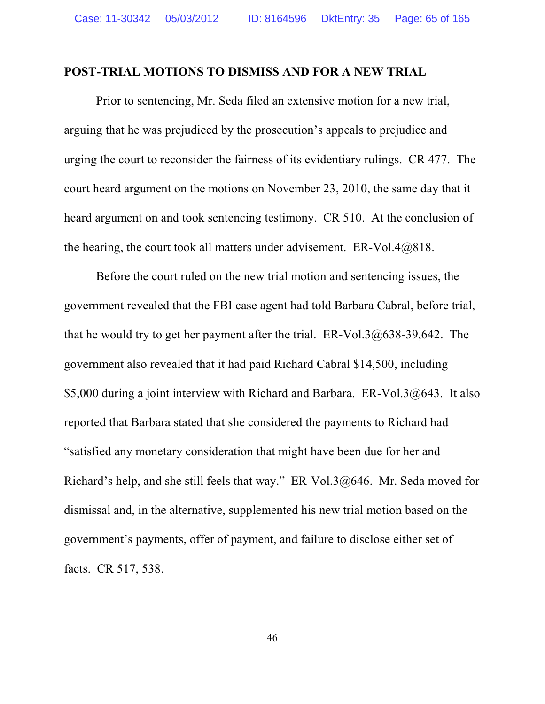#### **POST-TRIAL MOTIONS TO DISMISS AND FOR A NEW TRIAL**

Prior to sentencing, Mr. Seda filed an extensive motion for a new trial, arguing that he was prejudiced by the prosecution's appeals to prejudice and urging the court to reconsider the fairness of its evidentiary rulings. CR 477. The court heard argument on the motions on November 23, 2010, the same day that it heard argument on and took sentencing testimony. CR 510. At the conclusion of the hearing, the court took all matters under advisement.  $ER-Vol.4@818$ .

Before the court ruled on the new trial motion and sentencing issues, the government revealed that the FBI case agent had told Barbara Cabral, before trial, that he would try to get her payment after the trial. ER-Vol.3@638-39,642. The government also revealed that it had paid Richard Cabral \$14,500, including \$5,000 during a joint interview with Richard and Barbara. ER-Vol.3 $@643$ . It also reported that Barbara stated that she considered the payments to Richard had "satisfied any monetary consideration that might have been due for her and Richard's help, and she still feels that way." ER-Vol.3@646. Mr. Seda moved for dismissal and, in the alternative, supplemented his new trial motion based on the government's payments, offer of payment, and failure to disclose either set of facts. CR 517, 538.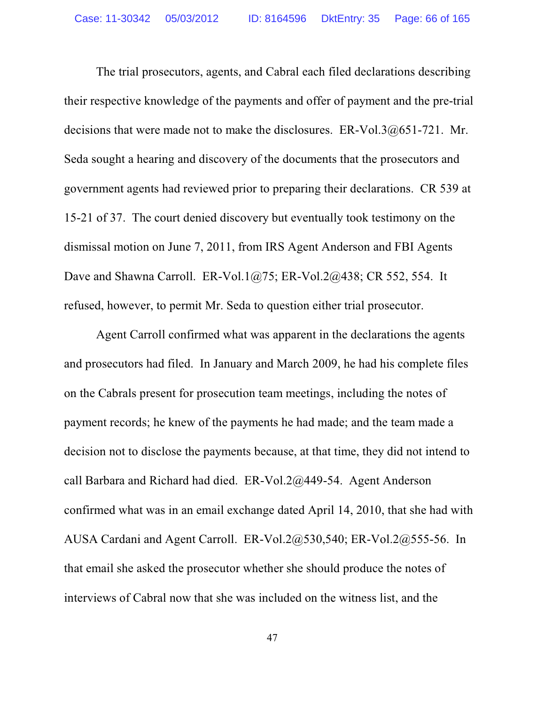The trial prosecutors, agents, and Cabral each filed declarations describing their respective knowledge of the payments and offer of payment and the pre-trial decisions that were made not to make the disclosures. ER-Vol.3@651-721. Mr. Seda sought a hearing and discovery of the documents that the prosecutors and government agents had reviewed prior to preparing their declarations. CR 539 at 15-21 of 37. The court denied discovery but eventually took testimony on the dismissal motion on June 7, 2011, from IRS Agent Anderson and FBI Agents Dave and Shawna Carroll. ER-Vol.1@75; ER-Vol.2@438; CR 552, 554. It refused, however, to permit Mr. Seda to question either trial prosecutor.

Agent Carroll confirmed what was apparent in the declarations the agents and prosecutors had filed. In January and March 2009, he had his complete files on the Cabrals present for prosecution team meetings, including the notes of payment records; he knew of the payments he had made; and the team made a decision not to disclose the payments because, at that time, they did not intend to call Barbara and Richard had died. ER-Vol.2@449-54. Agent Anderson confirmed what was in an email exchange dated April 14, 2010, that she had with AUSA Cardani and Agent Carroll. ER-Vol.2@530,540; ER-Vol.2@555-56. In that email she asked the prosecutor whether she should produce the notes of interviews of Cabral now that she was included on the witness list, and the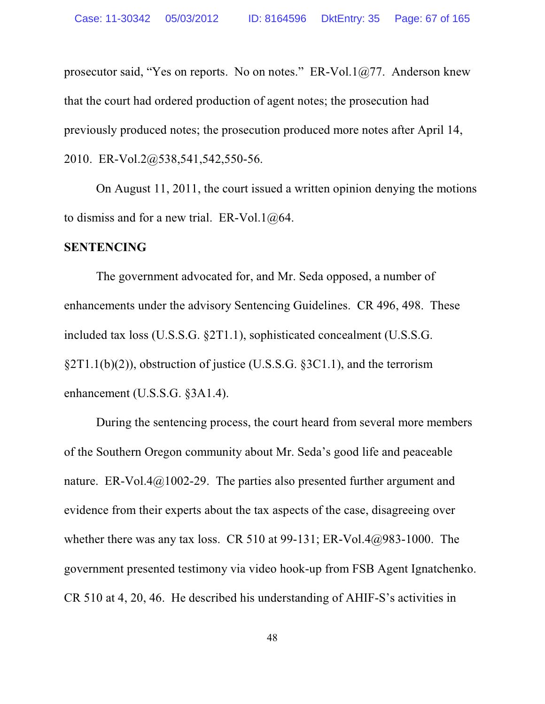prosecutor said, "Yes on reports. No on notes." ER-Vol.1@77. Anderson knew that the court had ordered production of agent notes; the prosecution had previously produced notes; the prosecution produced more notes after April 14, 2010. ER-Vol.2@538,541,542,550-56.

On August 11, 2011, the court issued a written opinion denying the motions to dismiss and for a new trial. ER-Vol.1 $@64$ .

### **SENTENCING**

The government advocated for, and Mr. Seda opposed, a number of enhancements under the advisory Sentencing Guidelines. CR 496, 498. These included tax loss (U.S.S.G. §2T1.1), sophisticated concealment (U.S.S.G. §2T1.1(b)(2)), obstruction of justice (U.S.S.G. §3C1.1), and the terrorism enhancement (U.S.S.G. §3A1.4).

During the sentencing process, the court heard from several more members of the Southern Oregon community about Mr. Seda's good life and peaceable nature. ER-Vol.4@1002-29. The parties also presented further argument and evidence from their experts about the tax aspects of the case, disagreeing over whether there was any tax loss. CR 510 at 99-131; ER-Vol.4 $@983-1000$ . The government presented testimony via video hook-up from FSB Agent Ignatchenko. CR 510 at 4, 20, 46. He described his understanding of AHIF-S's activities in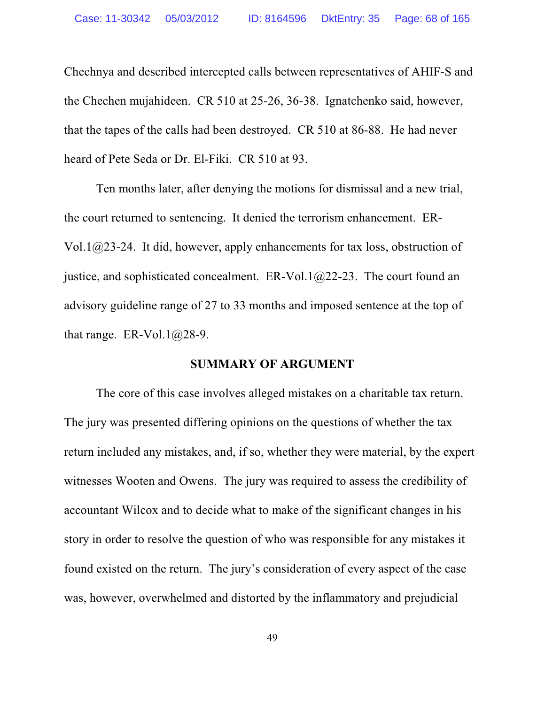Chechnya and described intercepted calls between representatives of AHIF-S and the Chechen mujahideen. CR 510 at 25-26, 36-38. Ignatchenko said, however, that the tapes of the calls had been destroyed. CR 510 at 86-88. He had never heard of Pete Seda or Dr. El-Fiki. CR 510 at 93.

Ten months later, after denying the motions for dismissal and a new trial, the court returned to sentencing. It denied the terrorism enhancement. ER-Vol.1@23-24. It did, however, apply enhancements for tax loss, obstruction of justice, and sophisticated concealment.  $ER-Vol.1(a)22-23$ . The court found an advisory guideline range of 27 to 33 months and imposed sentence at the top of that range. ER-Vol.1 $@28-9$ .

#### **SUMMARY OF ARGUMENT**

The core of this case involves alleged mistakes on a charitable tax return. The jury was presented differing opinions on the questions of whether the tax return included any mistakes, and, if so, whether they were material, by the expert witnesses Wooten and Owens. The jury was required to assess the credibility of accountant Wilcox and to decide what to make of the significant changes in his story in order to resolve the question of who was responsible for any mistakes it found existed on the return. The jury's consideration of every aspect of the case was, however, overwhelmed and distorted by the inflammatory and prejudicial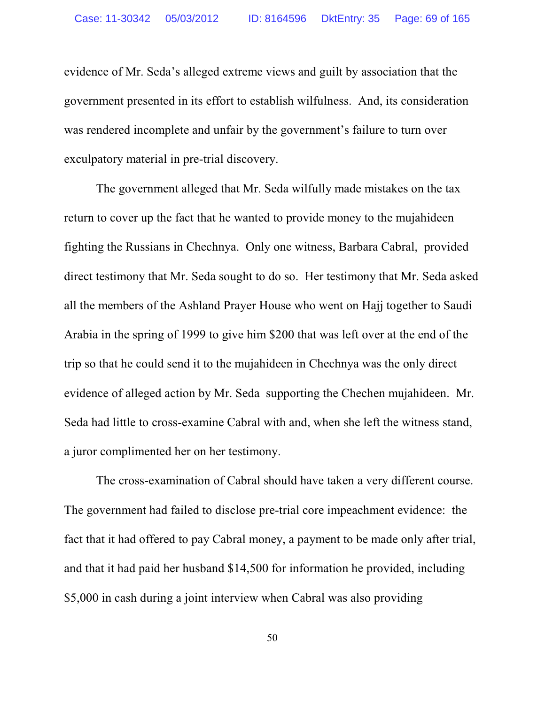evidence of Mr. Seda's alleged extreme views and guilt by association that the government presented in its effort to establish wilfulness. And, its consideration was rendered incomplete and unfair by the government's failure to turn over exculpatory material in pre-trial discovery.

The government alleged that Mr. Seda wilfully made mistakes on the tax return to cover up the fact that he wanted to provide money to the mujahideen fighting the Russians in Chechnya. Only one witness, Barbara Cabral, provided direct testimony that Mr. Seda sought to do so. Her testimony that Mr. Seda asked all the members of the Ashland Prayer House who went on Hajj together to Saudi Arabia in the spring of 1999 to give him \$200 that was left over at the end of the trip so that he could send it to the mujahideen in Chechnya was the only direct evidence of alleged action by Mr. Seda supporting the Chechen mujahideen. Mr. Seda had little to cross-examine Cabral with and, when she left the witness stand, a juror complimented her on her testimony.

The cross-examination of Cabral should have taken a very different course. The government had failed to disclose pre-trial core impeachment evidence: the fact that it had offered to pay Cabral money, a payment to be made only after trial, and that it had paid her husband \$14,500 for information he provided, including \$5,000 in cash during a joint interview when Cabral was also providing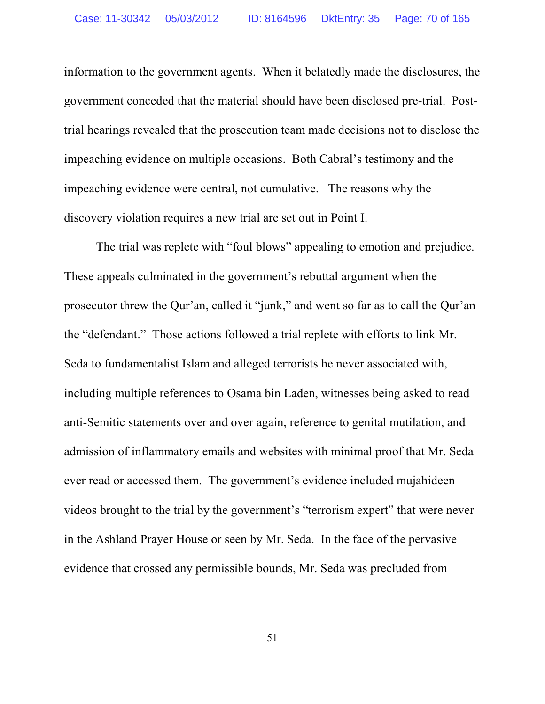information to the government agents. When it belatedly made the disclosures, the government conceded that the material should have been disclosed pre-trial. Posttrial hearings revealed that the prosecution team made decisions not to disclose the impeaching evidence on multiple occasions. Both Cabral's testimony and the impeaching evidence were central, not cumulative. The reasons why the discovery violation requires a new trial are set out in Point I.

The trial was replete with "foul blows" appealing to emotion and prejudice. These appeals culminated in the government's rebuttal argument when the prosecutor threw the Qur'an, called it "junk," and went so far as to call the Qur'an the "defendant." Those actions followed a trial replete with efforts to link Mr. Seda to fundamentalist Islam and alleged terrorists he never associated with, including multiple references to Osama bin Laden, witnesses being asked to read anti-Semitic statements over and over again, reference to genital mutilation, and admission of inflammatory emails and websites with minimal proof that Mr. Seda ever read or accessed them. The government's evidence included mujahideen videos brought to the trial by the government's "terrorism expert" that were never in the Ashland Prayer House or seen by Mr. Seda. In the face of the pervasive evidence that crossed any permissible bounds, Mr. Seda was precluded from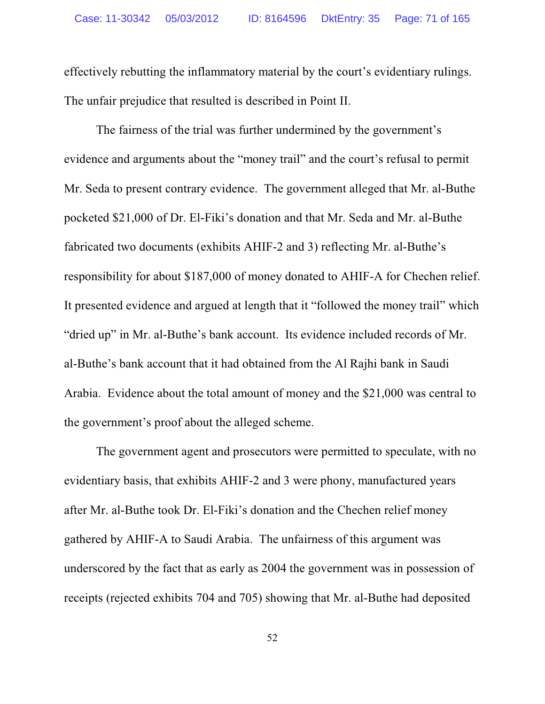effectively rebutting the inflammatory material by the court's evidentiary rulings. The unfair prejudice that resulted is described in Point II.

The fairness of the trial was further undermined by the government's evidence and arguments about the "money trail" and the court's refusal to permit Mr. Seda to present contrary evidence. The government alleged that Mr. al-Buthe pocketed \$21,000 of Dr. El-Fiki's donation and that Mr. Seda and Mr. al-Buthe fabricated two documents (exhibits AHIF-2 and 3) reflecting Mr. al-Buthe's responsibility for about \$187,000 of money donated to AHIF-A for Chechen relief. It presented evidence and argued at length that it "followed the money trail" which "dried up" in Mr. al-Buthe's bank account. Its evidence included records of Mr. al-Buthe's bank account that it had obtained from the Al Rajhi bank in Saudi Arabia. Evidence about the total amount of money and the \$21,000 was central to the government's proof about the alleged scheme.

The government agent and prosecutors were permitted to speculate, with no evidentiary basis, that exhibits AHIF-2 and 3 were phony, manufactured years after Mr. al-Buthe took Dr. El-Fiki's donation and the Chechen relief money gathered by AHIF-A to Saudi Arabia. The unfairness of this argument was underscored by the fact that as early as 2004 the government was in possession of receipts (rejected exhibits 704 and 705) showing that Mr. al-Buthe had deposited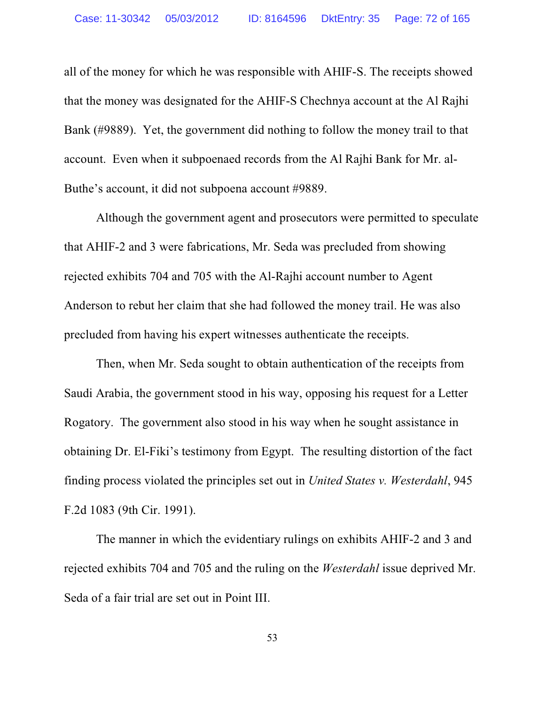all of the money for which he was responsible with AHIF-S. The receipts showed that the money was designated for the AHIF-S Chechnya account at the Al Rajhi Bank (#9889). Yet, the government did nothing to follow the money trail to that account. Even when it subpoenaed records from the Al Rajhi Bank for Mr. al-Buthe's account, it did not subpoena account #9889.

Although the government agent and prosecutors were permitted to speculate that AHIF-2 and 3 were fabrications, Mr. Seda was precluded from showing rejected exhibits 704 and 705 with the Al-Rajhi account number to Agent Anderson to rebut her claim that she had followed the money trail. He was also precluded from having his expert witnesses authenticate the receipts.

Then, when Mr. Seda sought to obtain authentication of the receipts from Saudi Arabia, the government stood in his way, opposing his request for a Letter Rogatory. The government also stood in his way when he sought assistance in obtaining Dr. El-Fiki's testimony from Egypt. The resulting distortion of the fact finding process violated the principles set out in *United States v. Westerdahl*, 945 F.2d 1083 (9th Cir. 1991).

The manner in which the evidentiary rulings on exhibits AHIF-2 and 3 and rejected exhibits 704 and 705 and the ruling on the *Westerdahl* issue deprived Mr. Seda of a fair trial are set out in Point III.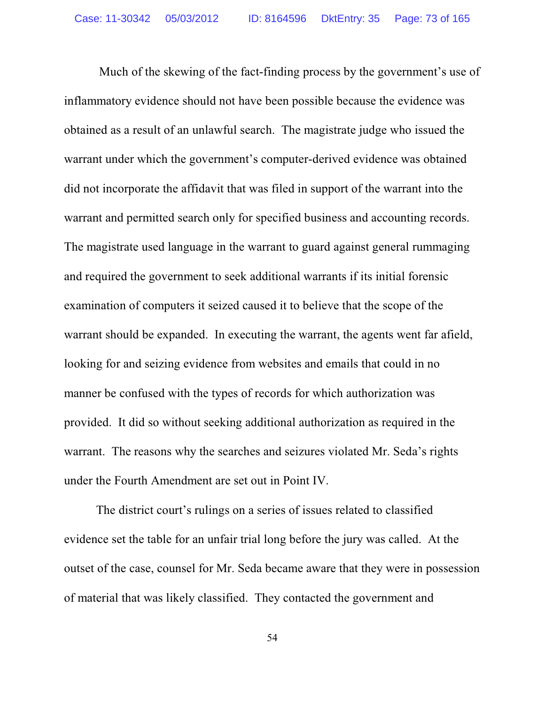Much of the skewing of the fact-finding process by the government's use of inflammatory evidence should not have been possible because the evidence was obtained as a result of an unlawful search. The magistrate judge who issued the warrant under which the government's computer-derived evidence was obtained did not incorporate the affidavit that was filed in support of the warrant into the warrant and permitted search only for specified business and accounting records. The magistrate used language in the warrant to guard against general rummaging and required the government to seek additional warrants if its initial forensic examination of computers it seized caused it to believe that the scope of the warrant should be expanded. In executing the warrant, the agents went far afield, looking for and seizing evidence from websites and emails that could in no manner be confused with the types of records for which authorization was provided. It did so without seeking additional authorization as required in the warrant. The reasons why the searches and seizures violated Mr. Seda's rights under the Fourth Amendment are set out in Point IV.

The district court's rulings on a series of issues related to classified evidence set the table for an unfair trial long before the jury was called. At the outset of the case, counsel for Mr. Seda became aware that they were in possession of material that was likely classified. They contacted the government and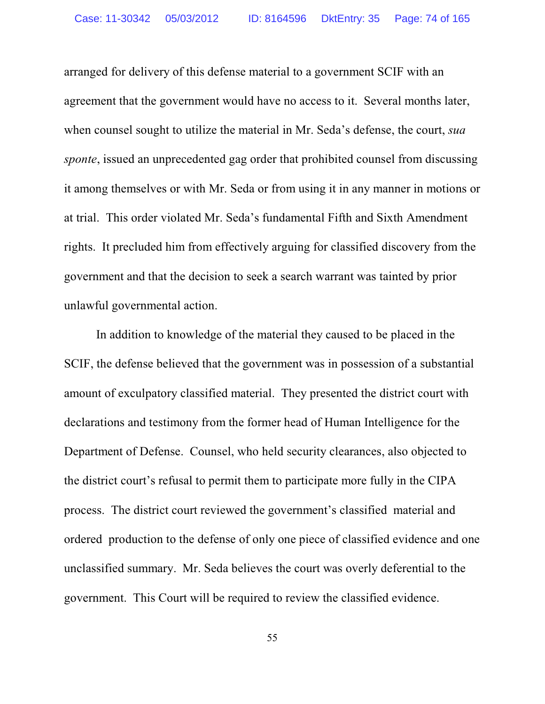arranged for delivery of this defense material to a government SCIF with an agreement that the government would have no access to it. Several months later, when counsel sought to utilize the material in Mr. Seda's defense, the court, *sua sponte*, issued an unprecedented gag order that prohibited counsel from discussing it among themselves or with Mr. Seda or from using it in any manner in motions or at trial. This order violated Mr. Seda's fundamental Fifth and Sixth Amendment rights. It precluded him from effectively arguing for classified discovery from the government and that the decision to seek a search warrant was tainted by prior unlawful governmental action.

In addition to knowledge of the material they caused to be placed in the SCIF, the defense believed that the government was in possession of a substantial amount of exculpatory classified material. They presented the district court with declarations and testimony from the former head of Human Intelligence for the Department of Defense. Counsel, who held security clearances, also objected to the district court's refusal to permit them to participate more fully in the CIPA process. The district court reviewed the government's classified material and ordered production to the defense of only one piece of classified evidence and one unclassified summary. Mr. Seda believes the court was overly deferential to the government. This Court will be required to review the classified evidence.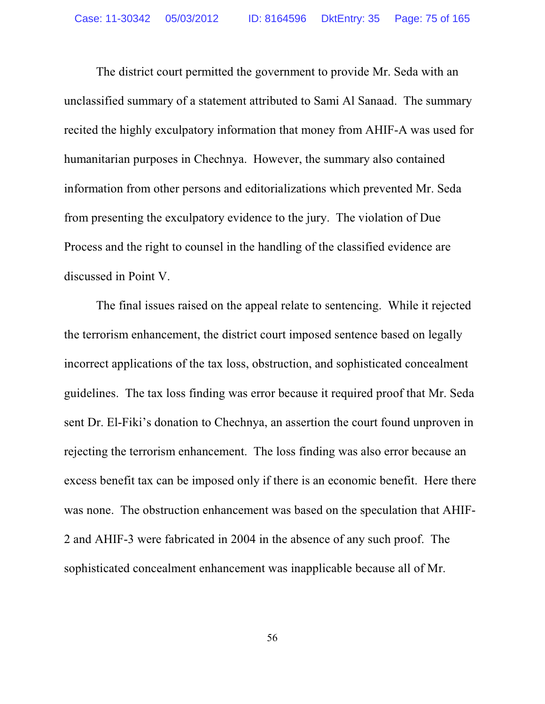The district court permitted the government to provide Mr. Seda with an unclassified summary of a statement attributed to Sami Al Sanaad. The summary recited the highly exculpatory information that money from AHIF-A was used for humanitarian purposes in Chechnya. However, the summary also contained information from other persons and editorializations which prevented Mr. Seda from presenting the exculpatory evidence to the jury. The violation of Due Process and the right to counsel in the handling of the classified evidence are discussed in Point V.

The final issues raised on the appeal relate to sentencing. While it rejected the terrorism enhancement, the district court imposed sentence based on legally incorrect applications of the tax loss, obstruction, and sophisticated concealment guidelines. The tax loss finding was error because it required proof that Mr. Seda sent Dr. El-Fiki's donation to Chechnya, an assertion the court found unproven in rejecting the terrorism enhancement. The loss finding was also error because an excess benefit tax can be imposed only if there is an economic benefit. Here there was none. The obstruction enhancement was based on the speculation that AHIF-2 and AHIF-3 were fabricated in 2004 in the absence of any such proof. The sophisticated concealment enhancement was inapplicable because all of Mr.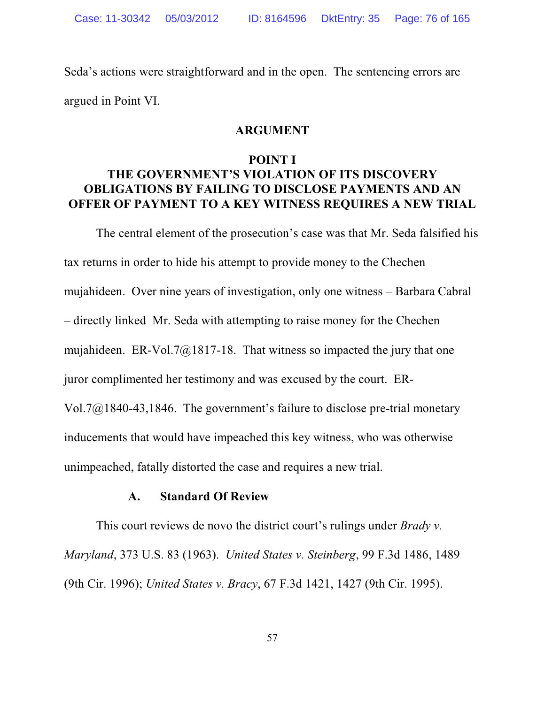Seda's actions were straightforward and in the open. The sentencing errors are argued in Point VI.

#### **ARGUMENT**

#### **POINT I**

# **THE GOVERNMENT'S VIOLATION OF ITS DISCOVERY OBLIGATIONS BY FAILING TO DISCLOSE PAYMENTS AND AN OFFER OF PAYMENT TO A KEY WITNESS REQUIRES A NEW TRIAL**

The central element of the prosecution's case was that Mr. Seda falsified his tax returns in order to hide his attempt to provide money to the Chechen mujahideen. Over nine years of investigation, only one witness – Barbara Cabral – directly linked Mr. Seda with attempting to raise money for the Chechen mujahideen. ER-Vol.7 $@1817-18$ . That witness so impacted the jury that one juror complimented her testimony and was excused by the court. ER-Vol.7@1840-43,1846. The government's failure to disclose pre-trial monetary inducements that would have impeached this key witness, who was otherwise unimpeached, fatally distorted the case and requires a new trial.

#### **A. Standard Of Review**

This court reviews de novo the district court's rulings under *Brady v. Maryland*, 373 U.S. 83 (1963). *United States v. Steinberg*, 99 F.3d 1486, 1489 (9th Cir. 1996); *United States v. Bracy*, 67 F.3d 1421, 1427 (9th Cir. 1995).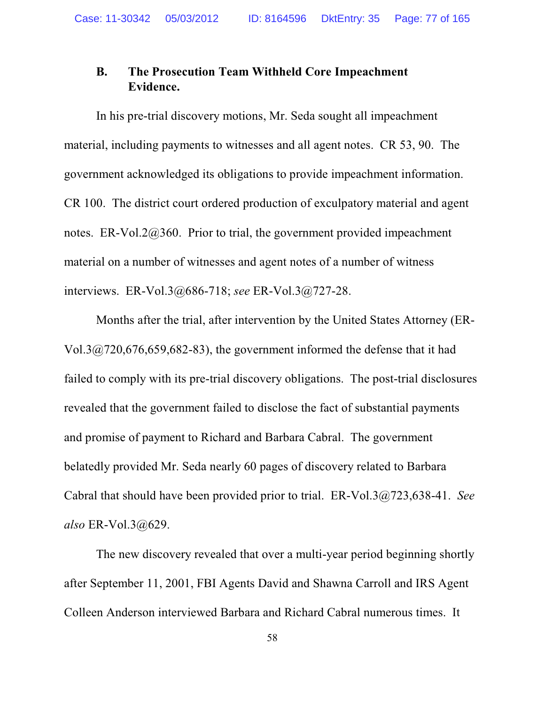### **B. The Prosecution Team Withheld Core Impeachment Evidence.**

In his pre-trial discovery motions, Mr. Seda sought all impeachment material, including payments to witnesses and all agent notes. CR 53, 90. The government acknowledged its obligations to provide impeachment information. CR 100. The district court ordered production of exculpatory material and agent notes. ER-Vol.2@360. Prior to trial, the government provided impeachment material on a number of witnesses and agent notes of a number of witness interviews. ER-Vol.3@686-718; *see* ER-Vol.3@727-28.

Months after the trial, after intervention by the United States Attorney (ER-Vol.3 $@720,676,659,682-83$ , the government informed the defense that it had failed to comply with its pre-trial discovery obligations. The post-trial disclosures revealed that the government failed to disclose the fact of substantial payments and promise of payment to Richard and Barbara Cabral. The government belatedly provided Mr. Seda nearly 60 pages of discovery related to Barbara Cabral that should have been provided prior to trial. ER-Vol.3@723,638-41. *See also* ER-Vol.3@629.

The new discovery revealed that over a multi-year period beginning shortly after September 11, 2001, FBI Agents David and Shawna Carroll and IRS Agent Colleen Anderson interviewed Barbara and Richard Cabral numerous times. It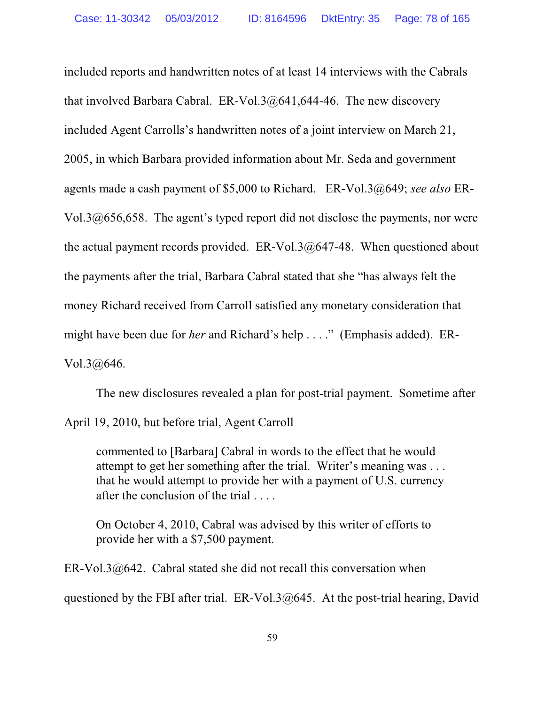included reports and handwritten notes of at least 14 interviews with the Cabrals that involved Barbara Cabral. ER-Vol.3 $@641,644-46$ . The new discovery included Agent Carrolls's handwritten notes of a joint interview on March 21, 2005, in which Barbara provided information about Mr. Seda and government agents made a cash payment of \$5,000 to Richard. ER-Vol.3@649; *see also* ER-Vol.3@656,658. The agent's typed report did not disclose the payments, nor were the actual payment records provided. ER-Vol.3 $@647-48$ . When questioned about the payments after the trial, Barbara Cabral stated that she "has always felt the money Richard received from Carroll satisfied any monetary consideration that might have been due for *her* and Richard's help . . . ." (Emphasis added). ER- $Vol.3@646.$ 

The new disclosures revealed a plan for post-trial payment. Sometime after April 19, 2010, but before trial, Agent Carroll

commented to [Barbara] Cabral in words to the effect that he would attempt to get her something after the trial. Writer's meaning was . . . that he would attempt to provide her with a payment of U.S. currency after the conclusion of the trial . . . .

On October 4, 2010, Cabral was advised by this writer of efforts to provide her with a \$7,500 payment.

ER-Vol.3@642. Cabral stated she did not recall this conversation when questioned by the FBI after trial.  $ER-Vol.3@645$ . At the post-trial hearing, David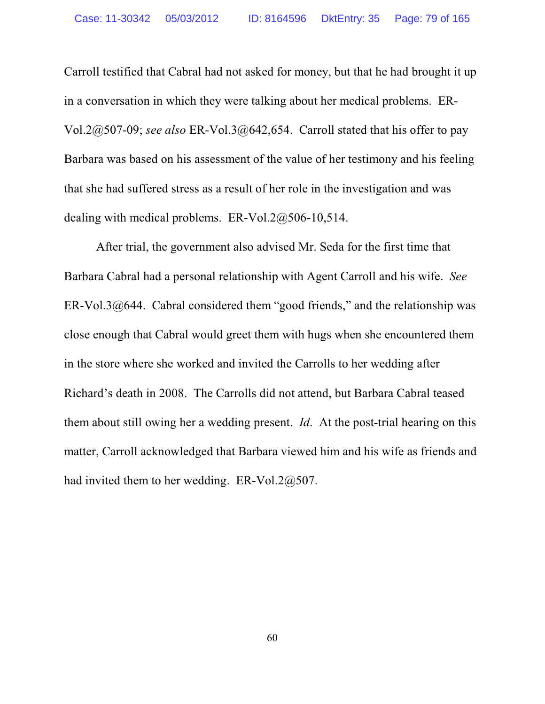Carroll testified that Cabral had not asked for money, but that he had brought it up in a conversation in which they were talking about her medical problems. ER-Vol.2@507-09; *see also* ER-Vol.3@642,654. Carroll stated that his offer to pay Barbara was based on his assessment of the value of her testimony and his feeling that she had suffered stress as a result of her role in the investigation and was dealing with medical problems. ER-Vol.2@506-10,514.

After trial, the government also advised Mr. Seda for the first time that Barbara Cabral had a personal relationship with Agent Carroll and his wife. *See* ER-Vol.3 $@644$ . Cabral considered them "good friends," and the relationship was close enough that Cabral would greet them with hugs when she encountered them in the store where she worked and invited the Carrolls to her wedding after Richard's death in 2008. The Carrolls did not attend, but Barbara Cabral teased them about still owing her a wedding present. *Id*. At the post-trial hearing on this matter, Carroll acknowledged that Barbara viewed him and his wife as friends and had invited them to her wedding. ER-Vol.2 $@507$ .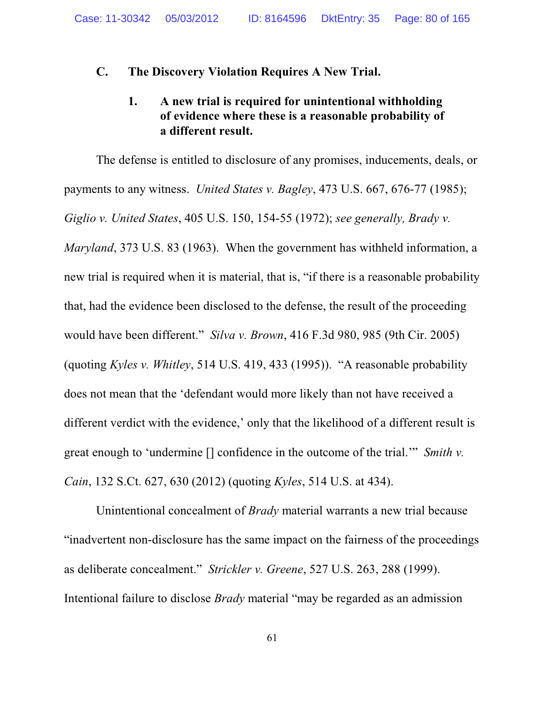### **C. The Discovery Violation Requires A New Trial.**

## **1. A new trial is required for unintentional withholding of evidence where these is a reasonable probability of a different result.**

The defense is entitled to disclosure of any promises, inducements, deals, or payments to any witness. *United States v. Bagley*, 473 U.S. 667, 676-77 (1985); *Giglio v. United States*, 405 U.S. 150, 154-55 (1972); *see generally, Brady v. Maryland*, 373 U.S. 83 (1963). When the government has withheld information, a new trial is required when it is material, that is, "if there is a reasonable probability that, had the evidence been disclosed to the defense, the result of the proceeding would have been different." *Silva v. Brown*, 416 F.3d 980, 985 (9th Cir. 2005) (quoting *Kyles v. Whitley*, 514 U.S. 419, 433 (1995)). "A reasonable probability does not mean that the 'defendant would more likely than not have received a different verdict with the evidence,' only that the likelihood of a different result is great enough to 'undermine [] confidence in the outcome of the trial.'" *Smith v. Cain*, 132 S.Ct. 627, 630 (2012) (quoting *Kyles*, 514 U.S. at 434).

Unintentional concealment of *Brady* material warrants a new trial because "inadvertent non-disclosure has the same impact on the fairness of the proceedings as deliberate concealment." *Strickler v. Greene*, 527 U.S. 263, 288 (1999). Intentional failure to disclose *Brady* material "may be regarded as an admission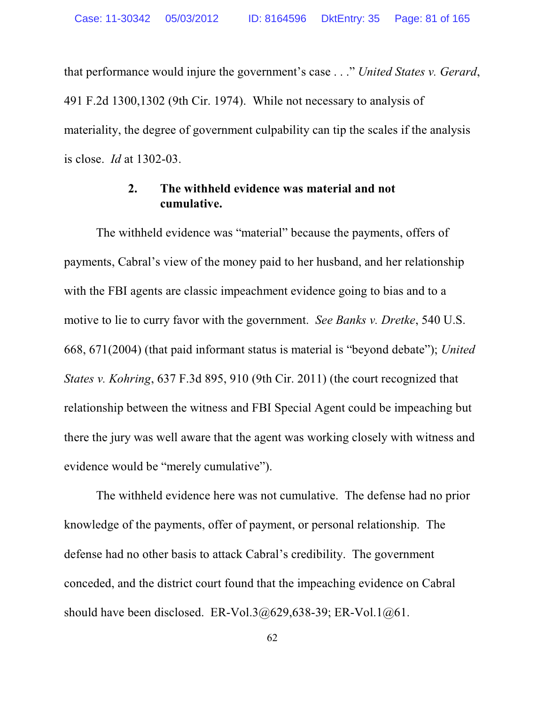that performance would injure the government's case . . ." *United States v. Gerard*, 491 F.2d 1300,1302 (9th Cir. 1974). While not necessary to analysis of materiality, the degree of government culpability can tip the scales if the analysis is close. *Id* at 1302-03.

### **2. The withheld evidence was material and not cumulative.**

The withheld evidence was "material" because the payments, offers of payments, Cabral's view of the money paid to her husband, and her relationship with the FBI agents are classic impeachment evidence going to bias and to a motive to lie to curry favor with the government. *See Banks v. Dretke*, 540 U.S. 668, 671(2004) (that paid informant status is material is "beyond debate"); *United States v. Kohring*, 637 F.3d 895, 910 (9th Cir. 2011) (the court recognized that relationship between the witness and FBI Special Agent could be impeaching but there the jury was well aware that the agent was working closely with witness and evidence would be "merely cumulative").

The withheld evidence here was not cumulative. The defense had no prior knowledge of the payments, offer of payment, or personal relationship. The defense had no other basis to attack Cabral's credibility. The government conceded, and the district court found that the impeaching evidence on Cabral should have been disclosed. ER-Vol.3 $@629,638-39$ ; ER-Vol.1 $@61$ .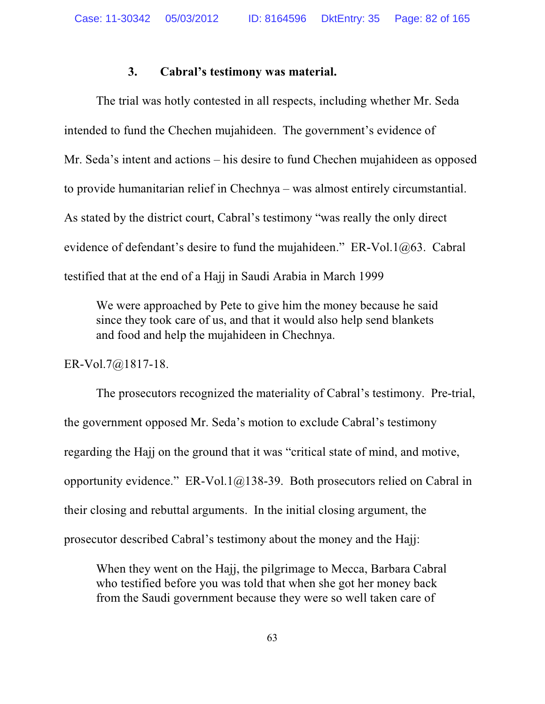### **3. Cabral's testimony was material.**

The trial was hotly contested in all respects, including whether Mr. Seda intended to fund the Chechen mujahideen. The government's evidence of Mr. Seda's intent and actions – his desire to fund Chechen mujahideen as opposed to provide humanitarian relief in Chechnya – was almost entirely circumstantial. As stated by the district court, Cabral's testimony "was really the only direct evidence of defendant's desire to fund the mujahideen." ER-Vol.1@63. Cabral testified that at the end of a Hajj in Saudi Arabia in March 1999

We were approached by Pete to give him the money because he said since they took care of us, and that it would also help send blankets and food and help the mujahideen in Chechnya.

ER-Vol.7@1817-18.

The prosecutors recognized the materiality of Cabral's testimony. Pre-trial, the government opposed Mr. Seda's motion to exclude Cabral's testimony regarding the Hajj on the ground that it was "critical state of mind, and motive, opportunity evidence." ER-Vol.1@138-39. Both prosecutors relied on Cabral in their closing and rebuttal arguments. In the initial closing argument, the prosecutor described Cabral's testimony about the money and the Hajj:

When they went on the Hajj, the pilgrimage to Mecca, Barbara Cabral who testified before you was told that when she got her money back from the Saudi government because they were so well taken care of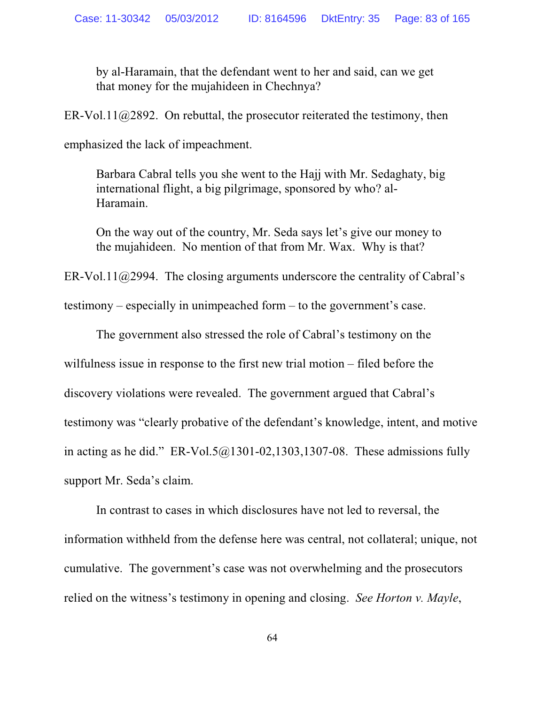by al-Haramain, that the defendant went to her and said, can we get that money for the mujahideen in Chechnya?

ER-Vol.11@2892. On rebuttal, the prosecutor reiterated the testimony, then

emphasized the lack of impeachment.

Barbara Cabral tells you she went to the Hajj with Mr. Sedaghaty, big international flight, a big pilgrimage, sponsored by who? al-Haramain.

On the way out of the country, Mr. Seda says let's give our money to the mujahideen. No mention of that from Mr. Wax. Why is that?

ER-Vol.11 $@2994$ . The closing arguments underscore the centrality of Cabral's

testimony – especially in unimpeached form – to the government's case.

The government also stressed the role of Cabral's testimony on the wilfulness issue in response to the first new trial motion – filed before the discovery violations were revealed. The government argued that Cabral's testimony was "clearly probative of the defendant's knowledge, intent, and motive in acting as he did." ER-Vol.5 $@1301-02,1303,1307-08$ . These admissions fully support Mr. Seda's claim.

In contrast to cases in which disclosures have not led to reversal, the information withheld from the defense here was central, not collateral; unique, not cumulative. The government's case was not overwhelming and the prosecutors relied on the witness's testimony in opening and closing. *See Horton v. Mayle*,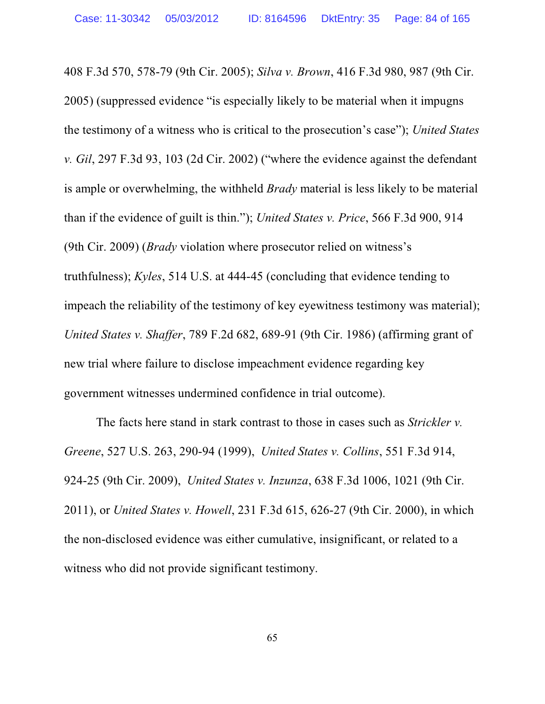408 F.3d 570, 578-79 (9th Cir. 2005); *Silva v. Brown*, 416 F.3d 980, 987 (9th Cir. 2005) (suppressed evidence "is especially likely to be material when it impugns the testimony of a witness who is critical to the prosecution's case"); *United States v. Gil*, 297 F.3d 93, 103 (2d Cir. 2002) ("where the evidence against the defendant is ample or overwhelming, the withheld *Brady* material is less likely to be material than if the evidence of guilt is thin."); *United States v. Price*, 566 F.3d 900, 914 (9th Cir. 2009) (*Brady* violation where prosecutor relied on witness's truthfulness); *Kyles*, 514 U.S. at 444-45 (concluding that evidence tending to impeach the reliability of the testimony of key eyewitness testimony was material); *United States v. Shaffer*, 789 F.2d 682, 689-91 (9th Cir. 1986) (affirming grant of new trial where failure to disclose impeachment evidence regarding key government witnesses undermined confidence in trial outcome).

The facts here stand in stark contrast to those in cases such as *Strickler v. Greene*, 527 U.S. 263, 290-94 (1999), *United States v. Collins*, 551 F.3d 914, 924-25 (9th Cir. 2009), *United States v. Inzunza*, 638 F.3d 1006, 1021 (9th Cir. 2011), or *United States v. Howell*, 231 F.3d 615, 626-27 (9th Cir. 2000), in which the non-disclosed evidence was either cumulative, insignificant, or related to a witness who did not provide significant testimony.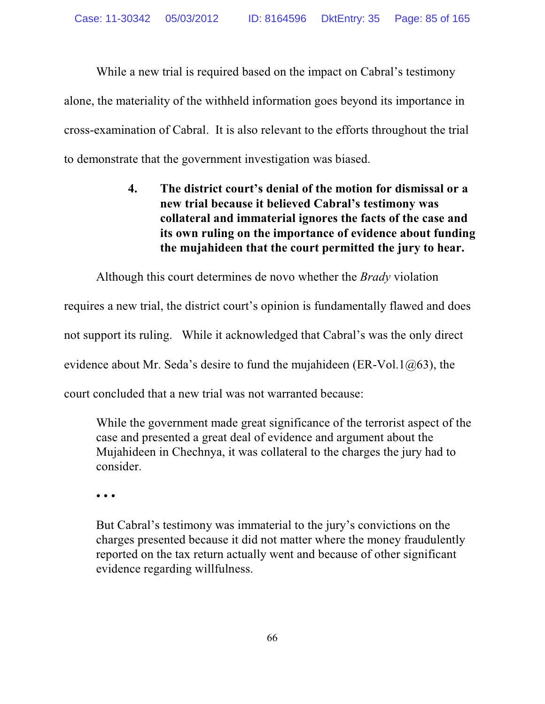While a new trial is required based on the impact on Cabral's testimony alone, the materiality of the withheld information goes beyond its importance in cross-examination of Cabral. It is also relevant to the efforts throughout the trial to demonstrate that the government investigation was biased.

> **4. The district court's denial of the motion for dismissal or a new trial because it believed Cabral's testimony was collateral and immaterial ignores the facts of the case and its own ruling on the importance of evidence about funding the mujahideen that the court permitted the jury to hear.**

Although this court determines de novo whether the *Brady* violation

requires a new trial, the district court's opinion is fundamentally flawed and does not support its ruling. While it acknowledged that Cabral's was the only direct evidence about Mr. Seda's desire to fund the mujahideen (ER-Vol.1 $@63$ ), the court concluded that a new trial was not warranted because:

While the government made great significance of the terrorist aspect of the case and presented a great deal of evidence and argument about the Mujahideen in Chechnya, it was collateral to the charges the jury had to consider.

• • •

But Cabral's testimony was immaterial to the jury's convictions on the charges presented because it did not matter where the money fraudulently reported on the tax return actually went and because of other significant evidence regarding willfulness.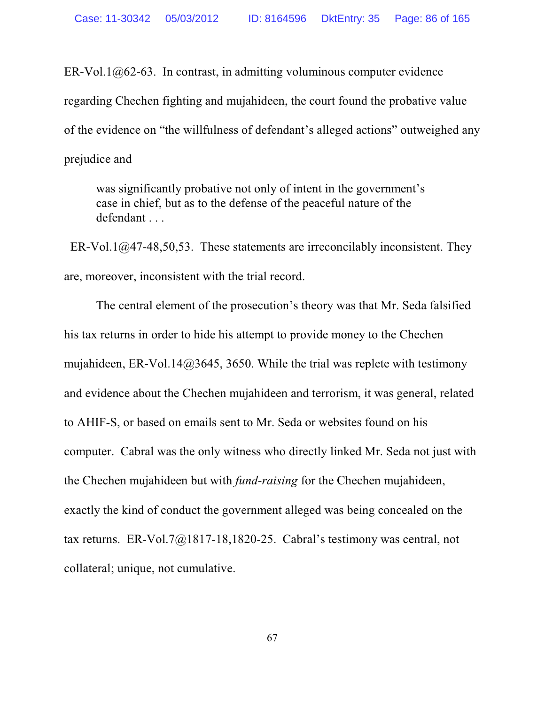ER-Vol.1 $@62-63$ . In contrast, in admitting voluminous computer evidence regarding Chechen fighting and mujahideen, the court found the probative value of the evidence on "the willfulness of defendant's alleged actions" outweighed any prejudice and

was significantly probative not only of intent in the government's case in chief, but as to the defense of the peaceful nature of the defendant . . .

ER-Vol.1 $@47-48,50,53$ . These statements are irreconcilably inconsistent. They are, moreover, inconsistent with the trial record.

The central element of the prosecution's theory was that Mr. Seda falsified his tax returns in order to hide his attempt to provide money to the Chechen mujahideen, ER-Vol.14@3645, 3650. While the trial was replete with testimony and evidence about the Chechen mujahideen and terrorism, it was general, related to AHIF-S, or based on emails sent to Mr. Seda or websites found on his computer. Cabral was the only witness who directly linked Mr. Seda not just with the Chechen mujahideen but with *fund-raising* for the Chechen mujahideen, exactly the kind of conduct the government alleged was being concealed on the tax returns. ER-Vol.7@1817-18,1820-25. Cabral's testimony was central, not collateral; unique, not cumulative.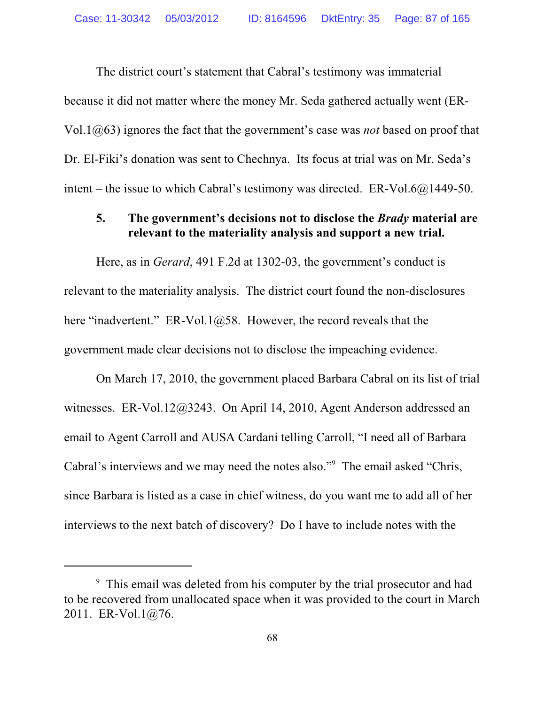The district court's statement that Cabral's testimony was immaterial because it did not matter where the money Mr. Seda gathered actually went (ER-Vol.1@63) ignores the fact that the government's case was *not* based on proof that Dr. El-Fiki's donation was sent to Chechnya. Its focus at trial was on Mr. Seda's intent – the issue to which Cabral's testimony was directed. ER-Vol.6 $@1449-50$ .

### **5. The government's decisions not to disclose the** *Brady* **material are relevant to the materiality analysis and support a new trial.**

Here, as in *Gerard*, 491 F.2d at 1302-03, the government's conduct is relevant to the materiality analysis. The district court found the non-disclosures here "inadvertent." ER-Vol.1 $@58$ . However, the record reveals that the government made clear decisions not to disclose the impeaching evidence.

On March 17, 2010, the government placed Barbara Cabral on its list of trial witnesses. ER-Vol.12@3243. On April 14, 2010, Agent Anderson addressed an email to Agent Carroll and AUSA Cardani telling Carroll, "I need all of Barbara Cabral's interviews and we may need the notes also."<sup>9</sup> The email asked "Chris, since Barbara is listed as a case in chief witness, do you want me to add all of her interviews to the next batch of discovery? Do I have to include notes with the

<sup>&</sup>lt;sup>9</sup> This email was deleted from his computer by the trial prosecutor and had to be recovered from unallocated space when it was provided to the court in March 2011. ER-Vol.1@76.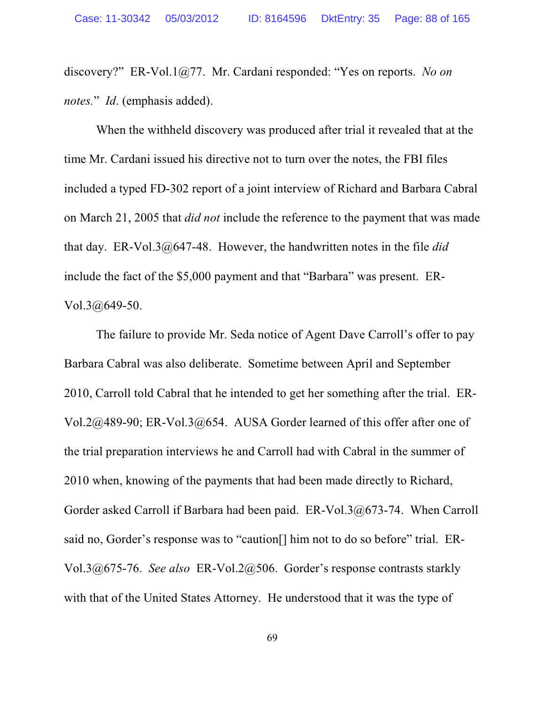discovery?" ER-Vol.1@77. Mr. Cardani responded: "Yes on reports. *No on notes.*" *Id*. (emphasis added).

When the withheld discovery was produced after trial it revealed that at the time Mr. Cardani issued his directive not to turn over the notes, the FBI files included a typed FD-302 report of a joint interview of Richard and Barbara Cabral on March 21, 2005 that *did not* include the reference to the payment that was made that day. ER-Vol.3@647-48. However, the handwritten notes in the file *did* include the fact of the \$5,000 payment and that "Barbara" was present. ER-Vol.3@649-50.

The failure to provide Mr. Seda notice of Agent Dave Carroll's offer to pay Barbara Cabral was also deliberate. Sometime between April and September 2010, Carroll told Cabral that he intended to get her something after the trial. ER-Vol.2@489-90; ER-Vol.3@654. AUSA Gorder learned of this offer after one of the trial preparation interviews he and Carroll had with Cabral in the summer of 2010 when, knowing of the payments that had been made directly to Richard, Gorder asked Carroll if Barbara had been paid. ER-Vol.3@673-74. When Carroll said no, Gorder's response was to "caution[] him not to do so before" trial. ER-Vol.3@675-76. *See also* ER-Vol.2@506. Gorder's response contrasts starkly with that of the United States Attorney. He understood that it was the type of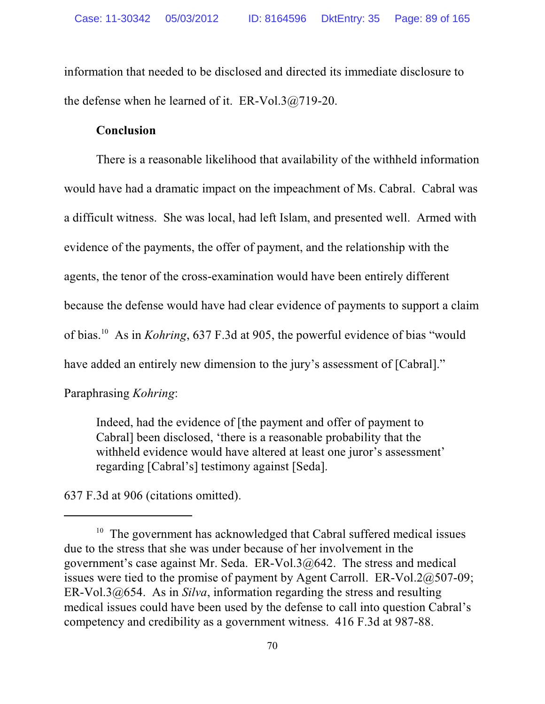information that needed to be disclosed and directed its immediate disclosure to the defense when he learned of it. ER-Vol.3@719-20.

### **Conclusion**

There is a reasonable likelihood that availability of the withheld information would have had a dramatic impact on the impeachment of Ms. Cabral. Cabral was a difficult witness. She was local, had left Islam, and presented well. Armed with evidence of the payments, the offer of payment, and the relationship with the agents, the tenor of the cross-examination would have been entirely different because the defense would have had clear evidence of payments to support a claim of bias. 10 As in *Kohring*, 637 F.3d at 905, the powerful evidence of bias "would have added an entirely new dimension to the jury's assessment of [Cabral]." Paraphrasing *Kohring*:

Indeed, had the evidence of [the payment and offer of payment to Cabral] been disclosed, 'there is a reasonable probability that the withheld evidence would have altered at least one juror's assessment' regarding [Cabral's] testimony against [Seda].

637 F.3d at 906 (citations omitted).

<sup>&</sup>lt;sup>10</sup> The government has acknowledged that Cabral suffered medical issues due to the stress that she was under because of her involvement in the government's case against Mr. Seda. ER-Vol.3@642. The stress and medical issues were tied to the promise of payment by Agent Carroll. ER-Vol.2@507-09; ER-Vol.3@654. As in *Silva*, information regarding the stress and resulting medical issues could have been used by the defense to call into question Cabral's competency and credibility as a government witness. 416 F.3d at 987-88.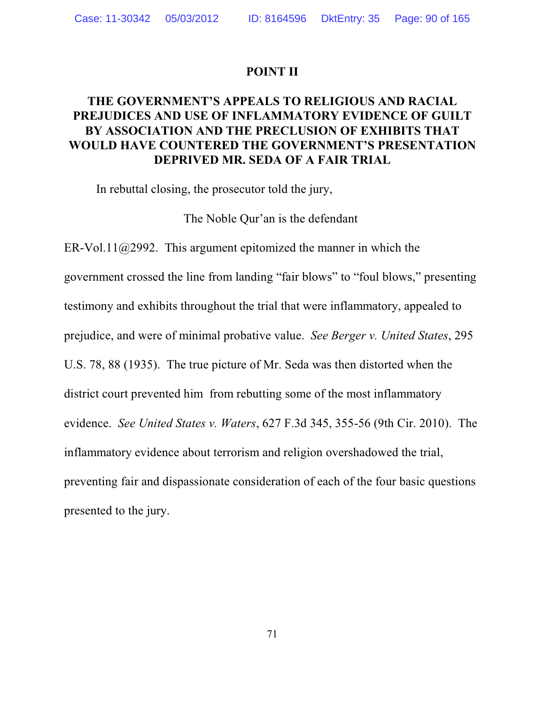### **POINT II**

## **THE GOVERNMENT'S APPEALS TO RELIGIOUS AND RACIAL PREJUDICES AND USE OF INFLAMMATORY EVIDENCE OF GUILT BY ASSOCIATION AND THE PRECLUSION OF EXHIBITS THAT WOULD HAVE COUNTERED THE GOVERNMENT'S PRESENTATION DEPRIVED MR. SEDA OF A FAIR TRIAL**

In rebuttal closing, the prosecutor told the jury,

The Noble Qur'an is the defendant

ER-Vol.11@2992. This argument epitomized the manner in which the government crossed the line from landing "fair blows" to "foul blows," presenting testimony and exhibits throughout the trial that were inflammatory, appealed to prejudice, and were of minimal probative value. *See Berger v. United States*, 295 U.S. 78, 88 (1935). The true picture of Mr. Seda was then distorted when the district court prevented him from rebutting some of the most inflammatory evidence. *See United States v. Waters*, 627 F.3d 345, 355-56 (9th Cir. 2010). The inflammatory evidence about terrorism and religion overshadowed the trial, preventing fair and dispassionate consideration of each of the four basic questions presented to the jury.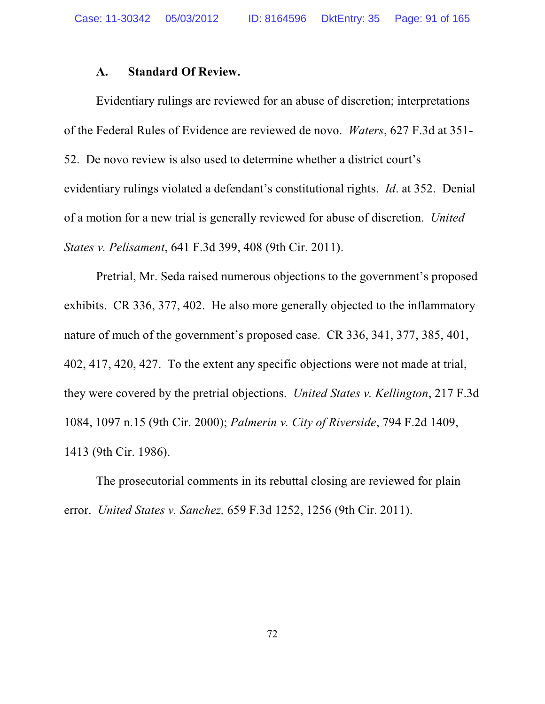#### **A. Standard Of Review.**

Evidentiary rulings are reviewed for an abuse of discretion; interpretations of the Federal Rules of Evidence are reviewed de novo. *Waters*, 627 F.3d at 351- 52. De novo review is also used to determine whether a district court's evidentiary rulings violated a defendant's constitutional rights. *Id*. at 352. Denial of a motion for a new trial is generally reviewed for abuse of discretion. *United States v. Pelisament*, 641 F.3d 399, 408 (9th Cir. 2011).

Pretrial, Mr. Seda raised numerous objections to the government's proposed exhibits. CR 336, 377, 402. He also more generally objected to the inflammatory nature of much of the government's proposed case. CR 336, 341, 377, 385, 401, 402, 417, 420, 427. To the extent any specific objections were not made at trial, they were covered by the pretrial objections. *United States v. Kellington*, 217 F.3d 1084, 1097 n.15 (9th Cir. 2000); *Palmerin v. City of Riverside*, 794 F.2d 1409, 1413 (9th Cir. 1986).

The prosecutorial comments in its rebuttal closing are reviewed for plain error. *United States v. Sanchez,* 659 F.3d 1252, 1256 (9th Cir. 2011).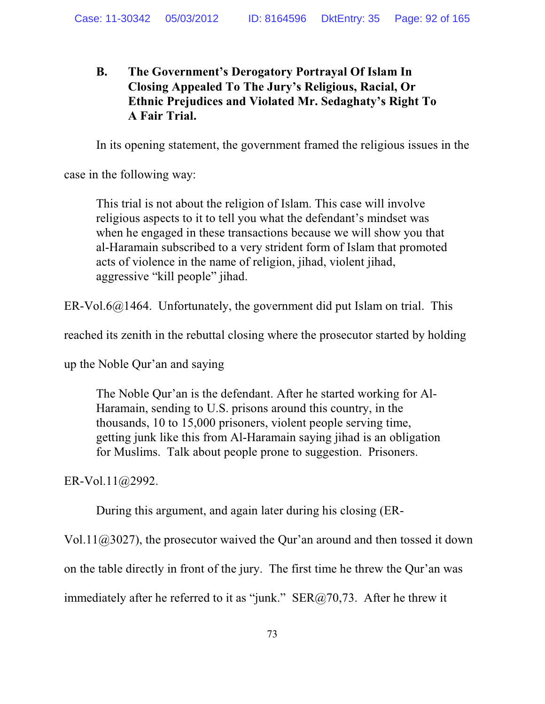## **B. The Government's Derogatory Portrayal Of Islam In Closing Appealed To The Jury's Religious, Racial, Or Ethnic Prejudices and Violated Mr. Sedaghaty's Right To A Fair Trial.**

In its opening statement, the government framed the religious issues in the

case in the following way:

This trial is not about the religion of Islam. This case will involve religious aspects to it to tell you what the defendant's mindset was when he engaged in these transactions because we will show you that al-Haramain subscribed to a very strident form of Islam that promoted acts of violence in the name of religion, jihad, violent jihad, aggressive "kill people" jihad.

 $ER-V<sub>0</sub>16@1464$ . Unfortunately, the government did put Islam on trial. This

reached its zenith in the rebuttal closing where the prosecutor started by holding

up the Noble Qur'an and saying

The Noble Qur'an is the defendant. After he started working for Al-Haramain, sending to U.S. prisons around this country, in the thousands, 10 to 15,000 prisoners, violent people serving time, getting junk like this from Al-Haramain saying jihad is an obligation for Muslims. Talk about people prone to suggestion. Prisoners.

ER-Vol.11@2992.

During this argument, and again later during his closing (ER-

Vol.11@3027), the prosecutor waived the Qur'an around and then tossed it down on the table directly in front of the jury. The first time he threw the Qur'an was immediately after he referred to it as "junk."  $SER@70,73$ . After he threw it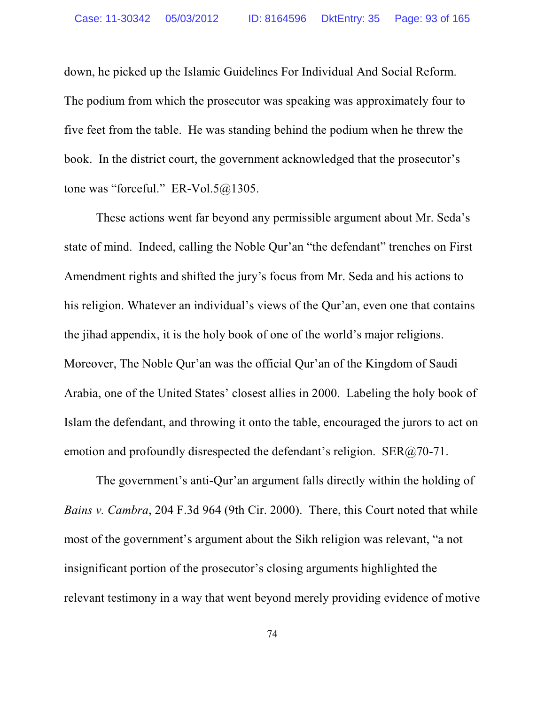down, he picked up the Islamic Guidelines For Individual And Social Reform. The podium from which the prosecutor was speaking was approximately four to five feet from the table. He was standing behind the podium when he threw the book. In the district court, the government acknowledged that the prosecutor's tone was "forceful." ER-Vol.5@1305.

These actions went far beyond any permissible argument about Mr. Seda's state of mind. Indeed, calling the Noble Qur'an "the defendant" trenches on First Amendment rights and shifted the jury's focus from Mr. Seda and his actions to his religion. Whatever an individual's views of the Qur'an, even one that contains the jihad appendix, it is the holy book of one of the world's major religions. Moreover, The Noble Qur'an was the official Qur'an of the Kingdom of Saudi Arabia, one of the United States' closest allies in 2000. Labeling the holy book of Islam the defendant, and throwing it onto the table, encouraged the jurors to act on emotion and profoundly disrespected the defendant's religion. SER@70-71.

The government's anti-Qur'an argument falls directly within the holding of *Bains v. Cambra*, 204 F.3d 964 (9th Cir. 2000). There, this Court noted that while most of the government's argument about the Sikh religion was relevant, "a not insignificant portion of the prosecutor's closing arguments highlighted the relevant testimony in a way that went beyond merely providing evidence of motive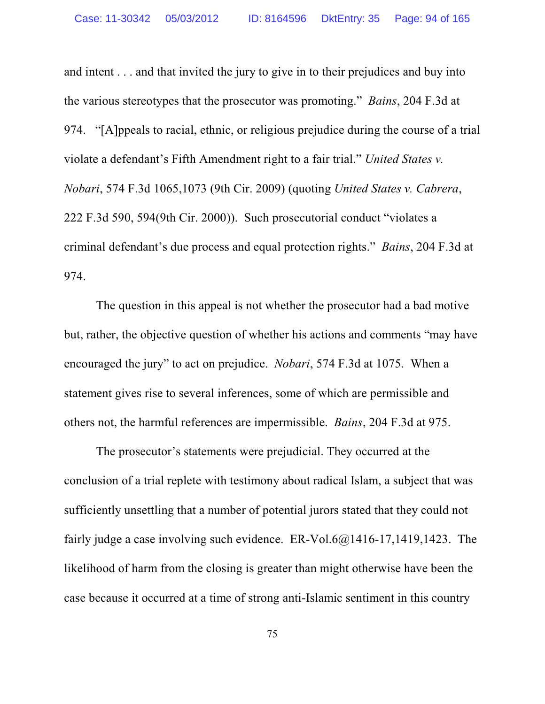and intent . . . and that invited the jury to give in to their prejudices and buy into the various stereotypes that the prosecutor was promoting." *Bains*, 204 F.3d at 974. "[A]ppeals to racial, ethnic, or religious prejudice during the course of a trial violate a defendant's Fifth Amendment right to a fair trial." *United States v. Nobari*, 574 F.3d 1065,1073 (9th Cir. 2009) (quoting *United States v. Cabrera*, 222 F.3d 590, 594(9th Cir. 2000)). Such prosecutorial conduct "violates a criminal defendant's due process and equal protection rights." *Bains*, 204 F.3d at 974.

The question in this appeal is not whether the prosecutor had a bad motive but, rather, the objective question of whether his actions and comments "may have encouraged the jury" to act on prejudice. *Nobari*, 574 F.3d at 1075. When a statement gives rise to several inferences, some of which are permissible and others not, the harmful references are impermissible. *Bains*, 204 F.3d at 975.

The prosecutor's statements were prejudicial. They occurred at the conclusion of a trial replete with testimony about radical Islam, a subject that was sufficiently unsettling that a number of potential jurors stated that they could not fairly judge a case involving such evidence. ER-Vol.6@1416-17,1419,1423. The likelihood of harm from the closing is greater than might otherwise have been the case because it occurred at a time of strong anti-Islamic sentiment in this country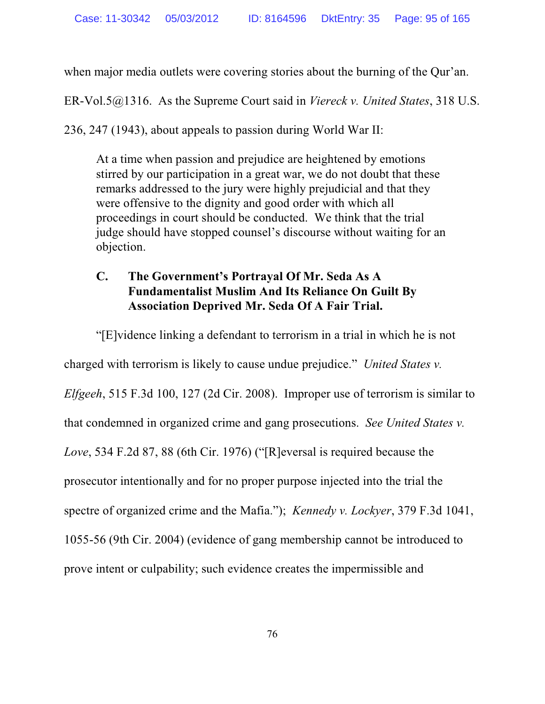when major media outlets were covering stories about the burning of the Qur'an.

ER-Vol.5@1316. As the Supreme Court said in *Viereck v. United States*, 318 U.S.

236, 247 (1943), about appeals to passion during World War II:

At a time when passion and prejudice are heightened by emotions stirred by our participation in a great war, we do not doubt that these remarks addressed to the jury were highly prejudicial and that they were offensive to the dignity and good order with which all proceedings in court should be conducted. We think that the trial judge should have stopped counsel's discourse without waiting for an objection.

## **C. The Government's Portrayal Of Mr. Seda As A Fundamentalist Muslim And Its Reliance On Guilt By Association Deprived Mr. Seda Of A Fair Trial.**

"[E]vidence linking a defendant to terrorism in a trial in which he is not charged with terrorism is likely to cause undue prejudice." *United States v. Elfgeeh*, 515 F.3d 100, 127 (2d Cir. 2008). Improper use of terrorism is similar to that condemned in organized crime and gang prosecutions. *See United States v. Love*, 534 F.2d 87, 88 (6th Cir. 1976) ("[R]eversal is required because the prosecutor intentionally and for no proper purpose injected into the trial the spectre of organized crime and the Mafia."); *Kennedy v. Lockyer*, 379 F.3d 1041, 1055-56 (9th Cir. 2004) (evidence of gang membership cannot be introduced to prove intent or culpability; such evidence creates the impermissible and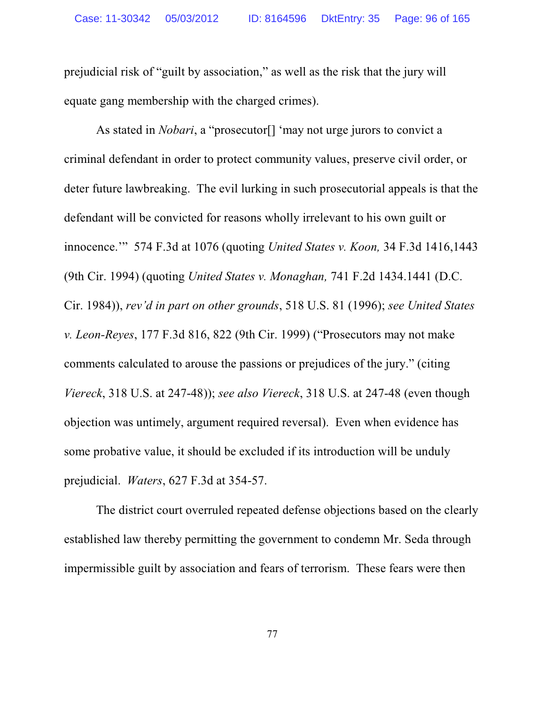prejudicial risk of "guilt by association," as well as the risk that the jury will equate gang membership with the charged crimes).

As stated in *Nobari*, a "prosecutor[] 'may not urge jurors to convict a criminal defendant in order to protect community values, preserve civil order, or deter future lawbreaking. The evil lurking in such prosecutorial appeals is that the defendant will be convicted for reasons wholly irrelevant to his own guilt or innocence.'" 574 F.3d at 1076 (quoting *United States v. Koon,* 34 F.3d 1416,1443 (9th Cir. 1994) (quoting *United States v. Monaghan,* 741 F.2d 1434.1441 (D.C. Cir. 1984)), *rev'd in part on other grounds*, 518 U.S. 81 (1996); *see United States v. Leon-Reyes*, 177 F.3d 816, 822 (9th Cir. 1999) ("Prosecutors may not make comments calculated to arouse the passions or prejudices of the jury." (citing *Viereck*, 318 U.S. at 247-48)); *see also Viereck*, 318 U.S. at 247-48 (even though objection was untimely, argument required reversal). Even when evidence has some probative value, it should be excluded if its introduction will be unduly prejudicial. *Waters*, 627 F.3d at 354-57.

The district court overruled repeated defense objections based on the clearly established law thereby permitting the government to condemn Mr. Seda through impermissible guilt by association and fears of terrorism. These fears were then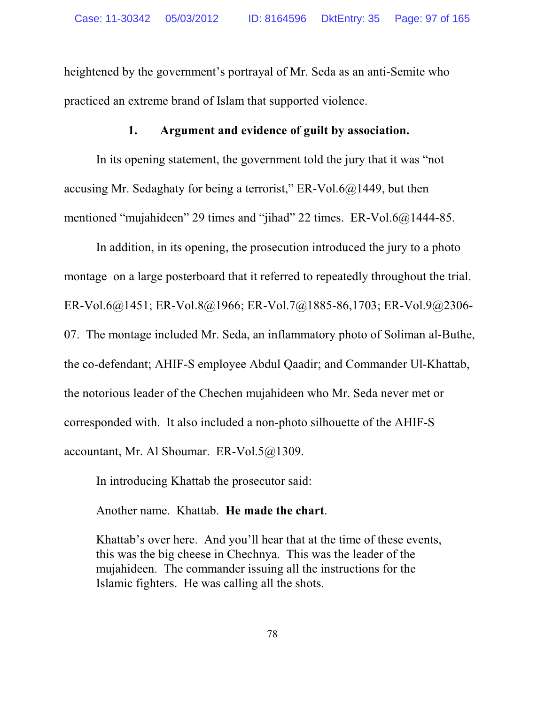heightened by the government's portrayal of Mr. Seda as an anti-Semite who practiced an extreme brand of Islam that supported violence.

### **1. Argument and evidence of guilt by association.**

In its opening statement, the government told the jury that it was "not accusing Mr. Sedaghaty for being a terrorist," ER-Vol.6 $@1449$ , but then mentioned "mujahideen" 29 times and "jihad" 22 times. ER-Vol.6@1444-85.

In addition, in its opening, the prosecution introduced the jury to a photo montage on a large posterboard that it referred to repeatedly throughout the trial. ER-Vol.6@1451; ER-Vol.8@1966; ER-Vol.7@1885-86,1703; ER-Vol.9@2306- 07. The montage included Mr. Seda, an inflammatory photo of Soliman al-Buthe, the co-defendant; AHIF-S employee Abdul Qaadir; and Commander Ul-Khattab, the notorious leader of the Chechen mujahideen who Mr. Seda never met or corresponded with. It also included a non-photo silhouette of the AHIF-S accountant, Mr. Al Shoumar. ER-Vol.5@1309.

In introducing Khattab the prosecutor said:

Another name. Khattab. **He made the chart**.

Khattab's over here. And you'll hear that at the time of these events, this was the big cheese in Chechnya. This was the leader of the mujahideen. The commander issuing all the instructions for the Islamic fighters. He was calling all the shots.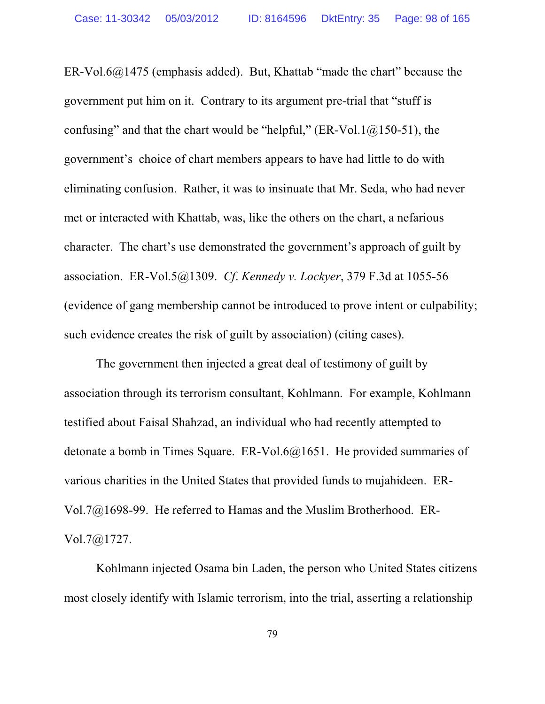ER-Vol.6@1475 (emphasis added). But, Khattab "made the chart" because the government put him on it. Contrary to its argument pre-trial that "stuff is confusing" and that the chart would be "helpful," (ER-Vol.1 $@150-51$ ), the government's choice of chart members appears to have had little to do with eliminating confusion. Rather, it was to insinuate that Mr. Seda, who had never met or interacted with Khattab, was, like the others on the chart, a nefarious character. The chart's use demonstrated the government's approach of guilt by association. ER-Vol.5@1309. *Cf*. *Kennedy v. Lockyer*, 379 F.3d at 1055-56 (evidence of gang membership cannot be introduced to prove intent or culpability; such evidence creates the risk of guilt by association) (citing cases).

The government then injected a great deal of testimony of guilt by association through its terrorism consultant, Kohlmann. For example, Kohlmann testified about Faisal Shahzad, an individual who had recently attempted to detonate a bomb in Times Square. ER-Vol.6@1651. He provided summaries of various charities in the United States that provided funds to mujahideen. ER-Vol.7@1698-99. He referred to Hamas and the Muslim Brotherhood. ER-Vol.7@1727.

Kohlmann injected Osama bin Laden, the person who United States citizens most closely identify with Islamic terrorism, into the trial, asserting a relationship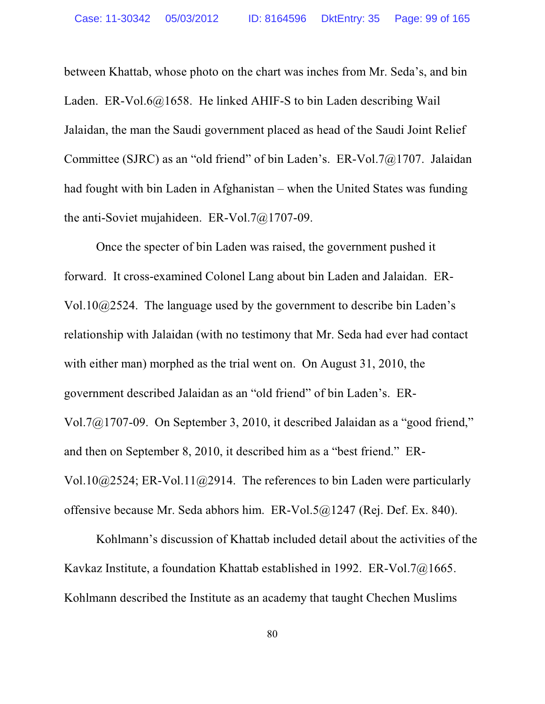between Khattab, whose photo on the chart was inches from Mr. Seda's, and bin Laden. ER-Vol.6@1658. He linked AHIF-S to bin Laden describing Wail Jalaidan, the man the Saudi government placed as head of the Saudi Joint Relief Committee (SJRC) as an "old friend" of bin Laden's. ER-Vol.7@1707. Jalaidan had fought with bin Laden in Afghanistan – when the United States was funding the anti-Soviet mujahideen. ER-Vol.7@1707-09.

Once the specter of bin Laden was raised, the government pushed it forward. It cross-examined Colonel Lang about bin Laden and Jalaidan. ER-Vol.10@2524. The language used by the government to describe bin Laden's relationship with Jalaidan (with no testimony that Mr. Seda had ever had contact with either man) morphed as the trial went on. On August 31, 2010, the government described Jalaidan as an "old friend" of bin Laden's. ER-Vol.7@1707-09. On September 3, 2010, it described Jalaidan as a "good friend," and then on September 8, 2010, it described him as a "best friend." ER-Vol.10@2524; ER-Vol.11@2914. The references to bin Laden were particularly offensive because Mr. Seda abhors him. ER-Vol.5@1247 (Rej. Def. Ex. 840).

Kohlmann's discussion of Khattab included detail about the activities of the Kavkaz Institute, a foundation Khattab established in 1992. ER-Vol.7@1665. Kohlmann described the Institute as an academy that taught Chechen Muslims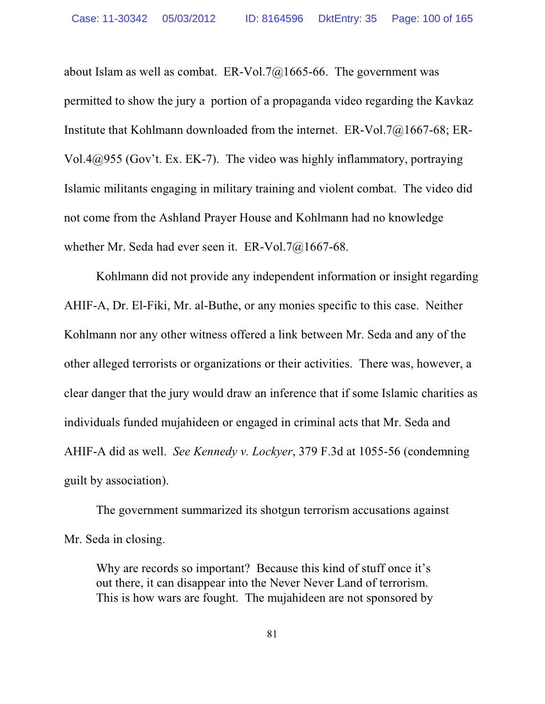about Islam as well as combat. ER-Vol.7@1665-66. The government was permitted to show the jury a portion of a propaganda video regarding the Kavkaz Institute that Kohlmann downloaded from the internet. ER-Vol.7@1667-68; ER-Vol.4@955 (Gov't. Ex. EK-7). The video was highly inflammatory, portraying Islamic militants engaging in military training and violent combat. The video did not come from the Ashland Prayer House and Kohlmann had no knowledge whether Mr. Seda had ever seen it. ER-Vol.7@1667-68.

Kohlmann did not provide any independent information or insight regarding AHIF-A, Dr. El-Fiki, Mr. al-Buthe, or any monies specific to this case. Neither Kohlmann nor any other witness offered a link between Mr. Seda and any of the other alleged terrorists or organizations or their activities. There was, however, a clear danger that the jury would draw an inference that if some Islamic charities as individuals funded mujahideen or engaged in criminal acts that Mr. Seda and AHIF-A did as well. *See Kennedy v. Lockyer*, 379 F.3d at 1055-56 (condemning guilt by association).

The government summarized its shotgun terrorism accusations against Mr. Seda in closing.

Why are records so important? Because this kind of stuff once it's out there, it can disappear into the Never Never Land of terrorism. This is how wars are fought. The mujahideen are not sponsored by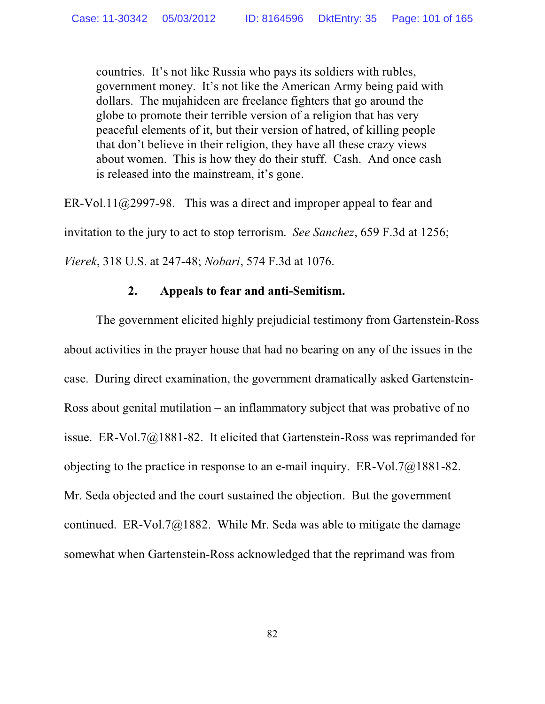countries. It's not like Russia who pays its soldiers with rubles, government money. It's not like the American Army being paid with dollars. The mujahideen are freelance fighters that go around the globe to promote their terrible version of a religion that has very peaceful elements of it, but their version of hatred, of killing people that don't believe in their religion, they have all these crazy views about women. This is how they do their stuff. Cash. And once cash is released into the mainstream, it's gone.

ER-Vol.11@2997-98. This was a direct and improper appeal to fear and invitation to the jury to act to stop terrorism. *See Sanchez*, 659 F.3d at 1256; *Vierek*, 318 U.S. at 247-48; *Nobari*, 574 F.3d at 1076.

### **2. Appeals to fear and anti-Semitism.**

The government elicited highly prejudicial testimony from Gartenstein-Ross about activities in the prayer house that had no bearing on any of the issues in the case. During direct examination, the government dramatically asked Gartenstein-Ross about genital mutilation – an inflammatory subject that was probative of no issue. ER-Vol.7@1881-82. It elicited that Gartenstein-Ross was reprimanded for objecting to the practice in response to an e-mail inquiry. ER-Vol.7@1881-82. Mr. Seda objected and the court sustained the objection. But the government continued. ER-Vol.7 $@1882$ . While Mr. Seda was able to mitigate the damage somewhat when Gartenstein-Ross acknowledged that the reprimand was from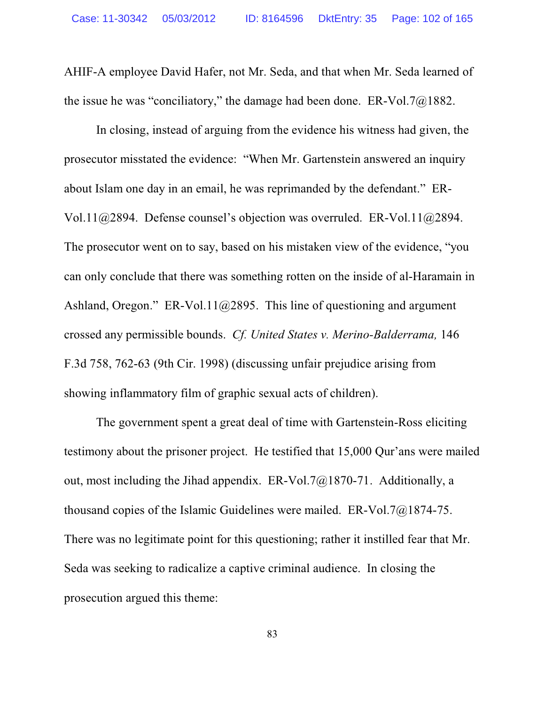AHIF-A employee David Hafer, not Mr. Seda, and that when Mr. Seda learned of the issue he was "conciliatory," the damage had been done. ER-Vol.7@1882.

In closing, instead of arguing from the evidence his witness had given, the prosecutor misstated the evidence: "When Mr. Gartenstein answered an inquiry about Islam one day in an email, he was reprimanded by the defendant." ER-Vol.11@2894. Defense counsel's objection was overruled. ER-Vol.11@2894. The prosecutor went on to say, based on his mistaken view of the evidence, "you can only conclude that there was something rotten on the inside of al-Haramain in Ashland, Oregon." ER-Vol.11@2895. This line of questioning and argument crossed any permissible bounds. *Cf. United States v. Merino-Balderrama,* 146 F.3d 758, 762-63 (9th Cir. 1998) (discussing unfair prejudice arising from showing inflammatory film of graphic sexual acts of children).

The government spent a great deal of time with Gartenstein-Ross eliciting testimony about the prisoner project. He testified that 15,000 Qur'ans were mailed out, most including the Jihad appendix. ER-Vol.7@1870-71. Additionally, a thousand copies of the Islamic Guidelines were mailed. ER-Vol.7@1874-75. There was no legitimate point for this questioning; rather it instilled fear that Mr. Seda was seeking to radicalize a captive criminal audience. In closing the prosecution argued this theme: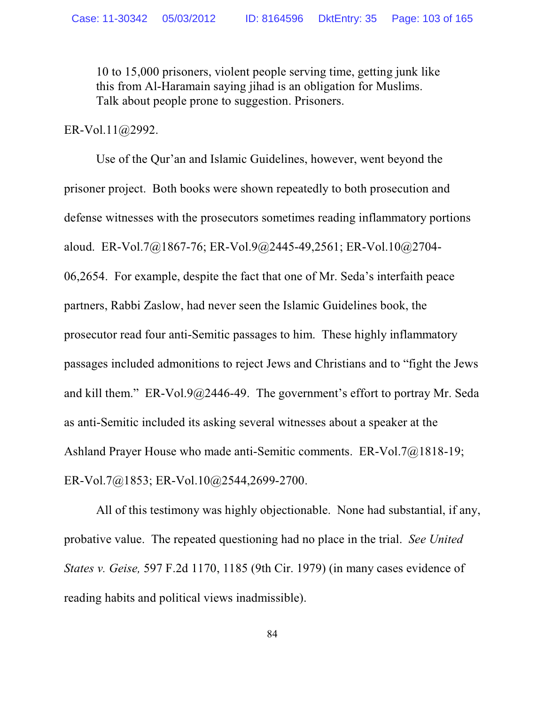10 to 15,000 prisoners, violent people serving time, getting junk like this from Al-Haramain saying jihad is an obligation for Muslims. Talk about people prone to suggestion. Prisoners.

#### ER-Vol.11@2992.

Use of the Qur'an and Islamic Guidelines, however, went beyond the prisoner project. Both books were shown repeatedly to both prosecution and defense witnesses with the prosecutors sometimes reading inflammatory portions aloud. ER-Vol.7@1867-76; ER-Vol.9@2445-49,2561; ER-Vol.10@2704- 06,2654. For example, despite the fact that one of Mr. Seda's interfaith peace partners, Rabbi Zaslow, had never seen the Islamic Guidelines book, the prosecutor read four anti-Semitic passages to him. These highly inflammatory passages included admonitions to reject Jews and Christians and to "fight the Jews and kill them." ER-Vol.9@2446-49. The government's effort to portray Mr. Seda as anti-Semitic included its asking several witnesses about a speaker at the Ashland Prayer House who made anti-Semitic comments. ER-Vol.7@1818-19; ER-Vol.7@1853; ER-Vol.10@2544,2699-2700.

All of this testimony was highly objectionable. None had substantial, if any, probative value. The repeated questioning had no place in the trial. *See United States v. Geise,* 597 F.2d 1170, 1185 (9th Cir. 1979) (in many cases evidence of reading habits and political views inadmissible).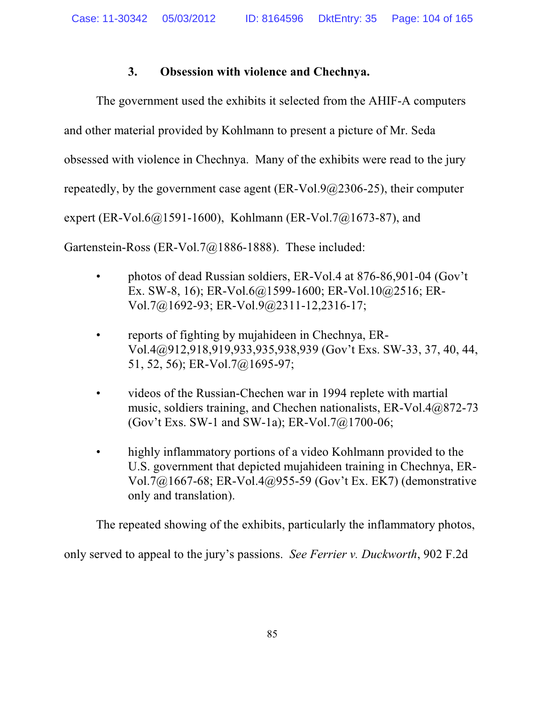## **3. Obsession with violence and Chechnya.**

The government used the exhibits it selected from the AHIF-A computers and other material provided by Kohlmann to present a picture of Mr. Seda obsessed with violence in Chechnya. Many of the exhibits were read to the jury repeatedly, by the government case agent (ER-Vol.9@2306-25), their computer expert (ER-Vol.6@1591-1600), Kohlmann (ER-Vol.7@1673-87), and Gartenstein-Ross (ER-Vol.7@1886-1888). These included:

- photos of dead Russian soldiers, ER-Vol.4 at 876-86,901-04 (Gov't Ex. SW-8, 16); ER-Vol.6@1599-1600; ER-Vol.10@2516; ER-Vol.7@1692-93; ER-Vol.9@2311-12,2316-17;
- reports of fighting by mujahideen in Chechnya, ER-Vol.4@912,918,919,933,935,938,939 (Gov't Exs. SW-33, 37, 40, 44, 51, 52, 56); ER-Vol.7@1695-97;
- videos of the Russian-Chechen war in 1994 replete with martial music, soldiers training, and Chechen nationalists, ER-Vol.4@872-73 (Gov't Exs. SW-1 and SW-1a); ER-Vol.7@1700-06;
- highly inflammatory portions of a video Kohlmann provided to the U.S. government that depicted mujahideen training in Chechnya, ER-Vol.7@1667-68; ER-Vol.4@955-59 (Gov't Ex. EK7) (demonstrative only and translation).

The repeated showing of the exhibits, particularly the inflammatory photos,

only served to appeal to the jury's passions. *See Ferrier v. Duckworth*, 902 F.2d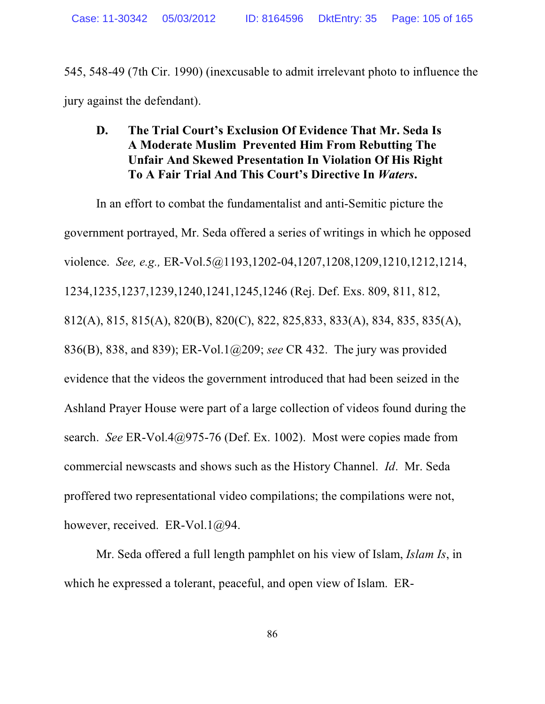545, 548-49 (7th Cir. 1990) (inexcusable to admit irrelevant photo to influence the jury against the defendant).

## **D. The Trial Court's Exclusion Of Evidence That Mr. Seda Is A Moderate Muslim Prevented Him From Rebutting The Unfair And Skewed Presentation In Violation Of His Right To A Fair Trial And This Court's Directive In** *Waters***.**

In an effort to combat the fundamentalist and anti-Semitic picture the government portrayed, Mr. Seda offered a series of writings in which he opposed violence. *See, e.g.,* ER-Vol.5@1193,1202-04,1207,1208,1209,1210,1212,1214, 1234,1235,1237,1239,1240,1241,1245,1246 (Rej. Def. Exs. 809, 811, 812, 812(A), 815, 815(A), 820(B), 820(C), 822, 825,833, 833(A), 834, 835, 835(A), 836(B), 838, and 839); ER-Vol.1@209; *see* CR 432. The jury was provided evidence that the videos the government introduced that had been seized in the Ashland Prayer House were part of a large collection of videos found during the search. *See* ER-Vol.4@975-76 (Def. Ex. 1002). Most were copies made from commercial newscasts and shows such as the History Channel. *Id*. Mr. Seda proffered two representational video compilations; the compilations were not, however, received. ER-Vol.1@94.

Mr. Seda offered a full length pamphlet on his view of Islam, *Islam Is*, in which he expressed a tolerant, peaceful, and open view of Islam. ER-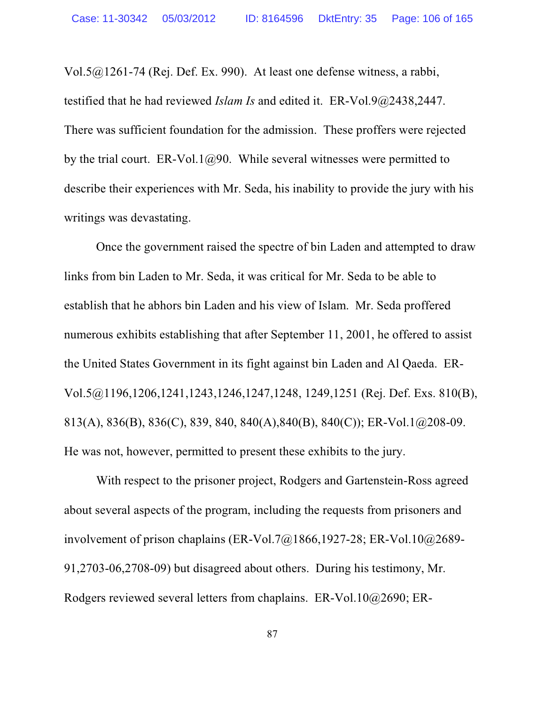Vol.5@1261-74 (Rej. Def. Ex. 990). At least one defense witness, a rabbi, testified that he had reviewed *Islam Is* and edited it. ER-Vol.9@2438,2447. There was sufficient foundation for the admission. These proffers were rejected by the trial court. ER-Vol.1 $@90$ . While several witnesses were permitted to describe their experiences with Mr. Seda, his inability to provide the jury with his writings was devastating.

Once the government raised the spectre of bin Laden and attempted to draw links from bin Laden to Mr. Seda, it was critical for Mr. Seda to be able to establish that he abhors bin Laden and his view of Islam. Mr. Seda proffered numerous exhibits establishing that after September 11, 2001, he offered to assist the United States Government in its fight against bin Laden and Al Qaeda. ER-Vol.5@1196,1206,1241,1243,1246,1247,1248, 1249,1251 (Rej. Def. Exs. 810(B), 813(A), 836(B), 836(C), 839, 840, 840(A),840(B), 840(C)); ER-Vol.1@208-09. He was not, however, permitted to present these exhibits to the jury.

With respect to the prisoner project, Rodgers and Gartenstein-Ross agreed about several aspects of the program, including the requests from prisoners and involvement of prison chaplains (ER-Vol.7@1866,1927-28; ER-Vol.10@2689- 91,2703-06,2708-09) but disagreed about others. During his testimony, Mr. Rodgers reviewed several letters from chaplains. ER-Vol.10@2690; ER-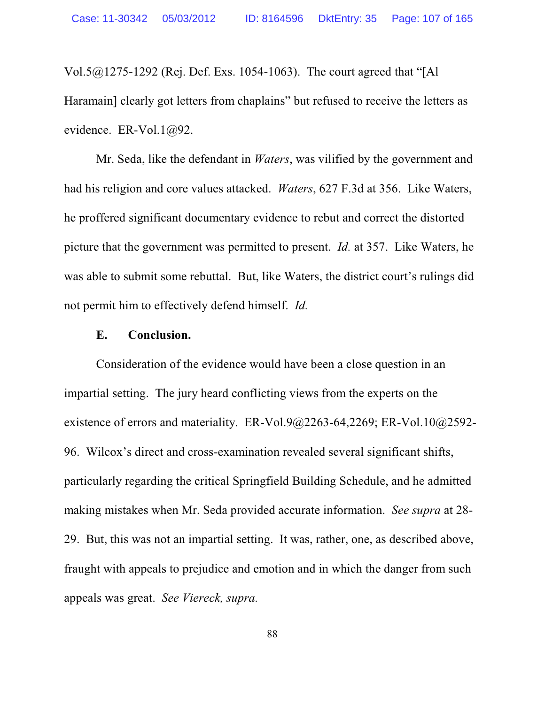Vol.5@1275-1292 (Rej. Def. Exs. 1054-1063). The court agreed that "[Al Haramain] clearly got letters from chaplains" but refused to receive the letters as evidence. ER-Vol.1@92.

Mr. Seda, like the defendant in *Waters*, was vilified by the government and had his religion and core values attacked. *Waters*, 627 F.3d at 356. Like Waters, he proffered significant documentary evidence to rebut and correct the distorted picture that the government was permitted to present. *Id.* at 357. Like Waters, he was able to submit some rebuttal. But, like Waters, the district court's rulings did not permit him to effectively defend himself. *Id.*

#### **E. Conclusion.**

Consideration of the evidence would have been a close question in an impartial setting. The jury heard conflicting views from the experts on the existence of errors and materiality. ER-Vol.9@2263-64,2269; ER-Vol.10@2592- 96. Wilcox's direct and cross-examination revealed several significant shifts, particularly regarding the critical Springfield Building Schedule, and he admitted making mistakes when Mr. Seda provided accurate information. *See supra* at 28- 29. But, this was not an impartial setting. It was, rather, one, as described above, fraught with appeals to prejudice and emotion and in which the danger from such appeals was great. *See Viereck, supra.*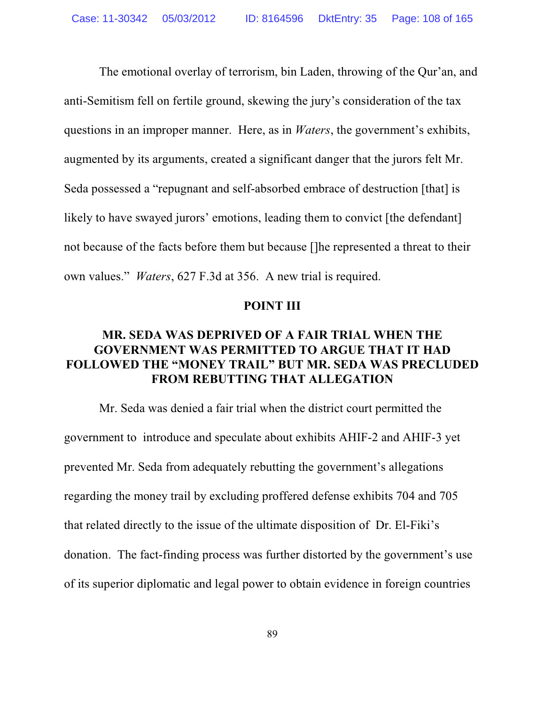The emotional overlay of terrorism, bin Laden, throwing of the Qur'an, and anti-Semitism fell on fertile ground, skewing the jury's consideration of the tax questions in an improper manner. Here, as in *Waters*, the government's exhibits, augmented by its arguments, created a significant danger that the jurors felt Mr. Seda possessed a "repugnant and self-absorbed embrace of destruction [that] is likely to have swayed jurors' emotions, leading them to convict [the defendant] not because of the facts before them but because []he represented a threat to their own values." *Waters*, 627 F.3d at 356. A new trial is required.

#### **POINT III**

## **MR. SEDA WAS DEPRIVED OF A FAIR TRIAL WHEN THE GOVERNMENT WAS PERMITTED TO ARGUE THAT IT HAD FOLLOWED THE "MONEY TRAIL" BUT MR. SEDA WAS PRECLUDED FROM REBUTTING THAT ALLEGATION**

 Mr. Seda was denied a fair trial when the district court permitted the government to introduce and speculate about exhibits AHIF-2 and AHIF-3 yet prevented Mr. Seda from adequately rebutting the government's allegations regarding the money trail by excluding proffered defense exhibits 704 and 705 that related directly to the issue of the ultimate disposition of Dr. El-Fiki's donation. The fact-finding process was further distorted by the government's use of its superior diplomatic and legal power to obtain evidence in foreign countries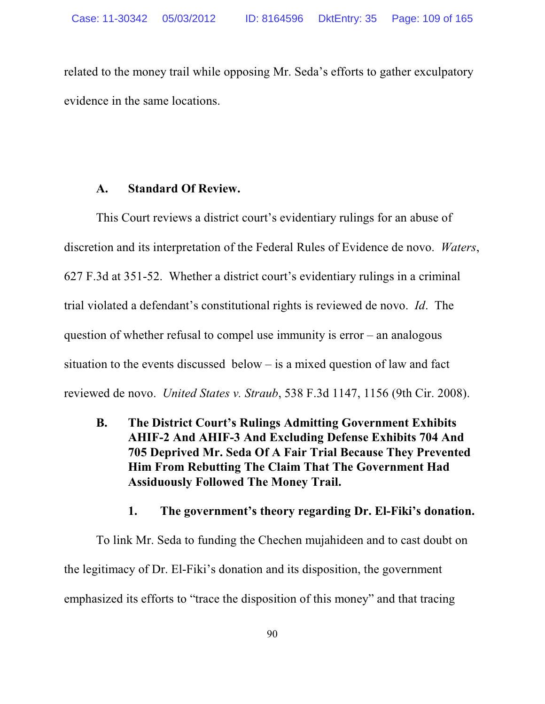related to the money trail while opposing Mr. Seda's efforts to gather exculpatory evidence in the same locations.

### **A. Standard Of Review.**

This Court reviews a district court's evidentiary rulings for an abuse of discretion and its interpretation of the Federal Rules of Evidence de novo. *Waters*, 627 F.3d at 351-52. Whether a district court's evidentiary rulings in a criminal trial violated a defendant's constitutional rights is reviewed de novo. *Id*. The question of whether refusal to compel use immunity is error – an analogous situation to the events discussed below – is a mixed question of law and fact reviewed de novo. *United States v. Straub*, 538 F.3d 1147, 1156 (9th Cir. 2008).

**B. The District Court's Rulings Admitting Government Exhibits AHIF-2 And AHIF-3 And Excluding Defense Exhibits 704 And 705 Deprived Mr. Seda Of A Fair Trial Because They Prevented Him From Rebutting The Claim That The Government Had Assiduously Followed The Money Trail.**

### **1. The government's theory regarding Dr. El-Fiki's donation.**

To link Mr. Seda to funding the Chechen mujahideen and to cast doubt on the legitimacy of Dr. El-Fiki's donation and its disposition, the government emphasized its efforts to "trace the disposition of this money" and that tracing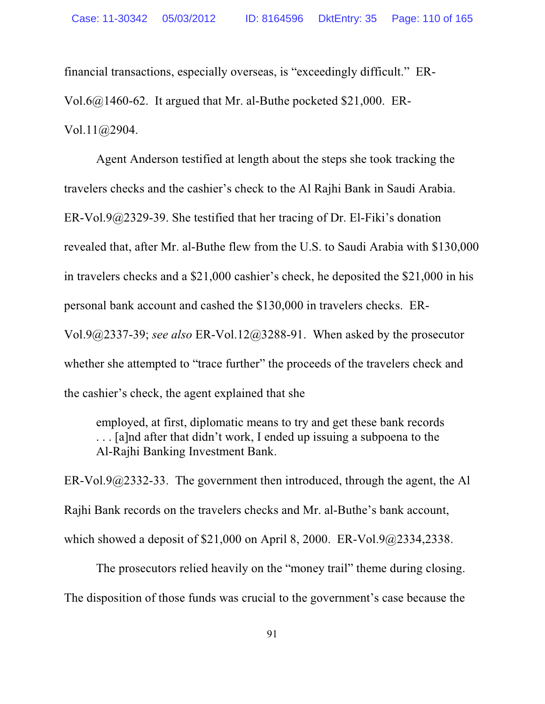financial transactions, especially overseas, is "exceedingly difficult." ER-Vol.6@1460-62. It argued that Mr. al-Buthe pocketed \$21,000. ER-Vol.11@2904.

Agent Anderson testified at length about the steps she took tracking the travelers checks and the cashier's check to the Al Rajhi Bank in Saudi Arabia. ER-Vol.9@2329-39. She testified that her tracing of Dr. El-Fiki's donation revealed that, after Mr. al-Buthe flew from the U.S. to Saudi Arabia with \$130,000 in travelers checks and a \$21,000 cashier's check, he deposited the \$21,000 in his personal bank account and cashed the \$130,000 in travelers checks. ER-Vol.9@2337-39; *see also* ER-Vol.12@3288-91. When asked by the prosecutor whether she attempted to "trace further" the proceeds of the travelers check and the cashier's check, the agent explained that she

employed, at first, diplomatic means to try and get these bank records . . . [a]nd after that didn't work, I ended up issuing a subpoena to the Al-Rajhi Banking Investment Bank.

ER-Vol.9 $@2332-33$ . The government then introduced, through the agent, the Al Rajhi Bank records on the travelers checks and Mr. al-Buthe's bank account, which showed a deposit of \$21,000 on April 8, 2000. ER-Vol.9@2334,2338.

The prosecutors relied heavily on the "money trail" theme during closing. The disposition of those funds was crucial to the government's case because the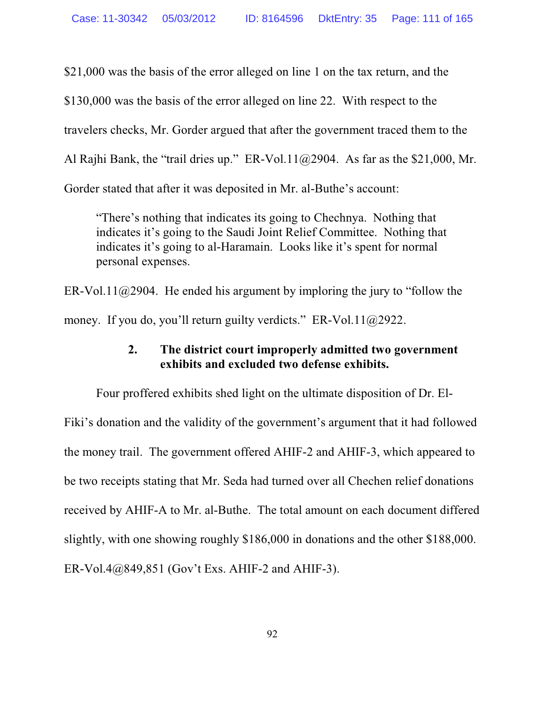\$21,000 was the basis of the error alleged on line 1 on the tax return, and the \$130,000 was the basis of the error alleged on line 22. With respect to the travelers checks, Mr. Gorder argued that after the government traced them to the Al Rajhi Bank, the "trail dries up." ER-Vol.11 $@2904$ . As far as the \$21,000, Mr. Gorder stated that after it was deposited in Mr. al-Buthe's account:

"There's nothing that indicates its going to Chechnya. Nothing that indicates it's going to the Saudi Joint Relief Committee. Nothing that indicates it's going to al-Haramain. Looks like it's spent for normal personal expenses.

ER-Vol.11 $@2904$ . He ended his argument by imploring the jury to "follow the money. If you do, you'll return guilty verdicts." ER-Vol.11@2922.

# **2. The district court improperly admitted two government exhibits and excluded two defense exhibits.**

Four proffered exhibits shed light on the ultimate disposition of Dr. El-Fiki's donation and the validity of the government's argument that it had followed the money trail. The government offered AHIF-2 and AHIF-3, which appeared to be two receipts stating that Mr. Seda had turned over all Chechen relief donations received by AHIF-A to Mr. al-Buthe. The total amount on each document differed slightly, with one showing roughly \$186,000 in donations and the other \$188,000. ER-Vol.4@849,851 (Gov't Exs. AHIF-2 and AHIF-3).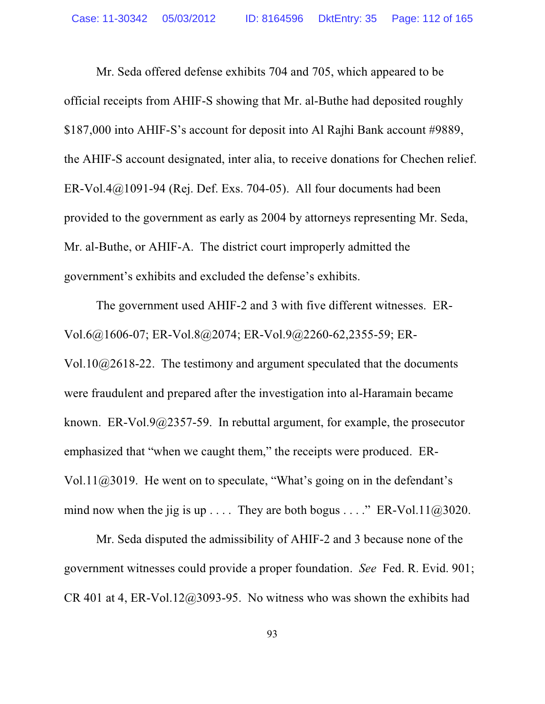Mr. Seda offered defense exhibits 704 and 705, which appeared to be official receipts from AHIF-S showing that Mr. al-Buthe had deposited roughly \$187,000 into AHIF-S's account for deposit into Al Rajhi Bank account #9889, the AHIF-S account designated, inter alia, to receive donations for Chechen relief. ER-Vol.4 $@1091-94$  (Rej. Def. Exs. 704-05). All four documents had been provided to the government as early as 2004 by attorneys representing Mr. Seda, Mr. al-Buthe, or AHIF-A. The district court improperly admitted the government's exhibits and excluded the defense's exhibits.

The government used AHIF-2 and 3 with five different witnesses. ER-Vol.6@1606-07; ER-Vol.8@2074; ER-Vol.9@2260-62,2355-59; ER-Vol.10@2618-22. The testimony and argument speculated that the documents were fraudulent and prepared after the investigation into al-Haramain became known. ER-Vol.9@2357-59. In rebuttal argument, for example, the prosecutor emphasized that "when we caught them," the receipts were produced. ER-Vol.11 $@3019$ . He went on to speculate, "What's going on in the defendant's mind now when the jig is up . . . . They are both bogus . . . ." ER-Vol.11 $@3020$ .

Mr. Seda disputed the admissibility of AHIF-2 and 3 because none of the government witnesses could provide a proper foundation. *See* Fed. R. Evid. 901; CR 401 at 4, ER-Vol.12 $@3093-95$ . No witness who was shown the exhibits had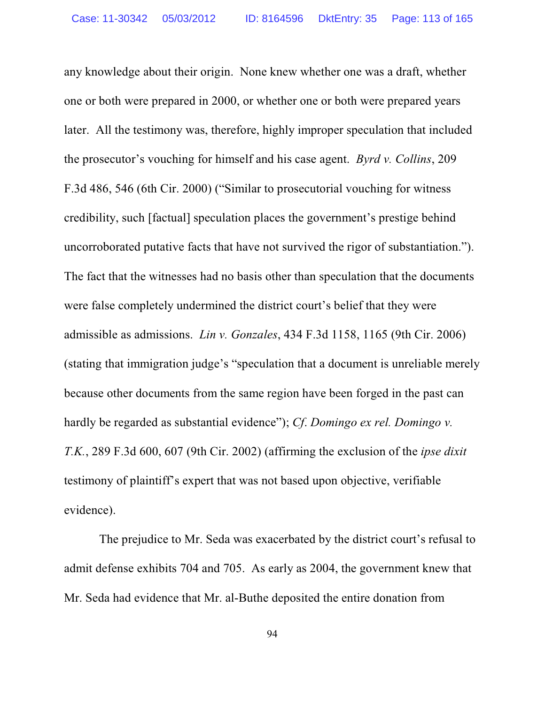any knowledge about their origin. None knew whether one was a draft, whether one or both were prepared in 2000, or whether one or both were prepared years later. All the testimony was, therefore, highly improper speculation that included the prosecutor's vouching for himself and his case agent. *Byrd v. Collins*, 209 F.3d 486, 546 (6th Cir. 2000) ("Similar to prosecutorial vouching for witness credibility, such [factual] speculation places the government's prestige behind uncorroborated putative facts that have not survived the rigor of substantiation."). The fact that the witnesses had no basis other than speculation that the documents were false completely undermined the district court's belief that they were admissible as admissions. *Lin v. Gonzales*, 434 F.3d 1158, 1165 (9th Cir. 2006) (stating that immigration judge's "speculation that a document is unreliable merely because other documents from the same region have been forged in the past can hardly be regarded as substantial evidence"); *Cf*. *Domingo ex rel. Domingo v. T.K.*, 289 F.3d 600, 607 (9th Cir. 2002) (affirming the exclusion of the *ipse dixit* testimony of plaintiff's expert that was not based upon objective, verifiable evidence).

 The prejudice to Mr. Seda was exacerbated by the district court's refusal to admit defense exhibits 704 and 705. As early as 2004, the government knew that Mr. Seda had evidence that Mr. al-Buthe deposited the entire donation from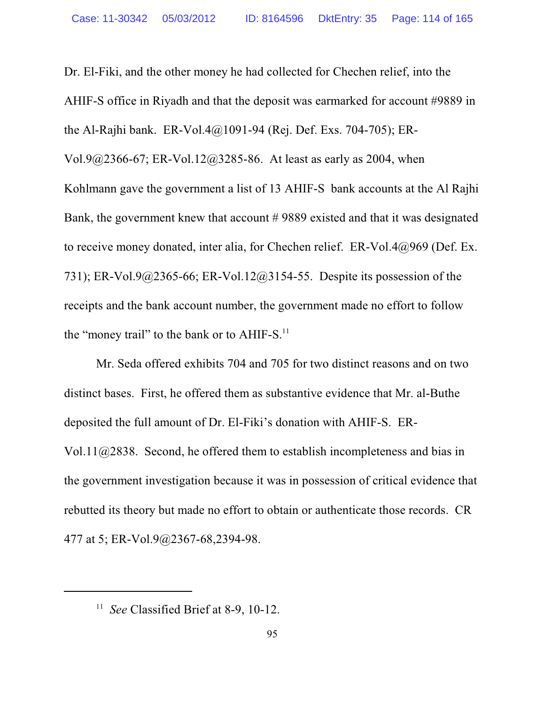Dr. El-Fiki, and the other money he had collected for Chechen relief, into the AHIF-S office in Riyadh and that the deposit was earmarked for account #9889 in the Al-Rajhi bank. ER-Vol.4@1091-94 (Rej. Def. Exs. 704-705); ER-Vol.9@2366-67; ER-Vol.12@3285-86. At least as early as 2004, when Kohlmann gave the government a list of 13 AHIF-S bank accounts at the Al Rajhi Bank, the government knew that account # 9889 existed and that it was designated to receive money donated, inter alia, for Chechen relief. ER-Vol.4@969 (Def. Ex. 731); ER-Vol.9@2365-66; ER-Vol.12@3154-55. Despite its possession of the receipts and the bank account number, the government made no effort to follow the "money trail" to the bank or to  $AHIF-S.<sup>11</sup>$ 

Mr. Seda offered exhibits 704 and 705 for two distinct reasons and on two distinct bases. First, he offered them as substantive evidence that Mr. al-Buthe deposited the full amount of Dr. El-Fiki's donation with AHIF-S. ER-Vol.11@2838. Second, he offered them to establish incompleteness and bias in the government investigation because it was in possession of critical evidence that rebutted its theory but made no effort to obtain or authenticate those records. CR 477 at 5; ER-Vol.9@2367-68,2394-98.

<sup>&</sup>lt;sup>11</sup> See Classified Brief at 8-9, 10-12.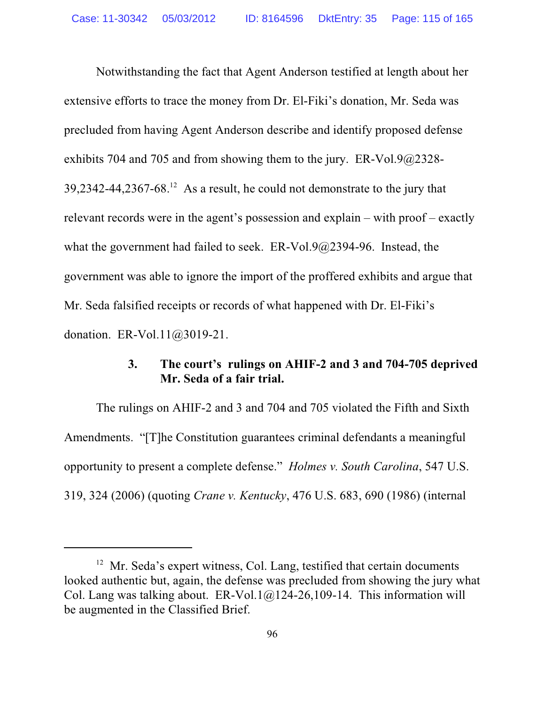Notwithstanding the fact that Agent Anderson testified at length about her extensive efforts to trace the money from Dr. El-Fiki's donation, Mr. Seda was precluded from having Agent Anderson describe and identify proposed defense exhibits 704 and 705 and from showing them to the jury. ER-Vol.9@2328-  $39,2342-44,2367-68.<sup>12</sup>$  As a result, he could not demonstrate to the jury that relevant records were in the agent's possession and explain – with proof – exactly what the government had failed to seek. ER-Vol.9@2394-96. Instead, the government was able to ignore the import of the proffered exhibits and argue that Mr. Seda falsified receipts or records of what happened with Dr. El-Fiki's donation. ER-Vol.11@3019-21.

### **3. The court's rulings on AHIF-2 and 3 and 704-705 deprived Mr. Seda of a fair trial.**

The rulings on AHIF-2 and 3 and 704 and 705 violated the Fifth and Sixth Amendments. "[T]he Constitution guarantees criminal defendants a meaningful opportunity to present a complete defense." *Holmes v. South Carolina*, 547 U.S. 319, 324 (2006) (quoting *Crane v. Kentucky*, 476 U.S. 683, 690 (1986) (internal

<sup>&</sup>lt;sup>12</sup> Mr. Seda's expert witness, Col. Lang, testified that certain documents looked authentic but, again, the defense was precluded from showing the jury what Col. Lang was talking about.  $ER-Vol.1@124-26,109-14$ . This information will be augmented in the Classified Brief.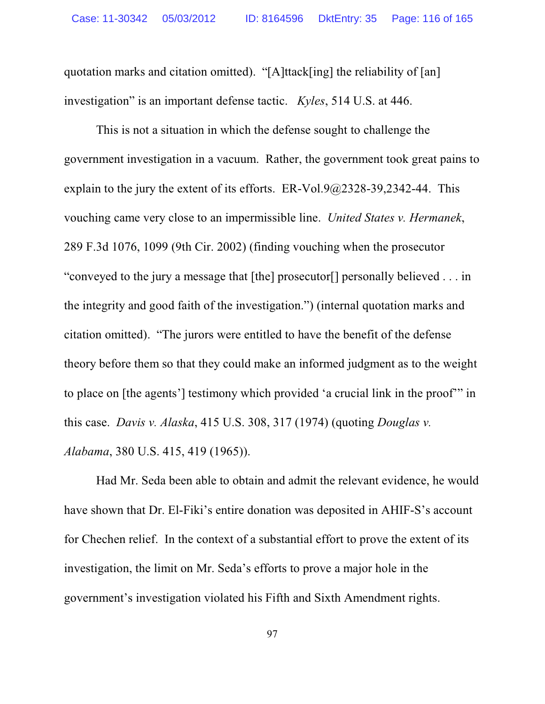quotation marks and citation omitted). "[A]ttack[ing] the reliability of [an] investigation" is an important defense tactic. *Kyles*, 514 U.S. at 446.

This is not a situation in which the defense sought to challenge the government investigation in a vacuum. Rather, the government took great pains to explain to the jury the extent of its efforts. ER-Vol.9 $@2328-39,2342-44$ . This vouching came very close to an impermissible line. *United States v. Hermanek*, 289 F.3d 1076, 1099 (9th Cir. 2002) (finding vouching when the prosecutor "conveyed to the jury a message that [the] prosecutor[] personally believed . . . in the integrity and good faith of the investigation.") (internal quotation marks and citation omitted). "The jurors were entitled to have the benefit of the defense theory before them so that they could make an informed judgment as to the weight to place on [the agents'] testimony which provided 'a crucial link in the proof'" in this case. *Davis v. Alaska*, 415 U.S. 308, 317 (1974) (quoting *Douglas v. Alabama*, 380 U.S. 415, 419 (1965)).

Had Mr. Seda been able to obtain and admit the relevant evidence, he would have shown that Dr. El-Fiki's entire donation was deposited in AHIF-S's account for Chechen relief. In the context of a substantial effort to prove the extent of its investigation, the limit on Mr. Seda's efforts to prove a major hole in the government's investigation violated his Fifth and Sixth Amendment rights.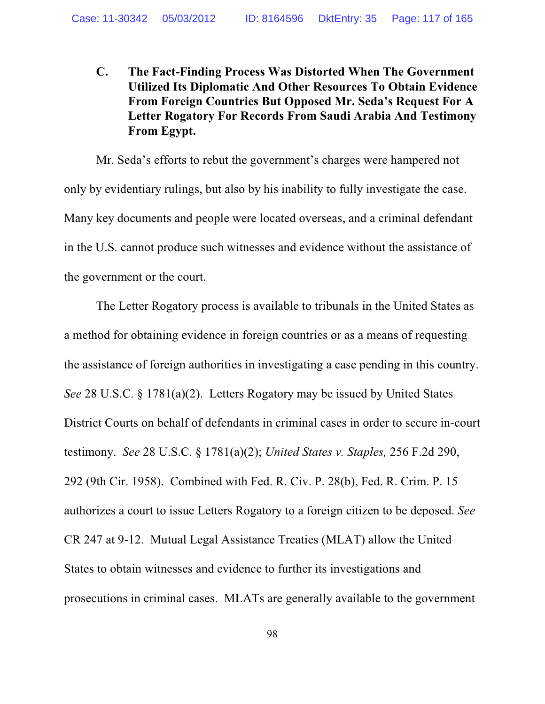## **C. The Fact-Finding Process Was Distorted When The Government Utilized Its Diplomatic And Other Resources To Obtain Evidence From Foreign Countries But Opposed Mr. Seda's Request For A Letter Rogatory For Records From Saudi Arabia And Testimony From Egypt.**

Mr. Seda's efforts to rebut the government's charges were hampered not only by evidentiary rulings, but also by his inability to fully investigate the case. Many key documents and people were located overseas, and a criminal defendant in the U.S. cannot produce such witnesses and evidence without the assistance of the government or the court.

The Letter Rogatory process is available to tribunals in the United States as a method for obtaining evidence in foreign countries or as a means of requesting the assistance of foreign authorities in investigating a case pending in this country. *See* 28 U.S.C. § 1781(a)(2). Letters Rogatory may be issued by United States District Courts on behalf of defendants in criminal cases in order to secure in-court testimony. *See* 28 U.S.C. § 1781(a)(2); *United States v. Staples,* 256 F.2d 290, 292 (9th Cir. 1958). Combined with Fed. R. Civ. P. 28(b), Fed. R. Crim. P. 15 authorizes a court to issue Letters Rogatory to a foreign citizen to be deposed. *See* CR 247 at 9-12. Mutual Legal Assistance Treaties (MLAT) allow the United States to obtain witnesses and evidence to further its investigations and prosecutions in criminal cases. MLATs are generally available to the government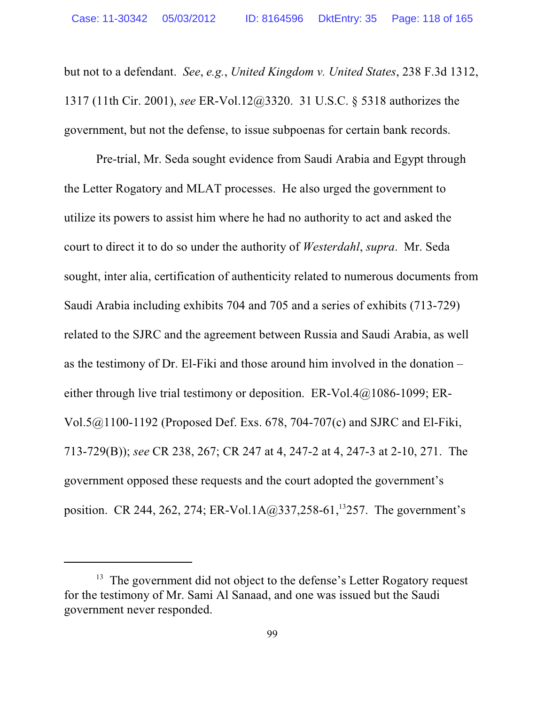but not to a defendant. *See*, *e.g.*, *United Kingdom v. United States*, 238 F.3d 1312, 1317 (11th Cir. 2001), *see* ER-Vol.12@3320. 31 U.S.C. § 5318 authorizes the government, but not the defense, to issue subpoenas for certain bank records.

Pre-trial, Mr. Seda sought evidence from Saudi Arabia and Egypt through the Letter Rogatory and MLAT processes. He also urged the government to utilize its powers to assist him where he had no authority to act and asked the court to direct it to do so under the authority of *Westerdahl*, *supra*. Mr. Seda sought, inter alia, certification of authenticity related to numerous documents from Saudi Arabia including exhibits 704 and 705 and a series of exhibits (713-729) related to the SJRC and the agreement between Russia and Saudi Arabia, as well as the testimony of Dr. El-Fiki and those around him involved in the donation – either through live trial testimony or deposition. ER-Vol.4 $@1086-1099$ ; ER-Vol.5@1100-1192 (Proposed Def. Exs. 678, 704-707(c) and SJRC and El-Fiki, 713-729(B)); *see* CR 238, 267; CR 247 at 4, 247-2 at 4, 247-3 at 2-10, 271. The government opposed these requests and the court adopted the government's position. CR 244, 262, 274; ER-Vol.1A@337,258-61,<sup>13</sup>257. The government's

<sup>&</sup>lt;sup>13</sup> The government did not object to the defense's Letter Rogatory request for the testimony of Mr. Sami Al Sanaad, and one was issued but the Saudi government never responded.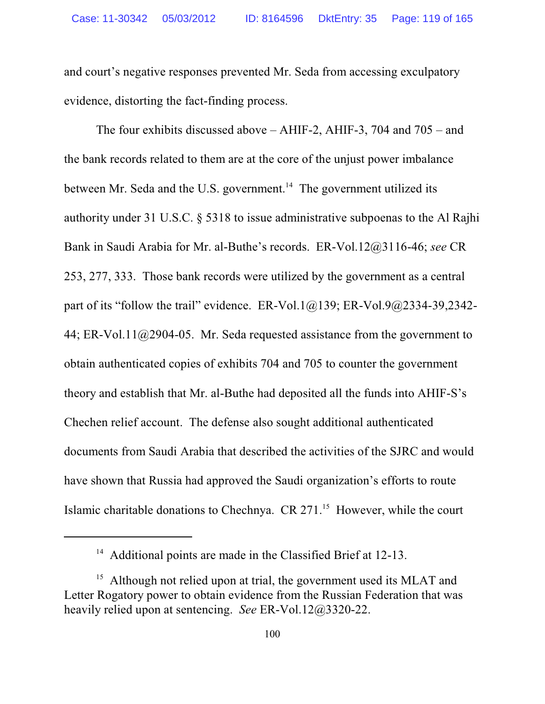and court's negative responses prevented Mr. Seda from accessing exculpatory evidence, distorting the fact-finding process.

The four exhibits discussed above – AHIF-2, AHIF-3, 704 and 705 – and the bank records related to them are at the core of the unjust power imbalance between Mr. Seda and the U.S. government.<sup>14</sup> The government utilized its authority under 31 U.S.C. § 5318 to issue administrative subpoenas to the Al Rajhi Bank in Saudi Arabia for Mr. al-Buthe's records. ER-Vol.12@3116-46; *see* CR 253, 277, 333. Those bank records were utilized by the government as a central part of its "follow the trail" evidence. ER-Vol.1 $@139$ ; ER-Vol.9 $@2334-39,2342-$ 44; ER-Vol.11@2904-05. Mr. Seda requested assistance from the government to obtain authenticated copies of exhibits 704 and 705 to counter the government theory and establish that Mr. al-Buthe had deposited all the funds into AHIF-S's Chechen relief account. The defense also sought additional authenticated documents from Saudi Arabia that described the activities of the SJRC and would have shown that Russia had approved the Saudi organization's efforts to route Islamic charitable donations to Chechnya. CR 271.<sup>15</sup> However, while the court

<sup>&</sup>lt;sup>14</sup> Additional points are made in the Classified Brief at 12-13.

<sup>&</sup>lt;sup>15</sup> Although not relied upon at trial, the government used its MLAT and Letter Rogatory power to obtain evidence from the Russian Federation that was heavily relied upon at sentencing. *See* ER-Vol.12@3320-22.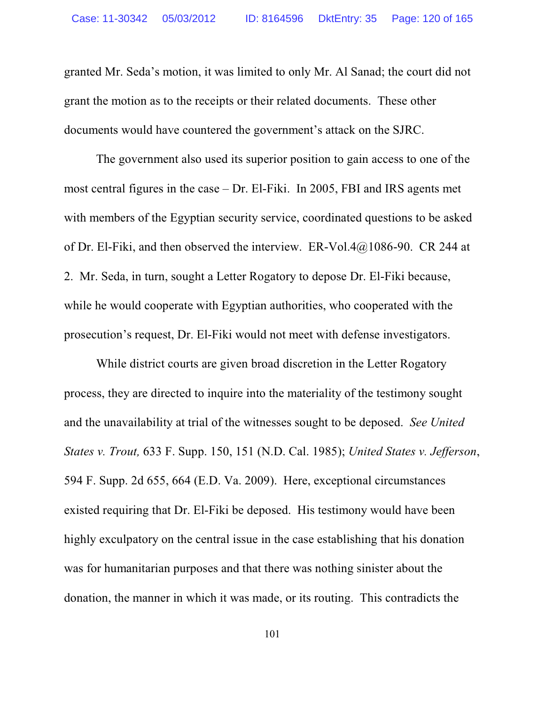granted Mr. Seda's motion, it was limited to only Mr. Al Sanad; the court did not grant the motion as to the receipts or their related documents. These other documents would have countered the government's attack on the SJRC.

The government also used its superior position to gain access to one of the most central figures in the case – Dr. El-Fiki. In 2005, FBI and IRS agents met with members of the Egyptian security service, coordinated questions to be asked of Dr. El-Fiki, and then observed the interview. ER-Vol.4@1086-90. CR 244 at 2. Mr. Seda, in turn, sought a Letter Rogatory to depose Dr. El-Fiki because, while he would cooperate with Egyptian authorities, who cooperated with the prosecution's request, Dr. El-Fiki would not meet with defense investigators.

While district courts are given broad discretion in the Letter Rogatory process, they are directed to inquire into the materiality of the testimony sought and the unavailability at trial of the witnesses sought to be deposed. *See United States v. Trout,* 633 F. Supp. 150, 151 (N.D. Cal. 1985); *United States v. Jefferson*, 594 F. Supp. 2d 655, 664 (E.D. Va. 2009). Here, exceptional circumstances existed requiring that Dr. El-Fiki be deposed. His testimony would have been highly exculpatory on the central issue in the case establishing that his donation was for humanitarian purposes and that there was nothing sinister about the donation, the manner in which it was made, or its routing. This contradicts the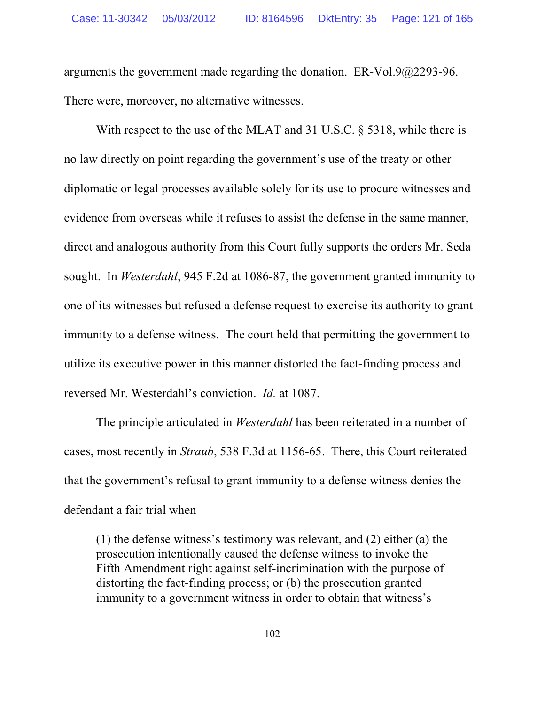arguments the government made regarding the donation. ER-Vol.9@2293-96. There were, moreover, no alternative witnesses.

With respect to the use of the MLAT and 31 U.S.C. § 5318, while there is no law directly on point regarding the government's use of the treaty or other diplomatic or legal processes available solely for its use to procure witnesses and evidence from overseas while it refuses to assist the defense in the same manner, direct and analogous authority from this Court fully supports the orders Mr. Seda sought. In *Westerdahl*, 945 F.2d at 1086-87, the government granted immunity to one of its witnesses but refused a defense request to exercise its authority to grant immunity to a defense witness. The court held that permitting the government to utilize its executive power in this manner distorted the fact-finding process and reversed Mr. Westerdahl's conviction. *Id.* at 1087.

The principle articulated in *Westerdahl* has been reiterated in a number of cases, most recently in *Straub*, 538 F.3d at 1156-65. There, this Court reiterated that the government's refusal to grant immunity to a defense witness denies the defendant a fair trial when

(1) the defense witness's testimony was relevant, and (2) either (a) the prosecution intentionally caused the defense witness to invoke the Fifth Amendment right against self-incrimination with the purpose of distorting the fact-finding process; or (b) the prosecution granted immunity to a government witness in order to obtain that witness's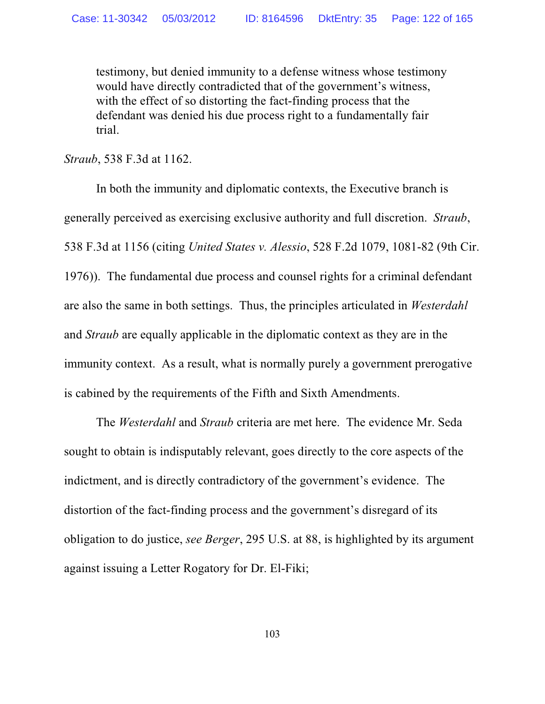testimony, but denied immunity to a defense witness whose testimony would have directly contradicted that of the government's witness, with the effect of so distorting the fact-finding process that the defendant was denied his due process right to a fundamentally fair trial.

*Straub*, 538 F.3d at 1162.

In both the immunity and diplomatic contexts, the Executive branch is generally perceived as exercising exclusive authority and full discretion. *Straub*, 538 F.3d at 1156 (citing *United States v. Alessio*, 528 F.2d 1079, 1081-82 (9th Cir. 1976)). The fundamental due process and counsel rights for a criminal defendant are also the same in both settings. Thus, the principles articulated in *Westerdahl* and *Straub* are equally applicable in the diplomatic context as they are in the immunity context. As a result, what is normally purely a government prerogative is cabined by the requirements of the Fifth and Sixth Amendments.

The *Westerdahl* and *Straub* criteria are met here. The evidence Mr. Seda sought to obtain is indisputably relevant, goes directly to the core aspects of the indictment, and is directly contradictory of the government's evidence. The distortion of the fact-finding process and the government's disregard of its obligation to do justice, *see Berger*, 295 U.S. at 88, is highlighted by its argument against issuing a Letter Rogatory for Dr. El-Fiki;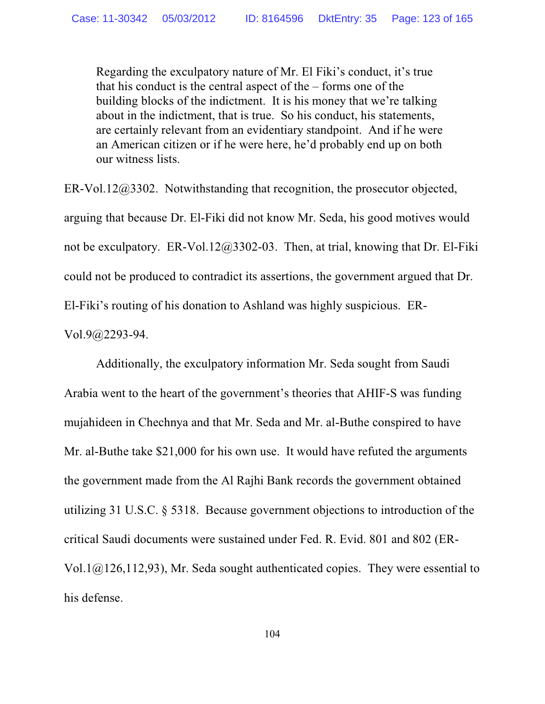Regarding the exculpatory nature of Mr. El Fiki's conduct, it's true that his conduct is the central aspect of the – forms one of the building blocks of the indictment. It is his money that we're talking about in the indictment, that is true. So his conduct, his statements, are certainly relevant from an evidentiary standpoint. And if he were an American citizen or if he were here, he'd probably end up on both our witness lists.

ER-Vol.12@3302. Notwithstanding that recognition, the prosecutor objected, arguing that because Dr. El-Fiki did not know Mr. Seda, his good motives would not be exculpatory. ER-Vol.12@3302-03. Then, at trial, knowing that Dr. El-Fiki could not be produced to contradict its assertions, the government argued that Dr. El-Fiki's routing of his donation to Ashland was highly suspicious. ER-

Vol.9@2293-94.

Additionally, the exculpatory information Mr. Seda sought from Saudi Arabia went to the heart of the government's theories that AHIF-S was funding mujahideen in Chechnya and that Mr. Seda and Mr. al-Buthe conspired to have Mr. al-Buthe take \$21,000 for his own use. It would have refuted the arguments the government made from the Al Rajhi Bank records the government obtained utilizing 31 U.S.C. § 5318. Because government objections to introduction of the critical Saudi documents were sustained under Fed. R. Evid. 801 and 802 (ER-Vol.1@126,112,93), Mr. Seda sought authenticated copies. They were essential to his defense.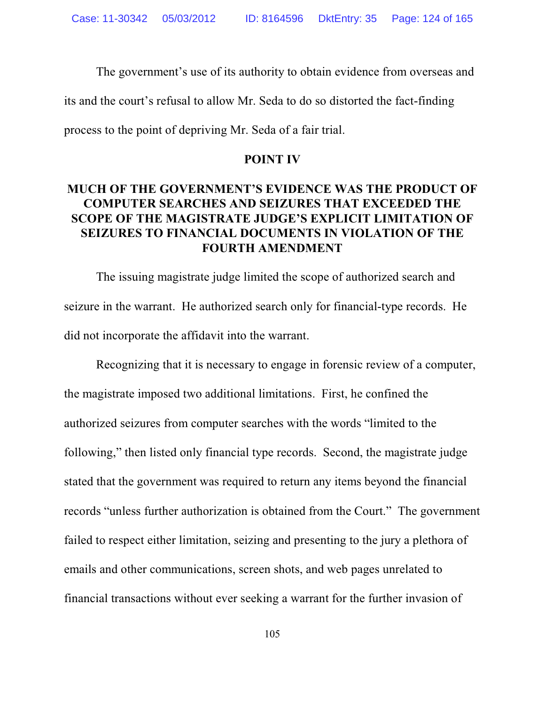The government's use of its authority to obtain evidence from overseas and its and the court's refusal to allow Mr. Seda to do so distorted the fact-finding process to the point of depriving Mr. Seda of a fair trial.

#### **POINT IV**

## **MUCH OF THE GOVERNMENT'S EVIDENCE WAS THE PRODUCT OF COMPUTER SEARCHES AND SEIZURES THAT EXCEEDED THE SCOPE OF THE MAGISTRATE JUDGE'S EXPLICIT LIMITATION OF SEIZURES TO FINANCIAL DOCUMENTS IN VIOLATION OF THE FOURTH AMENDMENT**

The issuing magistrate judge limited the scope of authorized search and seizure in the warrant. He authorized search only for financial-type records. He did not incorporate the affidavit into the warrant.

Recognizing that it is necessary to engage in forensic review of a computer, the magistrate imposed two additional limitations. First, he confined the authorized seizures from computer searches with the words "limited to the following," then listed only financial type records. Second, the magistrate judge stated that the government was required to return any items beyond the financial records "unless further authorization is obtained from the Court." The government failed to respect either limitation, seizing and presenting to the jury a plethora of emails and other communications, screen shots, and web pages unrelated to financial transactions without ever seeking a warrant for the further invasion of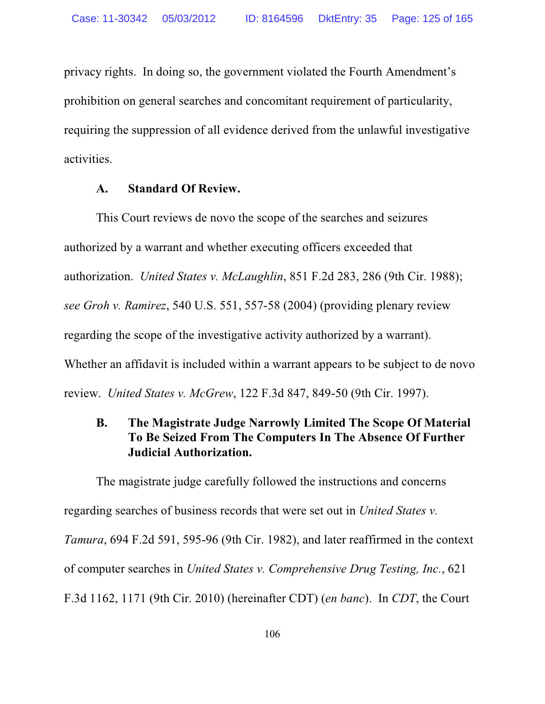privacy rights. In doing so, the government violated the Fourth Amendment's prohibition on general searches and concomitant requirement of particularity, requiring the suppression of all evidence derived from the unlawful investigative activities.

### **A. Standard Of Review.**

This Court reviews de novo the scope of the searches and seizures authorized by a warrant and whether executing officers exceeded that authorization. *United States v. McLaughlin*, 851 F.2d 283, 286 (9th Cir. 1988); *see Groh v. Ramirez*, 540 U.S. 551, 557-58 (2004) (providing plenary review regarding the scope of the investigative activity authorized by a warrant). Whether an affidavit is included within a warrant appears to be subject to de novo review. *United States v. McGrew*, 122 F.3d 847, 849-50 (9th Cir. 1997).

## **B. The Magistrate Judge Narrowly Limited The Scope Of Material To Be Seized From The Computers In The Absence Of Further Judicial Authorization.**

The magistrate judge carefully followed the instructions and concerns regarding searches of business records that were set out in *United States v. Tamura*, 694 F.2d 591, 595-96 (9th Cir. 1982), and later reaffirmed in the context of computer searches in *United States v. Comprehensive Drug Testing, Inc.*, 621 F.3d 1162, 1171 (9th Cir. 2010) (hereinafter CDT) (*en banc*). In *CDT*, the Court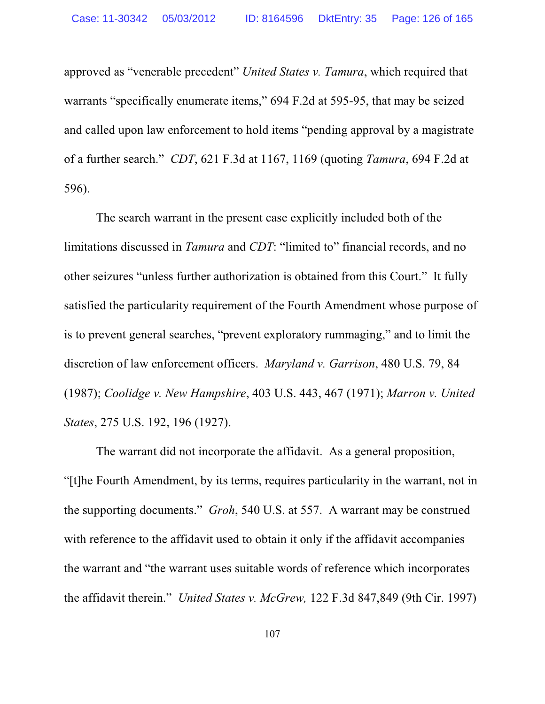approved as "venerable precedent" *United States v. Tamura*, which required that warrants "specifically enumerate items," 694 F.2d at 595-95, that may be seized and called upon law enforcement to hold items "pending approval by a magistrate of a further search." *CDT*, 621 F.3d at 1167, 1169 (quoting *Tamura*, 694 F.2d at 596).

The search warrant in the present case explicitly included both of the limitations discussed in *Tamura* and *CDT*: "limited to" financial records, and no other seizures "unless further authorization is obtained from this Court." It fully satisfied the particularity requirement of the Fourth Amendment whose purpose of is to prevent general searches, "prevent exploratory rummaging," and to limit the discretion of law enforcement officers. *Maryland v. Garrison*, 480 U.S. 79, 84 (1987); *Coolidge v. New Hampshire*, 403 U.S. 443, 467 (1971); *Marron v. United States*, 275 U.S. 192, 196 (1927).

The warrant did not incorporate the affidavit. As a general proposition, "[t]he Fourth Amendment, by its terms, requires particularity in the warrant, not in the supporting documents." *Groh*, 540 U.S. at 557. A warrant may be construed with reference to the affidavit used to obtain it only if the affidavit accompanies the warrant and "the warrant uses suitable words of reference which incorporates the affidavit therein." *United States v. McGrew,* 122 F.3d 847,849 (9th Cir. 1997)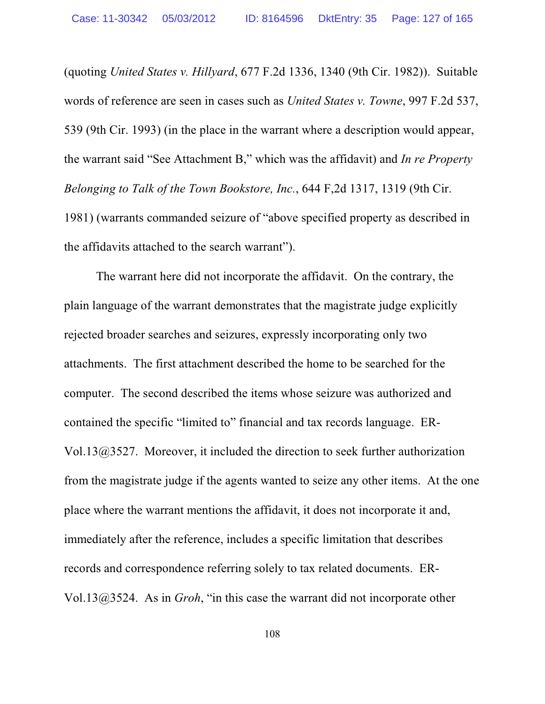(quoting *United States v. Hillyard*, 677 F.2d 1336, 1340 (9th Cir. 1982)). Suitable words of reference are seen in cases such as *United States v. Towne*, 997 F.2d 537, 539 (9th Cir. 1993) (in the place in the warrant where a description would appear, the warrant said "See Attachment B," which was the affidavit) and *In re Property Belonging to Talk of the Town Bookstore, Inc.*, 644 F,2d 1317, 1319 (9th Cir. 1981) (warrants commanded seizure of "above specified property as described in

the affidavits attached to the search warrant").

The warrant here did not incorporate the affidavit. On the contrary, the plain language of the warrant demonstrates that the magistrate judge explicitly rejected broader searches and seizures, expressly incorporating only two attachments. The first attachment described the home to be searched for the computer. The second described the items whose seizure was authorized and contained the specific "limited to" financial and tax records language. ER-Vol.13@3527. Moreover, it included the direction to seek further authorization from the magistrate judge if the agents wanted to seize any other items. At the one place where the warrant mentions the affidavit, it does not incorporate it and, immediately after the reference, includes a specific limitation that describes records and correspondence referring solely to tax related documents. ER-Vol.13@3524. As in *Groh*, "in this case the warrant did not incorporate other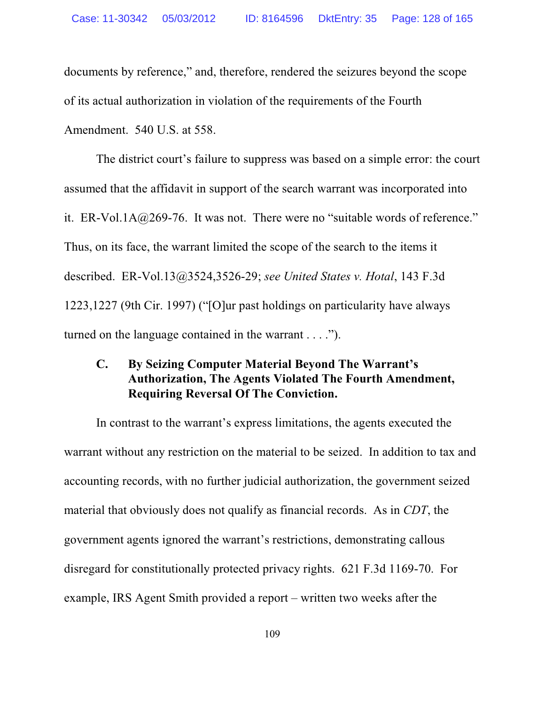documents by reference," and, therefore, rendered the seizures beyond the scope of its actual authorization in violation of the requirements of the Fourth Amendment. 540 U.S. at 558.

The district court's failure to suppress was based on a simple error: the court assumed that the affidavit in support of the search warrant was incorporated into it. ER-Vol.1A $@269-76$ . It was not. There were no "suitable words of reference." Thus, on its face, the warrant limited the scope of the search to the items it described. ER-Vol.13@3524,3526-29; *see United States v. Hotal*, 143 F.3d 1223,1227 (9th Cir. 1997) ("[O]ur past holdings on particularity have always turned on the language contained in the warrant . . . .").

## **C. By Seizing Computer Material Beyond The Warrant's Authorization, The Agents Violated The Fourth Amendment, Requiring Reversal Of The Conviction.**

In contrast to the warrant's express limitations, the agents executed the warrant without any restriction on the material to be seized. In addition to tax and accounting records, with no further judicial authorization, the government seized material that obviously does not qualify as financial records. As in *CDT*, the government agents ignored the warrant's restrictions, demonstrating callous disregard for constitutionally protected privacy rights. 621 F.3d 1169-70. For example, IRS Agent Smith provided a report – written two weeks after the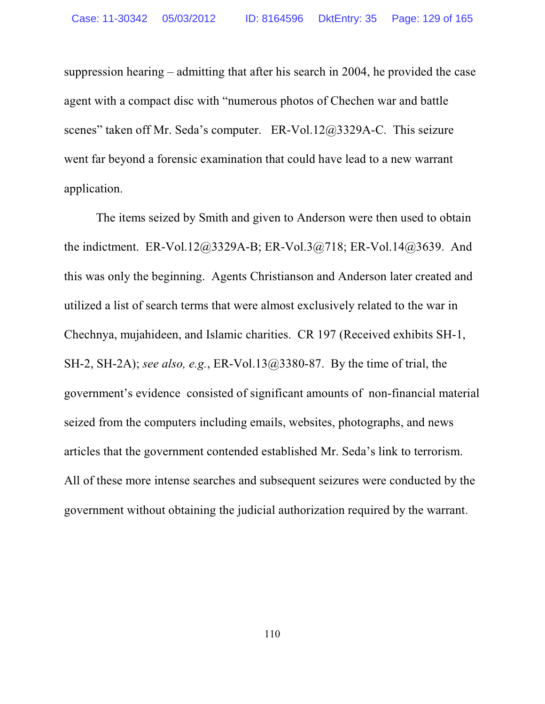suppression hearing – admitting that after his search in 2004, he provided the case agent with a compact disc with "numerous photos of Chechen war and battle scenes" taken off Mr. Seda's computer. ER-Vol.12@3329A-C. This seizure went far beyond a forensic examination that could have lead to a new warrant application.

The items seized by Smith and given to Anderson were then used to obtain the indictment. ER-Vol.12@3329A-B; ER-Vol.3@718; ER-Vol.14@3639. And this was only the beginning. Agents Christianson and Anderson later created and utilized a list of search terms that were almost exclusively related to the war in Chechnya, mujahideen, and Islamic charities. CR 197 (Received exhibits SH-1, SH-2, SH-2A); *see also, e.g.*, ER-Vol.13@3380-87. By the time of trial, the government's evidence consisted of significant amounts of non-financial material seized from the computers including emails, websites, photographs, and news articles that the government contended established Mr. Seda's link to terrorism. All of these more intense searches and subsequent seizures were conducted by the government without obtaining the judicial authorization required by the warrant.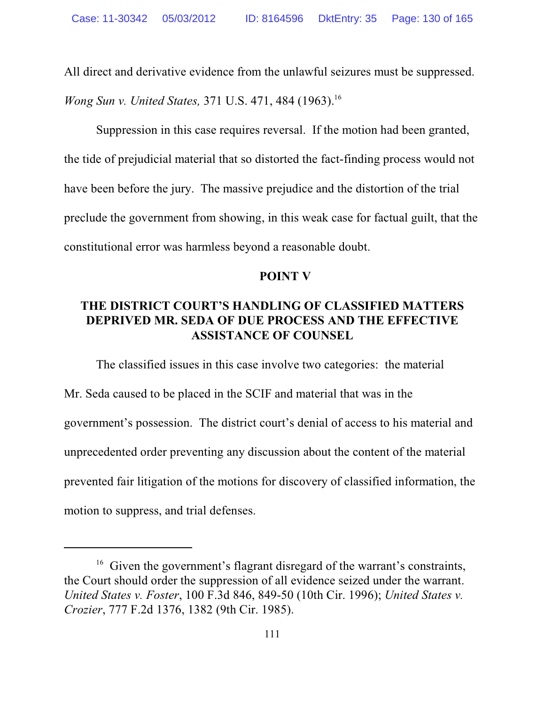All direct and derivative evidence from the unlawful seizures must be suppressed. *Wong Sun v. United States,* 371 U.S. 471, 484 (1963). 16

Suppression in this case requires reversal. If the motion had been granted, the tide of prejudicial material that so distorted the fact-finding process would not have been before the jury. The massive prejudice and the distortion of the trial preclude the government from showing, in this weak case for factual guilt, that the constitutional error was harmless beyond a reasonable doubt.

### **POINT V**

### **THE DISTRICT COURT'S HANDLING OF CLASSIFIED MATTERS DEPRIVED MR. SEDA OF DUE PROCESS AND THE EFFECTIVE ASSISTANCE OF COUNSEL**

The classified issues in this case involve two categories: the material Mr. Seda caused to be placed in the SCIF and material that was in the government's possession. The district court's denial of access to his material and unprecedented order preventing any discussion about the content of the material prevented fair litigation of the motions for discovery of classified information, the motion to suppress, and trial defenses.

<sup>&</sup>lt;sup>16</sup> Given the government's flagrant disregard of the warrant's constraints, the Court should order the suppression of all evidence seized under the warrant. *United States v. Foster*, 100 F.3d 846, 849-50 (10th Cir. 1996); *United States v. Crozier*, 777 F.2d 1376, 1382 (9th Cir. 1985).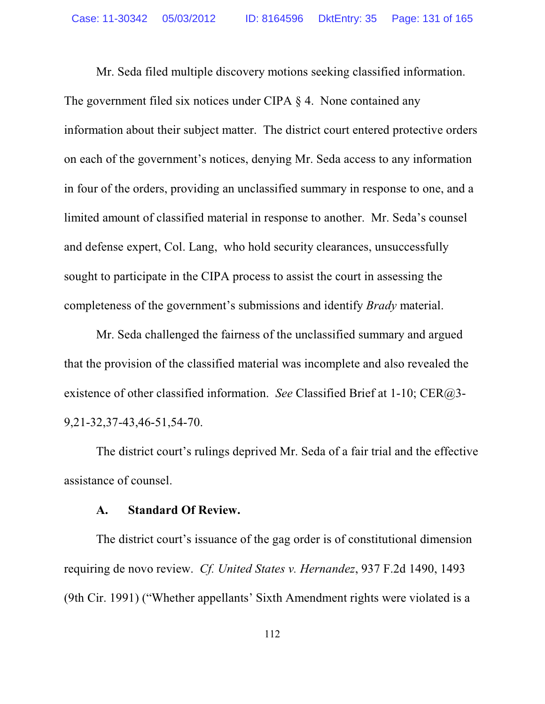Mr. Seda filed multiple discovery motions seeking classified information. The government filed six notices under CIPA § 4. None contained any information about their subject matter. The district court entered protective orders on each of the government's notices, denying Mr. Seda access to any information in four of the orders, providing an unclassified summary in response to one, and a limited amount of classified material in response to another. Mr. Seda's counsel and defense expert, Col. Lang, who hold security clearances, unsuccessfully sought to participate in the CIPA process to assist the court in assessing the completeness of the government's submissions and identify *Brady* material.

Mr. Seda challenged the fairness of the unclassified summary and argued that the provision of the classified material was incomplete and also revealed the existence of other classified information. *See* Classified Brief at 1-10; CER@3- 9,21-32,37-43,46-51,54-70.

The district court's rulings deprived Mr. Seda of a fair trial and the effective assistance of counsel.

### **A. Standard Of Review.**

The district court's issuance of the gag order is of constitutional dimension requiring de novo review. *Cf. United States v. Hernandez*, 937 F.2d 1490, 1493 (9th Cir. 1991) ("Whether appellants' Sixth Amendment rights were violated is a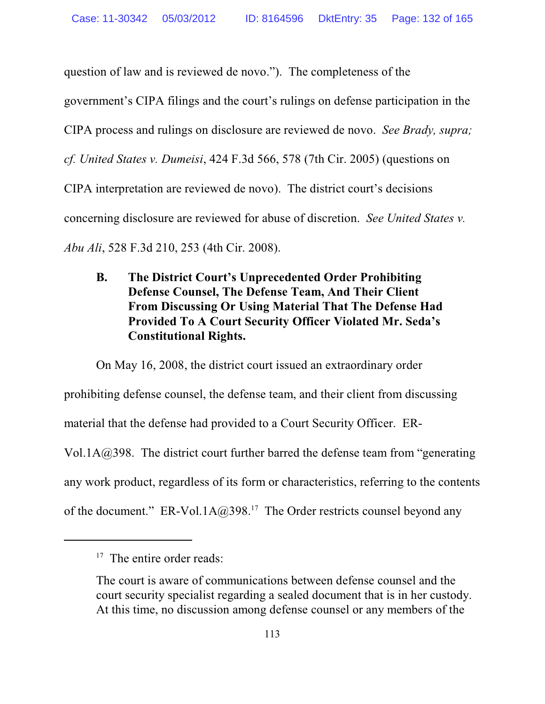question of law and is reviewed de novo."). The completeness of the government's CIPA filings and the court's rulings on defense participation in the CIPA process and rulings on disclosure are reviewed de novo. *See Brady, supra; cf. United States v. Dumeisi*, 424 F.3d 566, 578 (7th Cir. 2005) (questions on CIPA interpretation are reviewed de novo). The district court's decisions concerning disclosure are reviewed for abuse of discretion. *See United States v. Abu Ali*, 528 F.3d 210, 253 (4th Cir. 2008).

## **B. The District Court's Unprecedented Order Prohibiting Defense Counsel, The Defense Team, And Their Client From Discussing Or Using Material That The Defense Had Provided To A Court Security Officer Violated Mr. Seda's Constitutional Rights.**

On May 16, 2008, the district court issued an extraordinary order prohibiting defense counsel, the defense team, and their client from discussing material that the defense had provided to a Court Security Officer. ER-Vol.1A@398. The district court further barred the defense team from "generating any work product, regardless of its form or characteristics, referring to the contents of the document." ER-Vol.1A $@398$ <sup>17</sup> The Order restricts counsel beyond any

<sup>&</sup>lt;sup>17</sup> The entire order reads:

The court is aware of communications between defense counsel and the court security specialist regarding a sealed document that is in her custody. At this time, no discussion among defense counsel or any members of the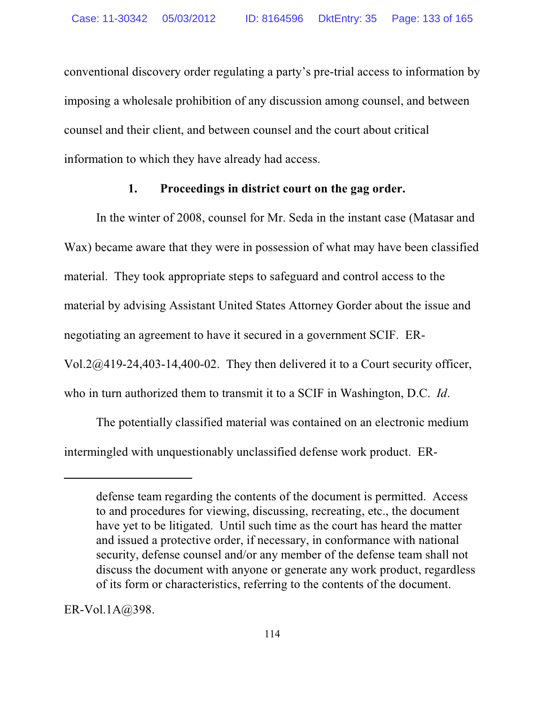conventional discovery order regulating a party's pre-trial access to information by imposing a wholesale prohibition of any discussion among counsel, and between counsel and their client, and between counsel and the court about critical information to which they have already had access.

### **1. Proceedings in district court on the gag order.**

In the winter of 2008, counsel for Mr. Seda in the instant case (Matasar and Wax) became aware that they were in possession of what may have been classified material. They took appropriate steps to safeguard and control access to the material by advising Assistant United States Attorney Gorder about the issue and negotiating an agreement to have it secured in a government SCIF. ER-Vol.2@419-24,403-14,400-02. They then delivered it to a Court security officer, who in turn authorized them to transmit it to a SCIF in Washington, D.C. *Id*.

The potentially classified material was contained on an electronic medium intermingled with unquestionably unclassified defense work product. ER-

ER-Vol.1A@398.

defense team regarding the contents of the document is permitted. Access to and procedures for viewing, discussing, recreating, etc., the document have yet to be litigated. Until such time as the court has heard the matter and issued a protective order, if necessary, in conformance with national security, defense counsel and/or any member of the defense team shall not discuss the document with anyone or generate any work product, regardless of its form or characteristics, referring to the contents of the document.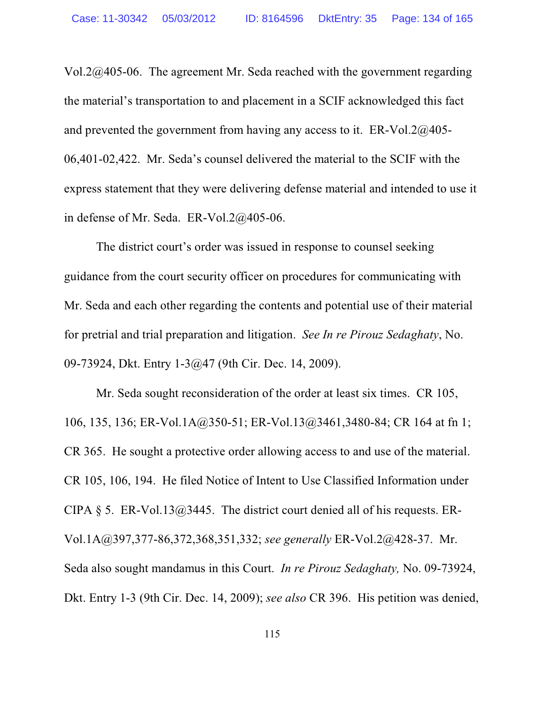Vol.2@405-06. The agreement Mr. Seda reached with the government regarding the material's transportation to and placement in a SCIF acknowledged this fact and prevented the government from having any access to it. ER-Vol.2@405- 06,401-02,422. Mr. Seda's counsel delivered the material to the SCIF with the express statement that they were delivering defense material and intended to use it in defense of Mr. Seda. ER-Vol.2@405-06.

The district court's order was issued in response to counsel seeking guidance from the court security officer on procedures for communicating with Mr. Seda and each other regarding the contents and potential use of their material for pretrial and trial preparation and litigation. *See In re Pirouz Sedaghaty*, No. 09-73924, Dkt. Entry 1-3@47 (9th Cir. Dec. 14, 2009).

Mr. Seda sought reconsideration of the order at least six times. CR 105, 106, 135, 136; ER-Vol.1A@350-51; ER-Vol.13@3461,3480-84; CR 164 at fn 1; CR 365. He sought a protective order allowing access to and use of the material. CR 105, 106, 194. He filed Notice of Intent to Use Classified Information under CIPA § 5. ER-Vol.13 $@3445$ . The district court denied all of his requests. ER-Vol.1A@397,377-86,372,368,351,332; *see generally* ER-Vol.2@428-37. Mr. Seda also sought mandamus in this Court. *In re Pirouz Sedaghaty,* No. 09-73924, Dkt. Entry 1-3 (9th Cir. Dec. 14, 2009); *see also* CR 396. His petition was denied,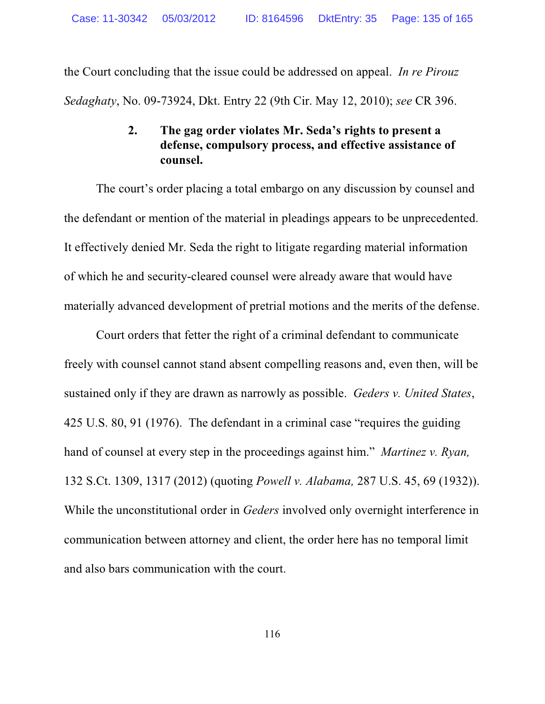the Court concluding that the issue could be addressed on appeal. *In re Pirouz Sedaghaty*, No. 09-73924, Dkt. Entry 22 (9th Cir. May 12, 2010); *see* CR 396.

## **2. The gag order violates Mr. Seda's rights to present a defense, compulsory process, and effective assistance of counsel.**

The court's order placing a total embargo on any discussion by counsel and the defendant or mention of the material in pleadings appears to be unprecedented. It effectively denied Mr. Seda the right to litigate regarding material information of which he and security-cleared counsel were already aware that would have materially advanced development of pretrial motions and the merits of the defense.

Court orders that fetter the right of a criminal defendant to communicate freely with counsel cannot stand absent compelling reasons and, even then, will be sustained only if they are drawn as narrowly as possible. *Geders v. United States*, 425 U.S. 80, 91 (1976). The defendant in a criminal case "requires the guiding hand of counsel at every step in the proceedings against him." *Martinez v. Ryan,* 132 S.Ct. 1309, 1317 (2012) (quoting *Powell v. Alabama,* 287 U.S. 45, 69 (1932)). While the unconstitutional order in *Geders* involved only overnight interference in communication between attorney and client, the order here has no temporal limit and also bars communication with the court.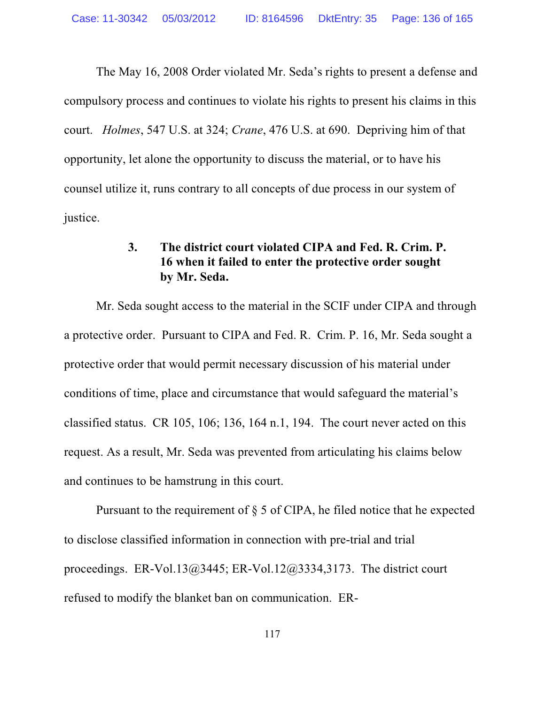The May 16, 2008 Order violated Mr. Seda's rights to present a defense and compulsory process and continues to violate his rights to present his claims in this court. *Holmes*, 547 U.S. at 324; *Crane*, 476 U.S. at 690. Depriving him of that opportunity, let alone the opportunity to discuss the material, or to have his counsel utilize it, runs contrary to all concepts of due process in our system of justice.

## **3. The district court violated CIPA and Fed. R. Crim. P. 16 when it failed to enter the protective order sought by Mr. Seda.**

Mr. Seda sought access to the material in the SCIF under CIPA and through a protective order. Pursuant to CIPA and Fed. R. Crim. P. 16, Mr. Seda sought a protective order that would permit necessary discussion of his material under conditions of time, place and circumstance that would safeguard the material's classified status. CR 105, 106; 136, 164 n.1, 194. The court never acted on this request. As a result, Mr. Seda was prevented from articulating his claims below and continues to be hamstrung in this court.

Pursuant to the requirement of  $\S$  5 of CIPA, he filed notice that he expected to disclose classified information in connection with pre-trial and trial proceedings. ER-Vol.13@3445; ER-Vol.12@3334,3173. The district court refused to modify the blanket ban on communication. ER-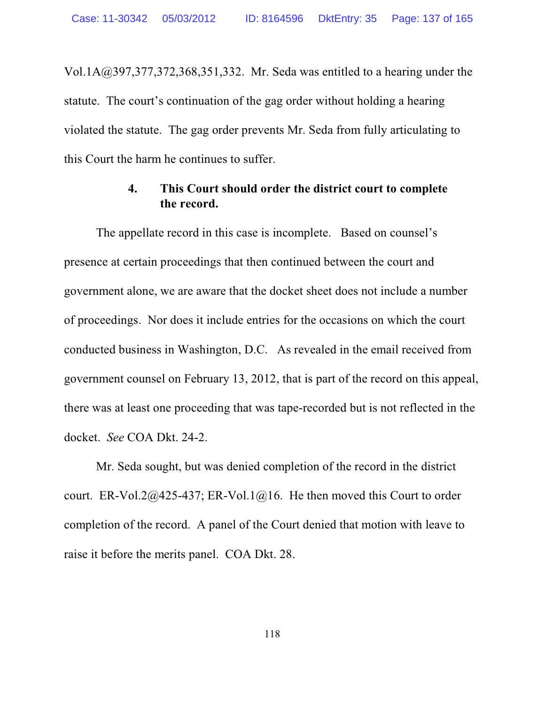Vol.1A@397,377,372,368,351,332. Mr. Seda was entitled to a hearing under the statute. The court's continuation of the gag order without holding a hearing violated the statute. The gag order prevents Mr. Seda from fully articulating to this Court the harm he continues to suffer.

### **4. This Court should order the district court to complete the record.**

The appellate record in this case is incomplete. Based on counsel's presence at certain proceedings that then continued between the court and government alone, we are aware that the docket sheet does not include a number of proceedings. Nor does it include entries for the occasions on which the court conducted business in Washington, D.C. As revealed in the email received from government counsel on February 13, 2012, that is part of the record on this appeal, there was at least one proceeding that was tape-recorded but is not reflected in the docket. *See* COA Dkt. 24-2.

Mr. Seda sought, but was denied completion of the record in the district court. ER-Vol.2@425-437; ER-Vol.1@16. He then moved this Court to order completion of the record. A panel of the Court denied that motion with leave to raise it before the merits panel. COA Dkt. 28.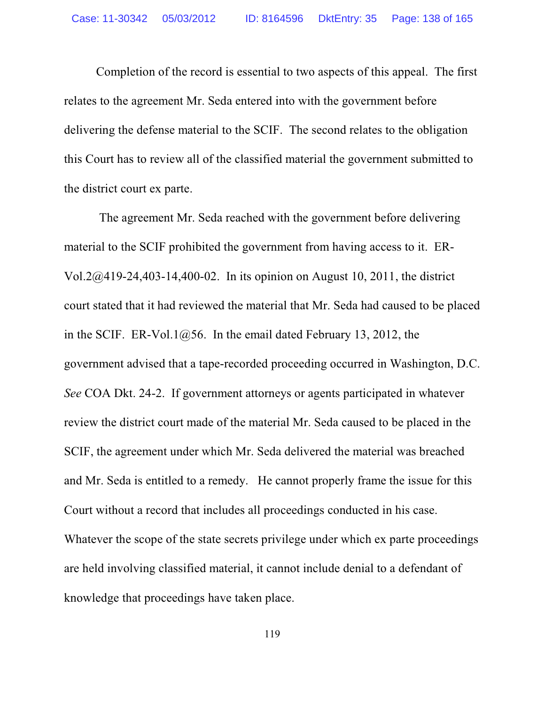Completion of the record is essential to two aspects of this appeal. The first relates to the agreement Mr. Seda entered into with the government before delivering the defense material to the SCIF. The second relates to the obligation this Court has to review all of the classified material the government submitted to the district court ex parte.

 The agreement Mr. Seda reached with the government before delivering material to the SCIF prohibited the government from having access to it. ER-Vol.2@419-24,403-14,400-02. In its opinion on August 10, 2011, the district court stated that it had reviewed the material that Mr. Seda had caused to be placed in the SCIF. ER-Vol.1 $@56$ . In the email dated February 13, 2012, the government advised that a tape-recorded proceeding occurred in Washington, D.C. *See* COA Dkt. 24-2. If government attorneys or agents participated in whatever review the district court made of the material Mr. Seda caused to be placed in the SCIF, the agreement under which Mr. Seda delivered the material was breached and Mr. Seda is entitled to a remedy. He cannot properly frame the issue for this Court without a record that includes all proceedings conducted in his case. Whatever the scope of the state secrets privilege under which ex parte proceedings are held involving classified material, it cannot include denial to a defendant of knowledge that proceedings have taken place.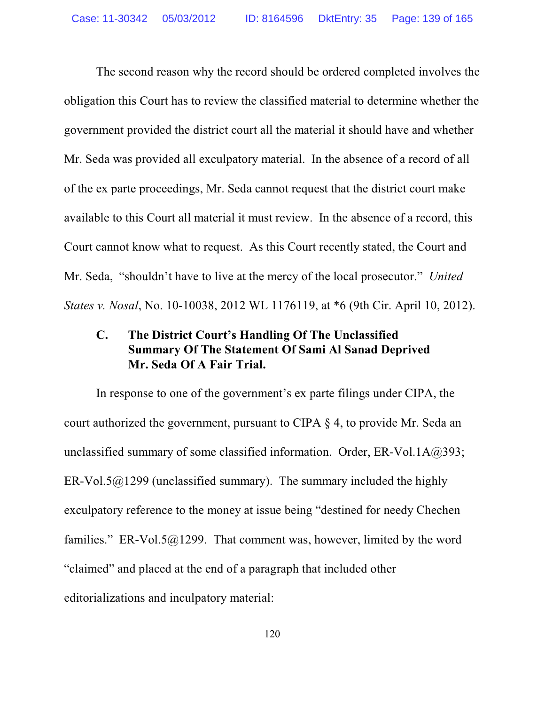The second reason why the record should be ordered completed involves the obligation this Court has to review the classified material to determine whether the government provided the district court all the material it should have and whether Mr. Seda was provided all exculpatory material. In the absence of a record of all of the ex parte proceedings, Mr. Seda cannot request that the district court make available to this Court all material it must review. In the absence of a record, this Court cannot know what to request. As this Court recently stated, the Court and Mr. Seda, "shouldn't have to live at the mercy of the local prosecutor." *United States v. Nosal*, No. 10-10038, 2012 WL 1176119, at \*6 (9th Cir. April 10, 2012).

# **C. The District Court's Handling Of The Unclassified Summary Of The Statement Of Sami Al Sanad Deprived Mr. Seda Of A Fair Trial.**

In response to one of the government's ex parte filings under CIPA, the court authorized the government, pursuant to CIPA § 4, to provide Mr. Seda an unclassified summary of some classified information. Order, ER-Vol.1A@393; ER-Vol.5 $@1299$  (unclassified summary). The summary included the highly exculpatory reference to the money at issue being "destined for needy Chechen families." ER-Vol.5 $@1299$ . That comment was, however, limited by the word "claimed" and placed at the end of a paragraph that included other editorializations and inculpatory material: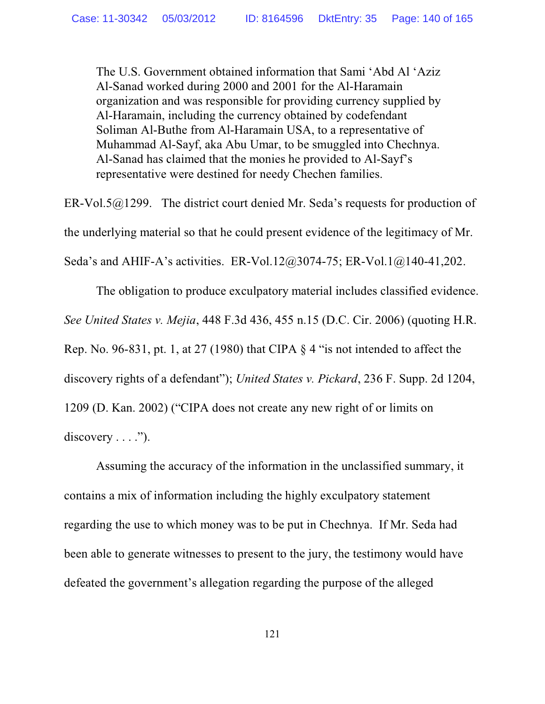The U.S. Government obtained information that Sami 'Abd Al 'Aziz Al-Sanad worked during 2000 and 2001 for the Al-Haramain organization and was responsible for providing currency supplied by Al-Haramain, including the currency obtained by codefendant Soliman Al-Buthe from Al-Haramain USA, to a representative of Muhammad Al-Sayf, aka Abu Umar, to be smuggled into Chechnya. Al-Sanad has claimed that the monies he provided to Al-Sayf's representative were destined for needy Chechen families.

ER-Vol.5@1299. The district court denied Mr. Seda's requests for production of the underlying material so that he could present evidence of the legitimacy of Mr. Seda's and AHIF-A's activities. ER-Vol.12@3074-75; ER-Vol.1@140-41,202.

The obligation to produce exculpatory material includes classified evidence. *See United States v. Mejia*, 448 F.3d 436, 455 n.15 (D.C. Cir. 2006) (quoting H.R. Rep. No. 96-831, pt. 1, at 27 (1980) that CIPA  $\S$  4 "is not intended to affect the discovery rights of a defendant"); *United States v. Pickard*, 236 F. Supp. 2d 1204, 1209 (D. Kan. 2002) ("CIPA does not create any new right of or limits on  $discovery \ldots$ ").

Assuming the accuracy of the information in the unclassified summary, it contains a mix of information including the highly exculpatory statement regarding the use to which money was to be put in Chechnya. If Mr. Seda had been able to generate witnesses to present to the jury, the testimony would have defeated the government's allegation regarding the purpose of the alleged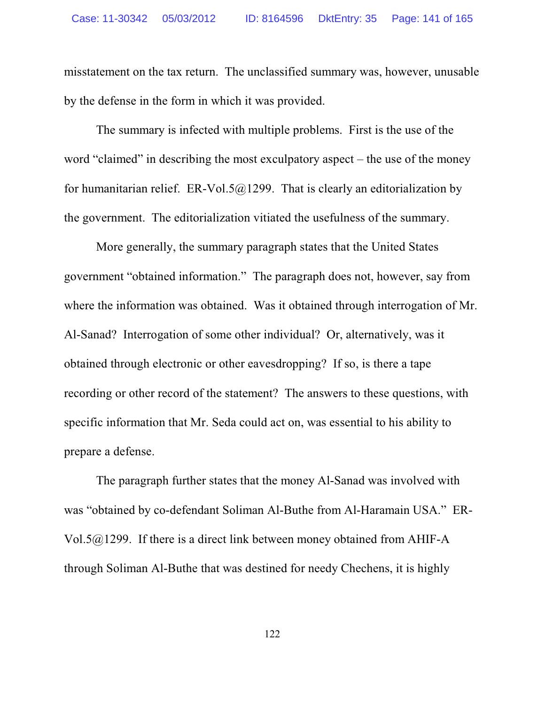misstatement on the tax return. The unclassified summary was, however, unusable by the defense in the form in which it was provided.

The summary is infected with multiple problems. First is the use of the word "claimed" in describing the most exculpatory aspect – the use of the money for humanitarian relief. ER-Vol.5 $@1299$ . That is clearly an editorialization by the government. The editorialization vitiated the usefulness of the summary.

More generally, the summary paragraph states that the United States government "obtained information." The paragraph does not, however, say from where the information was obtained. Was it obtained through interrogation of Mr. Al-Sanad? Interrogation of some other individual? Or, alternatively, was it obtained through electronic or other eavesdropping? If so, is there a tape recording or other record of the statement? The answers to these questions, with specific information that Mr. Seda could act on, was essential to his ability to prepare a defense.

The paragraph further states that the money Al-Sanad was involved with was "obtained by co-defendant Soliman Al-Buthe from Al-Haramain USA." ER-Vol.5@1299. If there is a direct link between money obtained from AHIF-A through Soliman Al-Buthe that was destined for needy Chechens, it is highly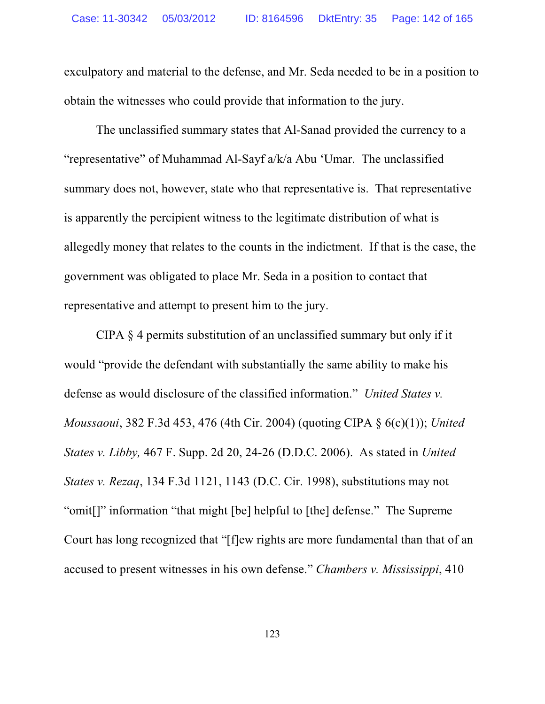exculpatory and material to the defense, and Mr. Seda needed to be in a position to obtain the witnesses who could provide that information to the jury.

The unclassified summary states that Al-Sanad provided the currency to a "representative" of Muhammad Al-Sayf a/k/a Abu 'Umar. The unclassified summary does not, however, state who that representative is. That representative is apparently the percipient witness to the legitimate distribution of what is allegedly money that relates to the counts in the indictment. If that is the case, the government was obligated to place Mr. Seda in a position to contact that representative and attempt to present him to the jury.

CIPA § 4 permits substitution of an unclassified summary but only if it would "provide the defendant with substantially the same ability to make his defense as would disclosure of the classified information." *United States v. Moussaoui*, 382 F.3d 453, 476 (4th Cir. 2004) (quoting CIPA § 6(c)(1)); *United States v. Libby,* 467 F. Supp. 2d 20, 24-26 (D.D.C. 2006). As stated in *United States v. Rezaq*, 134 F.3d 1121, 1143 (D.C. Cir. 1998), substitutions may not "omit[]" information "that might [be] helpful to [the] defense." The Supreme Court has long recognized that "[f]ew rights are more fundamental than that of an accused to present witnesses in his own defense." *Chambers v. Mississippi*, 410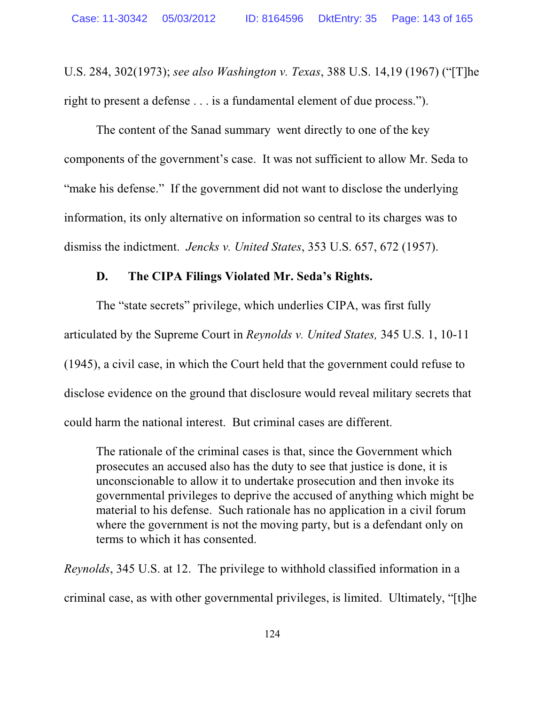U.S. 284, 302(1973); *see also Washington v. Texas*, 388 U.S. 14,19 (1967) ("[T]he right to present a defense . . . is a fundamental element of due process.").

The content of the Sanad summary went directly to one of the key components of the government's case. It was not sufficient to allow Mr. Seda to "make his defense." If the government did not want to disclose the underlying information, its only alternative on information so central to its charges was to dismiss the indictment. *Jencks v. United States*, 353 U.S. 657, 672 (1957).

### **D. The CIPA Filings Violated Mr. Seda's Rights.**

The "state secrets" privilege, which underlies CIPA, was first fully articulated by the Supreme Court in *Reynolds v. United States,* 345 U.S. 1, 10-11 (1945), a civil case, in which the Court held that the government could refuse to disclose evidence on the ground that disclosure would reveal military secrets that could harm the national interest. But criminal cases are different.

The rationale of the criminal cases is that, since the Government which prosecutes an accused also has the duty to see that justice is done, it is unconscionable to allow it to undertake prosecution and then invoke its governmental privileges to deprive the accused of anything which might be material to his defense. Such rationale has no application in a civil forum where the government is not the moving party, but is a defendant only on terms to which it has consented.

*Reynolds*, 345 U.S. at 12. The privilege to withhold classified information in a criminal case, as with other governmental privileges, is limited. Ultimately, "[t]he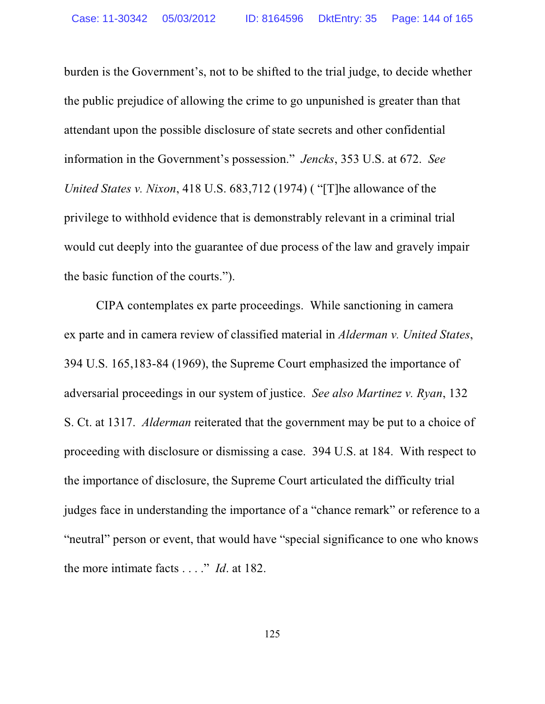burden is the Government's, not to be shifted to the trial judge, to decide whether the public prejudice of allowing the crime to go unpunished is greater than that attendant upon the possible disclosure of state secrets and other confidential information in the Government's possession." *Jencks*, 353 U.S. at 672. *See United States v. Nixon*, 418 U.S. 683,712 (1974) ( "[T]he allowance of the privilege to withhold evidence that is demonstrably relevant in a criminal trial would cut deeply into the guarantee of due process of the law and gravely impair the basic function of the courts.").

CIPA contemplates ex parte proceedings. While sanctioning in camera ex parte and in camera review of classified material in *Alderman v. United States*, 394 U.S. 165,183-84 (1969), the Supreme Court emphasized the importance of adversarial proceedings in our system of justice. *See also Martinez v. Ryan*, 132 S. Ct. at 1317. *Alderman* reiterated that the government may be put to a choice of proceeding with disclosure or dismissing a case. 394 U.S. at 184. With respect to the importance of disclosure, the Supreme Court articulated the difficulty trial judges face in understanding the importance of a "chance remark" or reference to a "neutral" person or event, that would have "special significance to one who knows the more intimate facts . . . ." *Id*. at 182.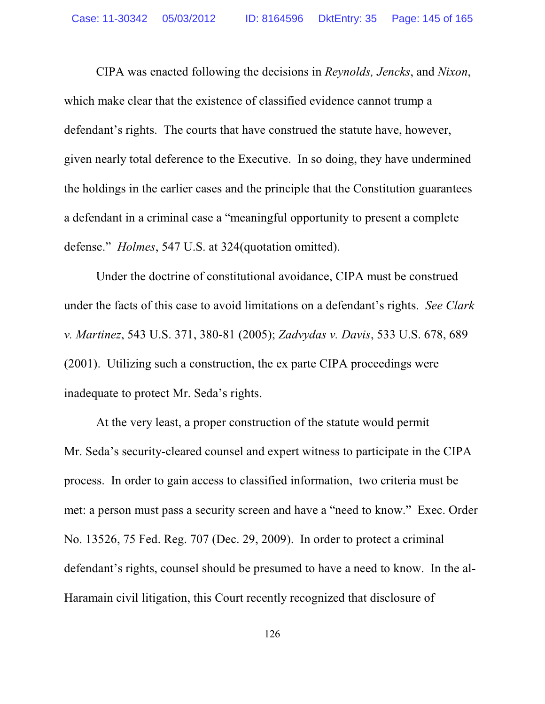CIPA was enacted following the decisions in *Reynolds, Jencks*, and *Nixon*, which make clear that the existence of classified evidence cannot trump a defendant's rights. The courts that have construed the statute have, however, given nearly total deference to the Executive. In so doing, they have undermined the holdings in the earlier cases and the principle that the Constitution guarantees a defendant in a criminal case a "meaningful opportunity to present a complete defense." *Holmes*, 547 U.S. at 324(quotation omitted).

Under the doctrine of constitutional avoidance, CIPA must be construed under the facts of this case to avoid limitations on a defendant's rights. *See Clark v. Martinez*, 543 U.S. 371, 380-81 (2005); *Zadvydas v. Davis*, 533 U.S. 678, 689 (2001). Utilizing such a construction, the ex parte CIPA proceedings were inadequate to protect Mr. Seda's rights.

At the very least, a proper construction of the statute would permit Mr. Seda's security-cleared counsel and expert witness to participate in the CIPA process. In order to gain access to classified information, two criteria must be met: a person must pass a security screen and have a "need to know." Exec. Order No. 13526, 75 Fed. Reg. 707 (Dec. 29, 2009). In order to protect a criminal defendant's rights, counsel should be presumed to have a need to know. In the al-Haramain civil litigation, this Court recently recognized that disclosure of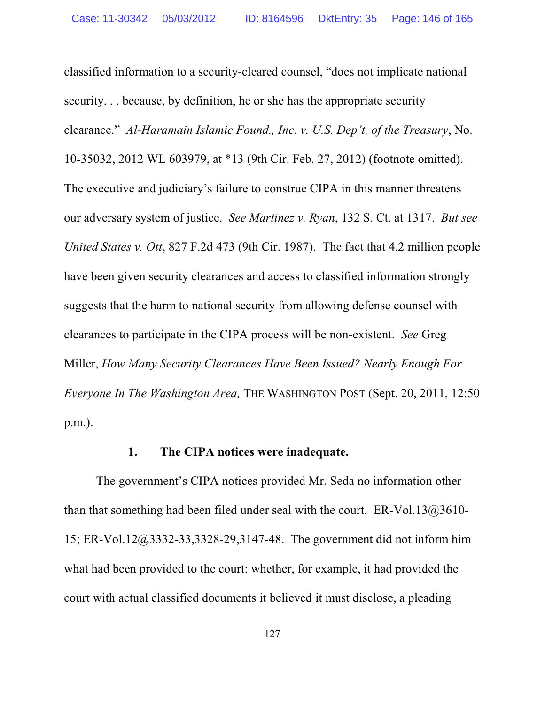classified information to a security-cleared counsel, "does not implicate national security. . . because, by definition, he or she has the appropriate security clearance." *Al-Haramain Islamic Found., Inc. v. U.S. Dep't. of the Treasury*, No. 10-35032, 2012 WL 603979, at \*13 (9th Cir. Feb. 27, 2012) (footnote omitted). The executive and judiciary's failure to construe CIPA in this manner threatens our adversary system of justice. *See Martinez v. Ryan*, 132 S. Ct. at 1317. *But see United States v. Ott*, 827 F.2d 473 (9th Cir. 1987). The fact that 4.2 million people have been given security clearances and access to classified information strongly suggests that the harm to national security from allowing defense counsel with clearances to participate in the CIPA process will be non-existent. *See* Greg Miller, *How Many Security Clearances Have Been Issued? Nearly Enough For Everyone In The Washington Area,* THE WASHINGTON POST (Sept. 20, 2011, 12:50 p.m.).

### **1. The CIPA notices were inadequate.**

The government's CIPA notices provided Mr. Seda no information other than that something had been filed under seal with the court.  $ER-Vol.13@3610-$ 15; ER-Vol.12@3332-33,3328-29,3147-48. The government did not inform him what had been provided to the court: whether, for example, it had provided the court with actual classified documents it believed it must disclose, a pleading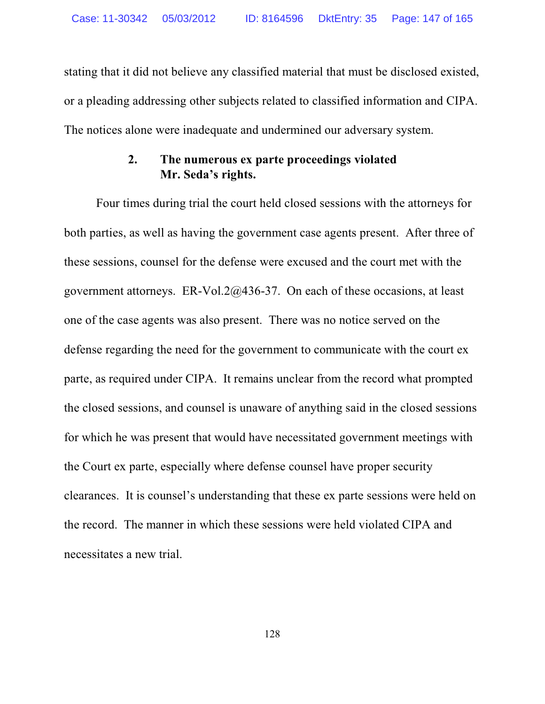stating that it did not believe any classified material that must be disclosed existed, or a pleading addressing other subjects related to classified information and CIPA. The notices alone were inadequate and undermined our adversary system.

### **2. The numerous ex parte proceedings violated Mr. Seda's rights.**

Four times during trial the court held closed sessions with the attorneys for both parties, as well as having the government case agents present. After three of these sessions, counsel for the defense were excused and the court met with the government attorneys. ER-Vol.2@436-37. On each of these occasions, at least one of the case agents was also present. There was no notice served on the defense regarding the need for the government to communicate with the court ex parte, as required under CIPA. It remains unclear from the record what prompted the closed sessions, and counsel is unaware of anything said in the closed sessions for which he was present that would have necessitated government meetings with the Court ex parte, especially where defense counsel have proper security clearances. It is counsel's understanding that these ex parte sessions were held on the record. The manner in which these sessions were held violated CIPA and necessitates a new trial.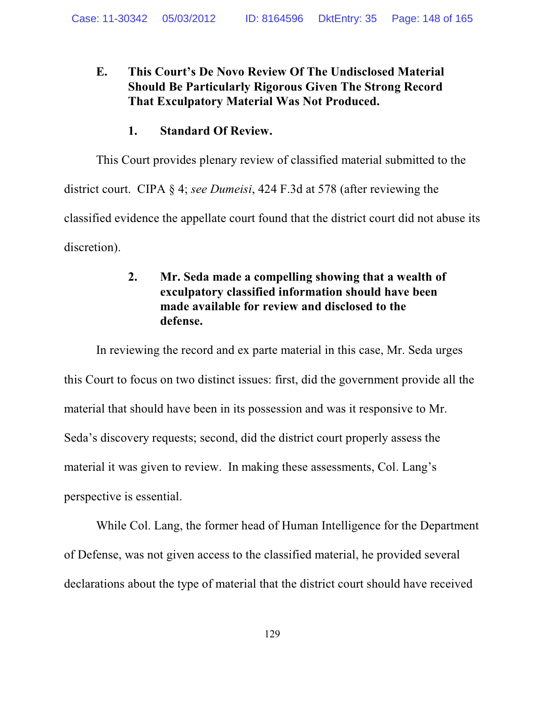# **E. This Court's De Novo Review Of The Undisclosed Material Should Be Particularly Rigorous Given The Strong Record That Exculpatory Material Was Not Produced.**

### **1. Standard Of Review.**

This Court provides plenary review of classified material submitted to the

district court. CIPA § 4; *see Dumeisi*, 424 F.3d at 578 (after reviewing the classified evidence the appellate court found that the district court did not abuse its discretion).

# **2. Mr. Seda made a compelling showing that a wealth of exculpatory classified information should have been made available for review and disclosed to the defense.**

In reviewing the record and ex parte material in this case, Mr. Seda urges this Court to focus on two distinct issues: first, did the government provide all the material that should have been in its possession and was it responsive to Mr. Seda's discovery requests; second, did the district court properly assess the material it was given to review. In making these assessments, Col. Lang's perspective is essential.

While Col. Lang, the former head of Human Intelligence for the Department of Defense, was not given access to the classified material, he provided several declarations about the type of material that the district court should have received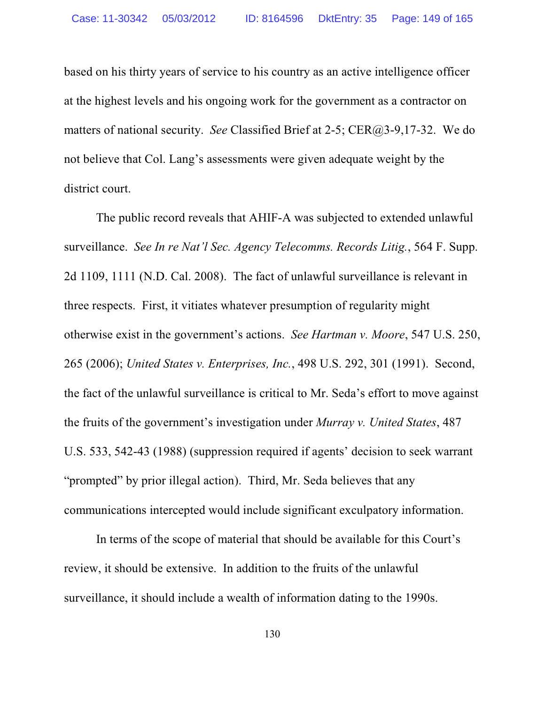based on his thirty years of service to his country as an active intelligence officer at the highest levels and his ongoing work for the government as a contractor on matters of national security. *See* Classified Brief at 2-5; CER@3-9,17-32. We do not believe that Col. Lang's assessments were given adequate weight by the district court.

The public record reveals that AHIF-A was subjected to extended unlawful surveillance. *See In re Nat'l Sec. Agency Telecomms. Records Litig.*, 564 F. Supp. 2d 1109, 1111 (N.D. Cal. 2008). The fact of unlawful surveillance is relevant in three respects. First, it vitiates whatever presumption of regularity might otherwise exist in the government's actions. *See Hartman v. Moore*, 547 U.S. 250, 265 (2006); *United States v. Enterprises, Inc.*, 498 U.S. 292, 301 (1991). Second, the fact of the unlawful surveillance is critical to Mr. Seda's effort to move against the fruits of the government's investigation under *Murray v. United States*, 487 U.S. 533, 542-43 (1988) (suppression required if agents' decision to seek warrant "prompted" by prior illegal action). Third, Mr. Seda believes that any communications intercepted would include significant exculpatory information.

In terms of the scope of material that should be available for this Court's review, it should be extensive. In addition to the fruits of the unlawful surveillance, it should include a wealth of information dating to the 1990s.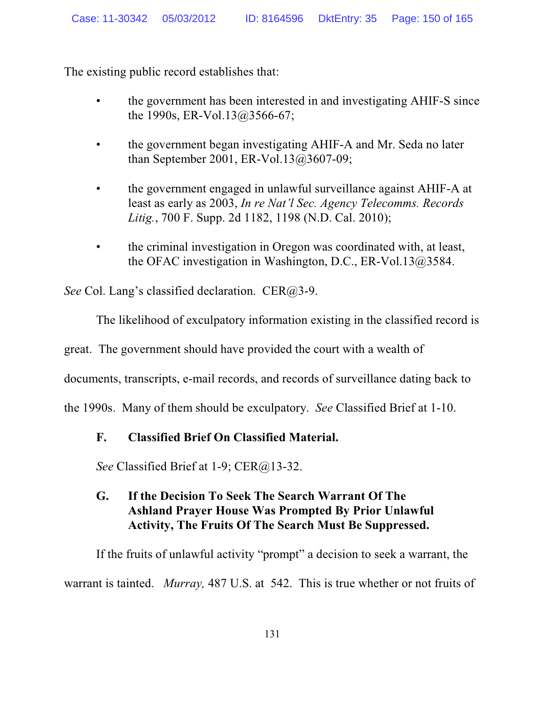The existing public record establishes that:

- the government has been interested in and investigating AHIF-S since the 1990s, ER-Vol.13@3566-67;
- the government began investigating AHIF-A and Mr. Seda no later than September 2001, ER-Vol.13@3607-09;
- the government engaged in unlawful surveillance against AHIF-A at least as early as 2003, *In re Nat'l Sec. Agency Telecomms. Records Litig.*, 700 F. Supp. 2d 1182, 1198 (N.D. Cal. 2010);
- the criminal investigation in Oregon was coordinated with, at least, the OFAC investigation in Washington, D.C., ER-Vol.13@3584.

*See* Col. Lang's classified declaration. CER@3-9.

The likelihood of exculpatory information existing in the classified record is

great. The government should have provided the court with a wealth of

documents, transcripts, e-mail records, and records of surveillance dating back to

the 1990s. Many of them should be exculpatory. *See* Classified Brief at 1-10.

## **F. Classified Brief On Classified Material.**

*See* Classified Brief at 1-9; CER@13-32.

## **G. If the Decision To Seek The Search Warrant Of The Ashland Prayer House Was Prompted By Prior Unlawful Activity, The Fruits Of The Search Must Be Suppressed.**

If the fruits of unlawful activity "prompt" a decision to seek a warrant, the warrant is tainted. *Murray,* 487 U.S. at 542. This is true whether or not fruits of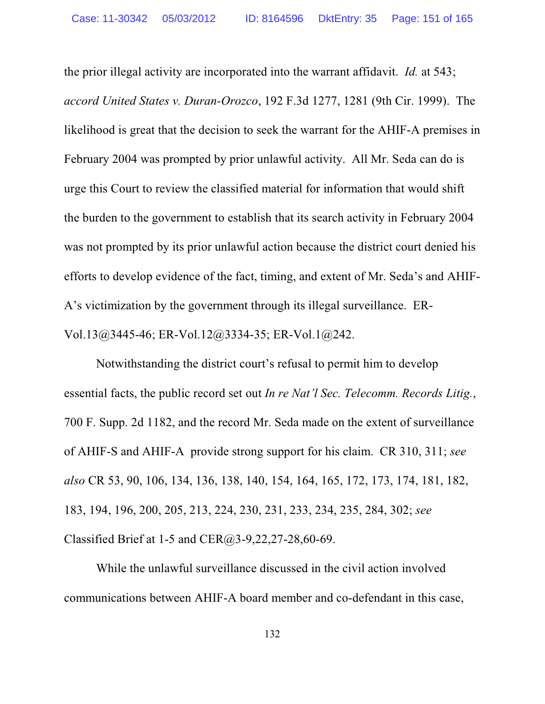the prior illegal activity are incorporated into the warrant affidavit. *Id.* at 543; *accord United States v. Duran-Orozco*, 192 F.3d 1277, 1281 (9th Cir. 1999). The likelihood is great that the decision to seek the warrant for the AHIF-A premises in February 2004 was prompted by prior unlawful activity. All Mr. Seda can do is urge this Court to review the classified material for information that would shift the burden to the government to establish that its search activity in February 2004 was not prompted by its prior unlawful action because the district court denied his efforts to develop evidence of the fact, timing, and extent of Mr. Seda's and AHIF-A's victimization by the government through its illegal surveillance. ER-Vol.13@3445-46; ER-Vol.12@3334-35; ER-Vol.1@242.

Notwithstanding the district court's refusal to permit him to develop essential facts, the public record set out *In re Nat'l Sec. Telecomm. Records Litig.*, 700 F. Supp. 2d 1182, and the record Mr. Seda made on the extent of surveillance of AHIF-S and AHIF-A provide strong support for his claim. CR 310, 311; *see also* CR 53, 90, 106, 134, 136, 138, 140, 154, 164, 165, 172, 173, 174, 181, 182, 183, 194, 196, 200, 205, 213, 224, 230, 231, 233, 234, 235, 284, 302; *see* Classified Brief at 1-5 and CER@3-9,22,27-28,60-69.

While the unlawful surveillance discussed in the civil action involved communications between AHIF-A board member and co-defendant in this case,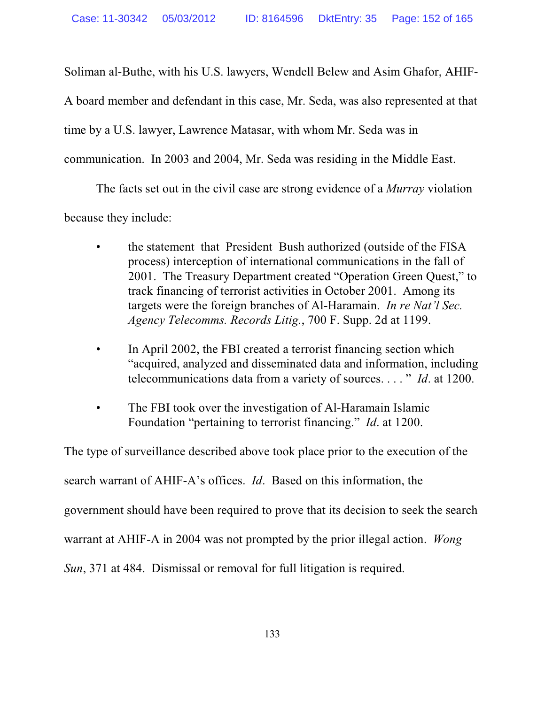Soliman al-Buthe, with his U.S. lawyers, Wendell Belew and Asim Ghafor, AHIF-

A board member and defendant in this case, Mr. Seda, was also represented at that

time by a U.S. lawyer, Lawrence Matasar, with whom Mr. Seda was in

communication. In 2003 and 2004, Mr. Seda was residing in the Middle East.

The facts set out in the civil case are strong evidence of a *Murray* violation

because they include:

- the statement that President Bush authorized (outside of the FISA process) interception of international communications in the fall of 2001. The Treasury Department created "Operation Green Quest," to track financing of terrorist activities in October 2001. Among its targets were the foreign branches of Al-Haramain. *In re Nat'l Sec. Agency Telecomms. Records Litig.*, 700 F. Supp. 2d at 1199.
- In April 2002, the FBI created a terrorist financing section which "acquired, analyzed and disseminated data and information, including telecommunications data from a variety of sources. . . . " *Id*. at 1200.
- The FBI took over the investigation of Al-Haramain Islamic Foundation "pertaining to terrorist financing." *Id*. at 1200.

The type of surveillance described above took place prior to the execution of the search warrant of AHIF-A's offices. *Id*. Based on this information, the government should have been required to prove that its decision to seek the search warrant at AHIF-A in 2004 was not prompted by the prior illegal action. *Wong Sun*, 371 at 484. Dismissal or removal for full litigation is required.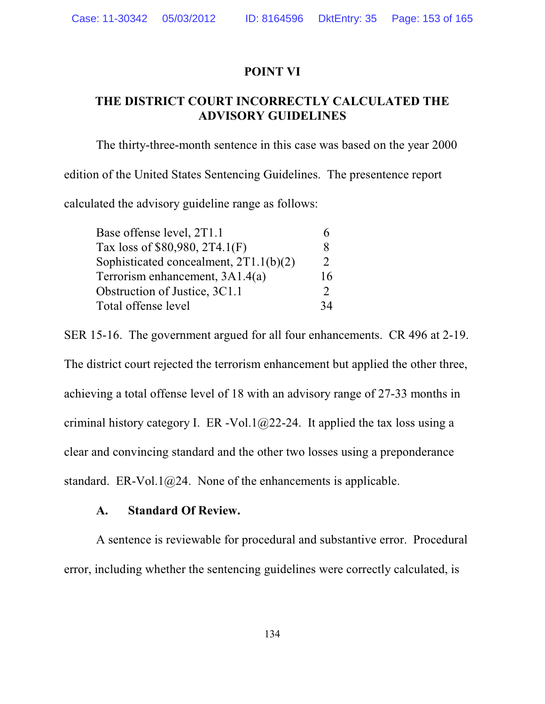### **POINT VI**

## **THE DISTRICT COURT INCORRECTLY CALCULATED THE ADVISORY GUIDELINES**

The thirty-three-month sentence in this case was based on the year 2000 edition of the United States Sentencing Guidelines. The presentence report calculated the advisory guideline range as follows:

| Base offense level, 2T1.1                |               |
|------------------------------------------|---------------|
| Tax loss of \$80,980, 2T4.1(F)           | x             |
| Sophisticated concealment, $2T1.1(b)(2)$ | $\mathcal{D}$ |
| Terrorism enhancement, 3A1.4(a)          | 16            |
| Obstruction of Justice, 3C1.1            | $\mathcal{D}$ |
| Total offense level                      | 34            |

SER 15-16. The government argued for all four enhancements. CR 496 at 2-19. The district court rejected the terrorism enhancement but applied the other three, achieving a total offense level of 18 with an advisory range of 27-33 months in criminal history category I. ER -Vol.1 $@22-24$ . It applied the tax loss using a clear and convincing standard and the other two losses using a preponderance standard. ER-Vol.1 $@24$ . None of the enhancements is applicable.

### **A. Standard Of Review.**

A sentence is reviewable for procedural and substantive error. Procedural error, including whether the sentencing guidelines were correctly calculated, is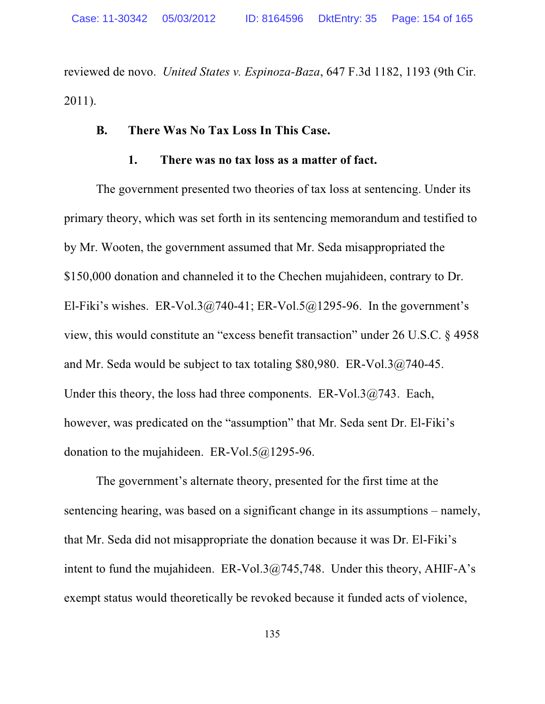reviewed de novo. *United States v. Espinoza-Baza*, 647 F.3d 1182, 1193 (9th Cir. 2011).

#### **B. There Was No Tax Loss In This Case.**

### **1. There was no tax loss as a matter of fact.**

The government presented two theories of tax loss at sentencing. Under its primary theory, which was set forth in its sentencing memorandum and testified to by Mr. Wooten, the government assumed that Mr. Seda misappropriated the \$150,000 donation and channeled it to the Chechen mujahideen, contrary to Dr. El-Fiki's wishes. ER-Vol.3 $@740-41$ ; ER-Vol.5 $@1295-96$ . In the government's view, this would constitute an "excess benefit transaction" under 26 U.S.C. § 4958 and Mr. Seda would be subject to tax totaling \$80,980. ER-Vol.3@740-45. Under this theory, the loss had three components.  $ER-Vol.3(a/743)$ . Each, however, was predicated on the "assumption" that Mr. Seda sent Dr. El-Fiki's donation to the mujahideen. ER-Vol.5@1295-96.

The government's alternate theory, presented for the first time at the sentencing hearing, was based on a significant change in its assumptions – namely, that Mr. Seda did not misappropriate the donation because it was Dr. El-Fiki's intent to fund the mujahideen. ER-Vol.3@745,748. Under this theory, AHIF-A's exempt status would theoretically be revoked because it funded acts of violence,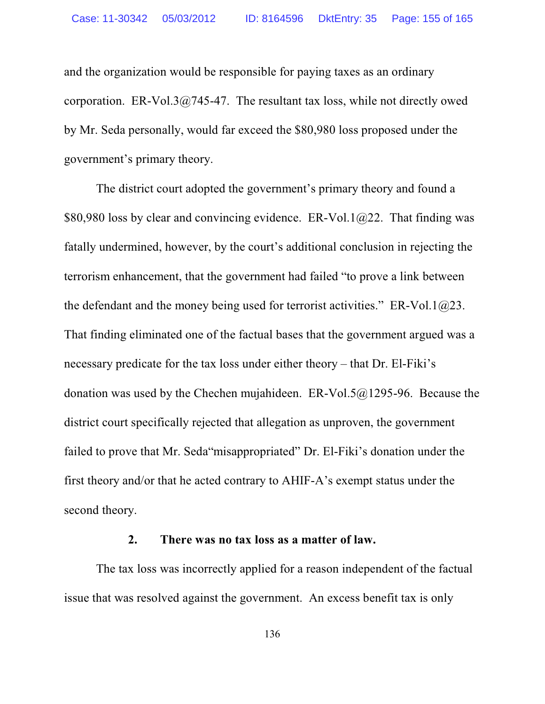and the organization would be responsible for paying taxes as an ordinary corporation. ER-Vol.3 $@745-47$ . The resultant tax loss, while not directly owed by Mr. Seda personally, would far exceed the \$80,980 loss proposed under the government's primary theory.

The district court adopted the government's primary theory and found a \$80,980 loss by clear and convincing evidence. ER-Vol.1 $@22$ . That finding was fatally undermined, however, by the court's additional conclusion in rejecting the terrorism enhancement, that the government had failed "to prove a link between the defendant and the money being used for terrorist activities." ER-Vol.1 $@23$ . That finding eliminated one of the factual bases that the government argued was a necessary predicate for the tax loss under either theory – that Dr. El-Fiki's donation was used by the Chechen mujahideen. ER-Vol.5 $@1295-96$ . Because the district court specifically rejected that allegation as unproven, the government failed to prove that Mr. Seda"misappropriated" Dr. El-Fiki's donation under the first theory and/or that he acted contrary to AHIF-A's exempt status under the second theory.

### **2. There was no tax loss as a matter of law.**

The tax loss was incorrectly applied for a reason independent of the factual issue that was resolved against the government. An excess benefit tax is only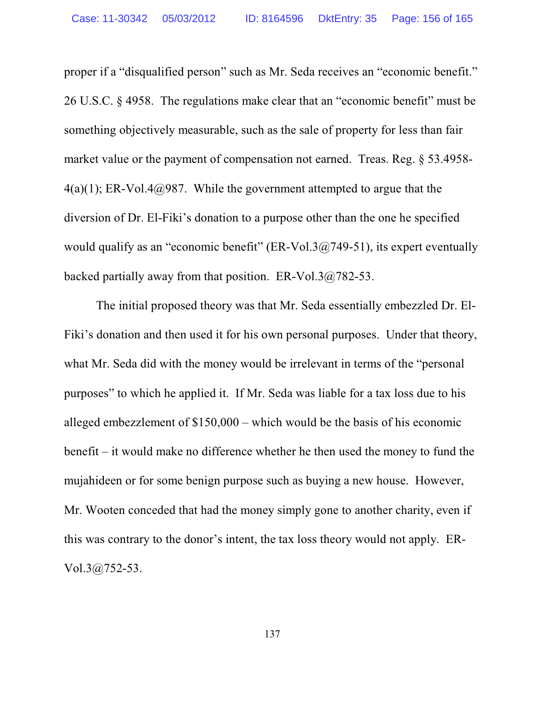proper if a "disqualified person" such as Mr. Seda receives an "economic benefit." 26 U.S.C. § 4958. The regulations make clear that an "economic benefit" must be something objectively measurable, such as the sale of property for less than fair market value or the payment of compensation not earned. Treas. Reg. § 53.4958-  $4(a)(1)$ ; ER-Vol.4 $@987$ . While the government attempted to argue that the diversion of Dr. El-Fiki's donation to a purpose other than the one he specified would qualify as an "economic benefit" (ER-Vol.3 $@749-51$ ), its expert eventually backed partially away from that position. ER-Vol.3@782-53.

The initial proposed theory was that Mr. Seda essentially embezzled Dr. El-Fiki's donation and then used it for his own personal purposes. Under that theory, what Mr. Seda did with the money would be irrelevant in terms of the "personal purposes" to which he applied it. If Mr. Seda was liable for a tax loss due to his alleged embezzlement of \$150,000 – which would be the basis of his economic benefit – it would make no difference whether he then used the money to fund the mujahideen or for some benign purpose such as buying a new house. However, Mr. Wooten conceded that had the money simply gone to another charity, even if this was contrary to the donor's intent, the tax loss theory would not apply. ER-Vol.3@752-53.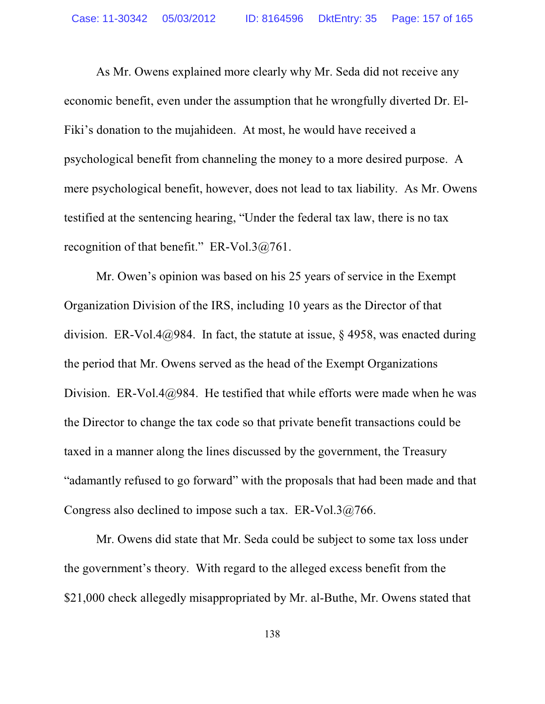As Mr. Owens explained more clearly why Mr. Seda did not receive any economic benefit, even under the assumption that he wrongfully diverted Dr. El-Fiki's donation to the mujahideen. At most, he would have received a psychological benefit from channeling the money to a more desired purpose. A mere psychological benefit, however, does not lead to tax liability. As Mr. Owens testified at the sentencing hearing, "Under the federal tax law, there is no tax recognition of that benefit." ER-Vol.3@761.

Mr. Owen's opinion was based on his 25 years of service in the Exempt Organization Division of the IRS, including 10 years as the Director of that division. ER-Vol.4@984. In fact, the statute at issue,  $\S$  4958, was enacted during the period that Mr. Owens served as the head of the Exempt Organizations Division. ER-Vol.4 $@984$ . He testified that while efforts were made when he was the Director to change the tax code so that private benefit transactions could be taxed in a manner along the lines discussed by the government, the Treasury "adamantly refused to go forward" with the proposals that had been made and that Congress also declined to impose such a tax. ER-Vol.3@766.

Mr. Owens did state that Mr. Seda could be subject to some tax loss under the government's theory. With regard to the alleged excess benefit from the \$21,000 check allegedly misappropriated by Mr. al-Buthe, Mr. Owens stated that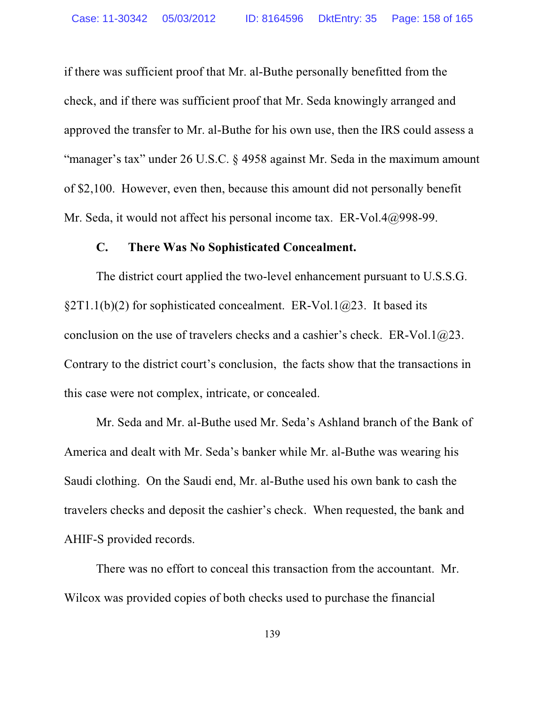if there was sufficient proof that Mr. al-Buthe personally benefitted from the check, and if there was sufficient proof that Mr. Seda knowingly arranged and approved the transfer to Mr. al-Buthe for his own use, then the IRS could assess a "manager's tax" under 26 U.S.C. § 4958 against Mr. Seda in the maximum amount of \$2,100. However, even then, because this amount did not personally benefit Mr. Seda, it would not affect his personal income tax. ER-Vol.4@998-99.

### **C. There Was No Sophisticated Concealment.**

The district court applied the two-level enhancement pursuant to U.S.S.G. §2T1.1(b)(2) for sophisticated concealment. ER-Vol.1 $@23$ . It based its conclusion on the use of travelers checks and a cashier's check. ER-Vol.1 $@23$ . Contrary to the district court's conclusion, the facts show that the transactions in this case were not complex, intricate, or concealed.

Mr. Seda and Mr. al-Buthe used Mr. Seda's Ashland branch of the Bank of America and dealt with Mr. Seda's banker while Mr. al-Buthe was wearing his Saudi clothing. On the Saudi end, Mr. al-Buthe used his own bank to cash the travelers checks and deposit the cashier's check. When requested, the bank and AHIF-S provided records.

There was no effort to conceal this transaction from the accountant. Mr. Wilcox was provided copies of both checks used to purchase the financial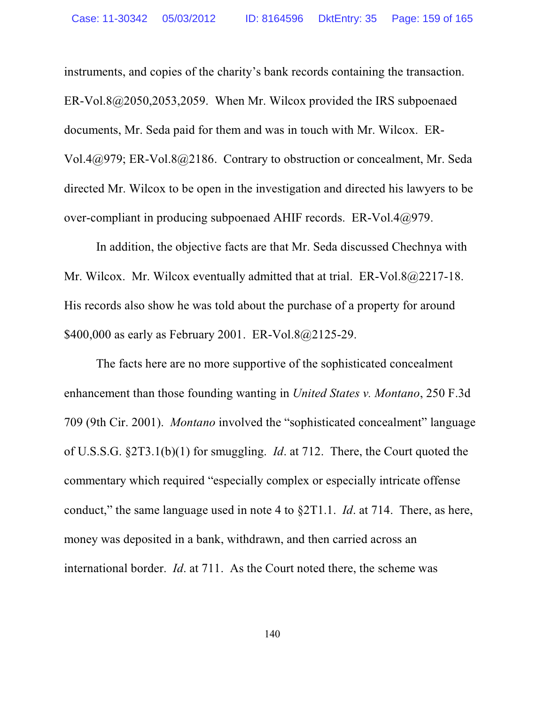instruments, and copies of the charity's bank records containing the transaction. ER-Vol.8@2050,2053,2059. When Mr. Wilcox provided the IRS subpoenaed documents, Mr. Seda paid for them and was in touch with Mr. Wilcox. ER-Vol.4@979; ER-Vol.8@2186. Contrary to obstruction or concealment, Mr. Seda directed Mr. Wilcox to be open in the investigation and directed his lawyers to be over-compliant in producing subpoenaed AHIF records. ER-Vol.4@979.

In addition, the objective facts are that Mr. Seda discussed Chechnya with Mr. Wilcox. Mr. Wilcox eventually admitted that at trial. ER-Vol.8@2217-18. His records also show he was told about the purchase of a property for around \$400,000 as early as February 2001. ER-Vol.8@2125-29.

The facts here are no more supportive of the sophisticated concealment enhancement than those founding wanting in *United States v. Montano*, 250 F.3d 709 (9th Cir. 2001). *Montano* involved the "sophisticated concealment" language of U.S.S.G. §2T3.1(b)(1) for smuggling. *Id*. at 712. There, the Court quoted the commentary which required "especially complex or especially intricate offense conduct," the same language used in note 4 to §2T1.1. *Id*. at 714. There, as here, money was deposited in a bank, withdrawn, and then carried across an international border. *Id*. at 711. As the Court noted there, the scheme was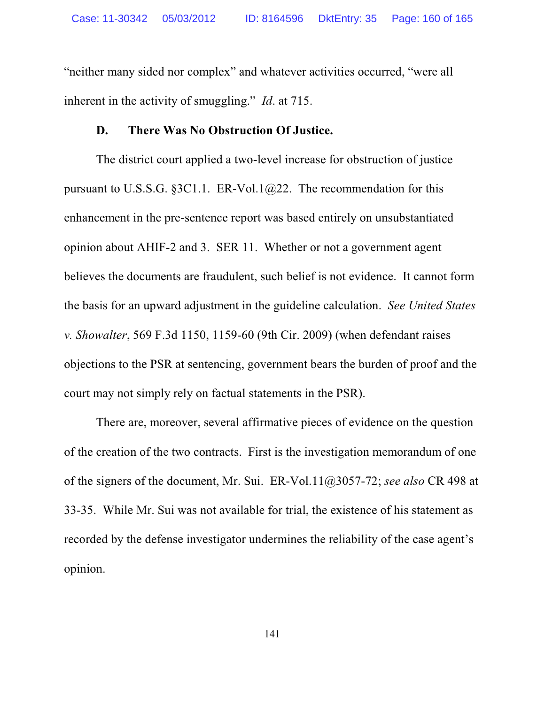"neither many sided nor complex" and whatever activities occurred, "were all inherent in the activity of smuggling." *Id*. at 715.

#### **D. There Was No Obstruction Of Justice.**

The district court applied a two-level increase for obstruction of justice pursuant to U.S.S.G. §3C1.1. ER-Vol.1 $@22$ . The recommendation for this enhancement in the pre-sentence report was based entirely on unsubstantiated opinion about AHIF-2 and 3. SER 11. Whether or not a government agent believes the documents are fraudulent, such belief is not evidence. It cannot form the basis for an upward adjustment in the guideline calculation. *See United States v. Showalter*, 569 F.3d 1150, 1159-60 (9th Cir. 2009) (when defendant raises objections to the PSR at sentencing, government bears the burden of proof and the court may not simply rely on factual statements in the PSR).

There are, moreover, several affirmative pieces of evidence on the question of the creation of the two contracts. First is the investigation memorandum of one of the signers of the document, Mr. Sui. ER-Vol.11@3057-72; *see also* CR 498 at 33-35. While Mr. Sui was not available for trial, the existence of his statement as recorded by the defense investigator undermines the reliability of the case agent's opinion.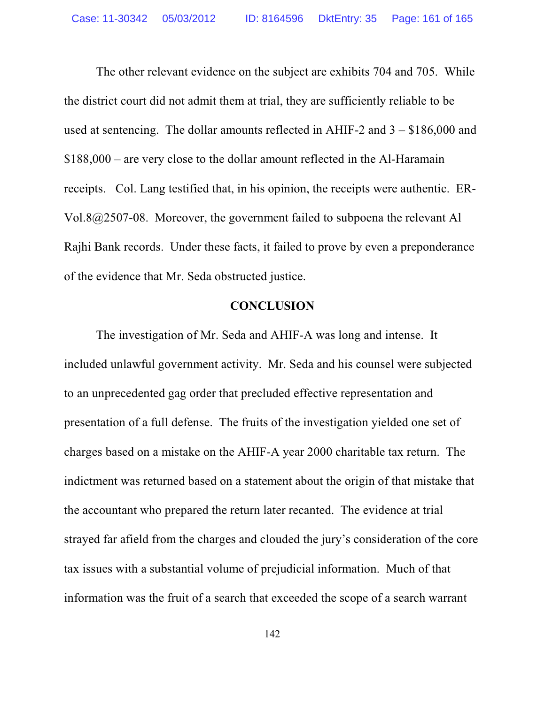The other relevant evidence on the subject are exhibits 704 and 705. While the district court did not admit them at trial, they are sufficiently reliable to be used at sentencing. The dollar amounts reflected in AHIF-2 and 3 – \$186,000 and \$188,000 – are very close to the dollar amount reflected in the Al-Haramain receipts. Col. Lang testified that, in his opinion, the receipts were authentic. ER-Vol.8@2507-08. Moreover, the government failed to subpoena the relevant Al Rajhi Bank records. Under these facts, it failed to prove by even a preponderance of the evidence that Mr. Seda obstructed justice.

#### **CONCLUSION**

The investigation of Mr. Seda and AHIF-A was long and intense. It included unlawful government activity. Mr. Seda and his counsel were subjected to an unprecedented gag order that precluded effective representation and presentation of a full defense. The fruits of the investigation yielded one set of charges based on a mistake on the AHIF-A year 2000 charitable tax return. The indictment was returned based on a statement about the origin of that mistake that the accountant who prepared the return later recanted. The evidence at trial strayed far afield from the charges and clouded the jury's consideration of the core tax issues with a substantial volume of prejudicial information. Much of that information was the fruit of a search that exceeded the scope of a search warrant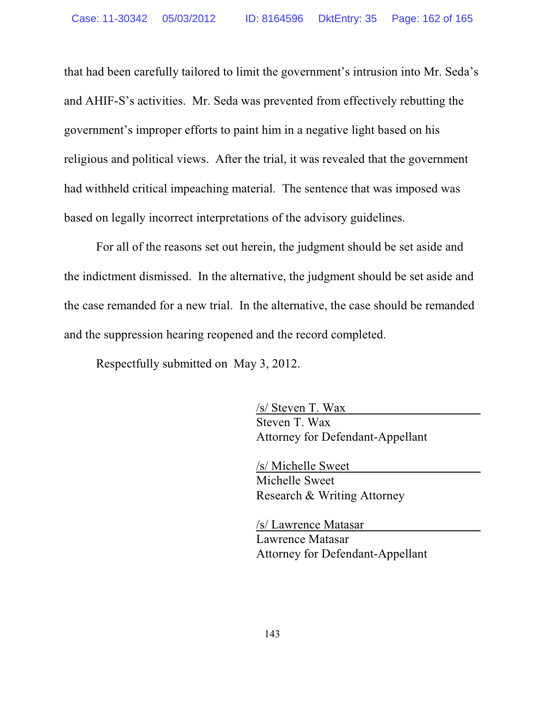that had been carefully tailored to limit the government's intrusion into Mr. Seda's and AHIF-S's activities. Mr. Seda was prevented from effectively rebutting the government's improper efforts to paint him in a negative light based on his religious and political views. After the trial, it was revealed that the government had withheld critical impeaching material. The sentence that was imposed was based on legally incorrect interpretations of the advisory guidelines.

For all of the reasons set out herein, the judgment should be set aside and the indictment dismissed. In the alternative, the judgment should be set aside and the case remanded for a new trial. In the alternative, the case should be remanded and the suppression hearing reopened and the record completed.

Respectfully submitted on May 3, 2012.

/s/ Steven T. Wax Steven T. Wax Attorney for Defendant-Appellant

/s/ Michelle Sweet Michelle Sweet Research & Writing Attorney

/s/ Lawrence Matasar Lawrence Matasar Attorney for Defendant-Appellant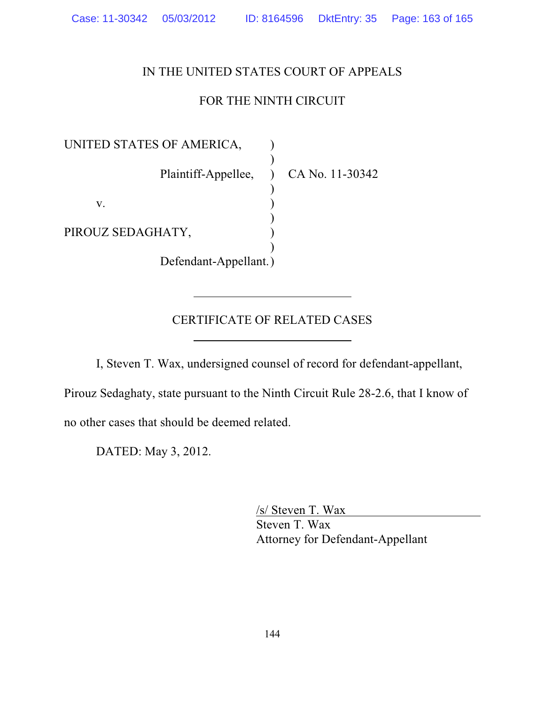## IN THE UNITED STATES COURT OF APPEALS

# FOR THE NINTH CIRCUIT

UNITED STATES OF AMERICA, ) Plaintiff-Appellee, ) CA No. 11-30342 )  $\mathbf{v}$ .  $\qquad \qquad$  ) ) PIROUZ SEDAGHATY, ) Defendant-Appellant.)

### CERTIFICATE OF RELATED CASES

I, Steven T. Wax, undersigned counsel of record for defendant-appellant,

Pirouz Sedaghaty, state pursuant to the Ninth Circuit Rule 28-2.6, that I know of no other cases that should be deemed related.

DATED: May 3, 2012.

/s/ Steven T. Wax Steven T. Wax Attorney for Defendant-Appellant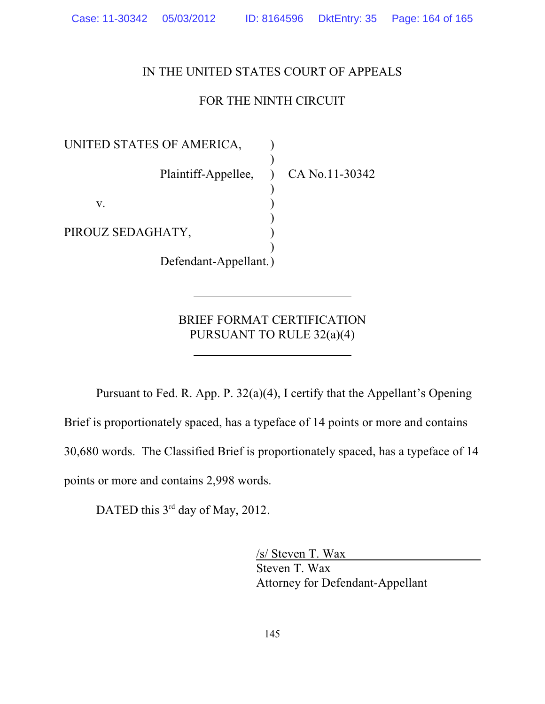### IN THE UNITED STATES COURT OF APPEALS

### FOR THE NINTH CIRCUIT

UNITED STATES OF AMERICA, ) Plaintiff-Appellee, ) CA No.11-30342 )  $\mathbf{v}$ .  $\qquad \qquad$  ) ) PIROUZ SEDAGHATY, ) Defendant-Appellant.)

BRIEF FORMAT CERTIFICATION PURSUANT TO RULE 32(a)(4)

Pursuant to Fed. R. App. P. 32(a)(4), I certify that the Appellant's Opening Brief is proportionately spaced, has a typeface of 14 points or more and contains 30,680 words. The Classified Brief is proportionately spaced, has a typeface of 14 points or more and contains 2,998 words.

DATED this 3<sup>rd</sup> day of May, 2012.

/s/ Steven T. Wax Steven T. Wax Attorney for Defendant-Appellant